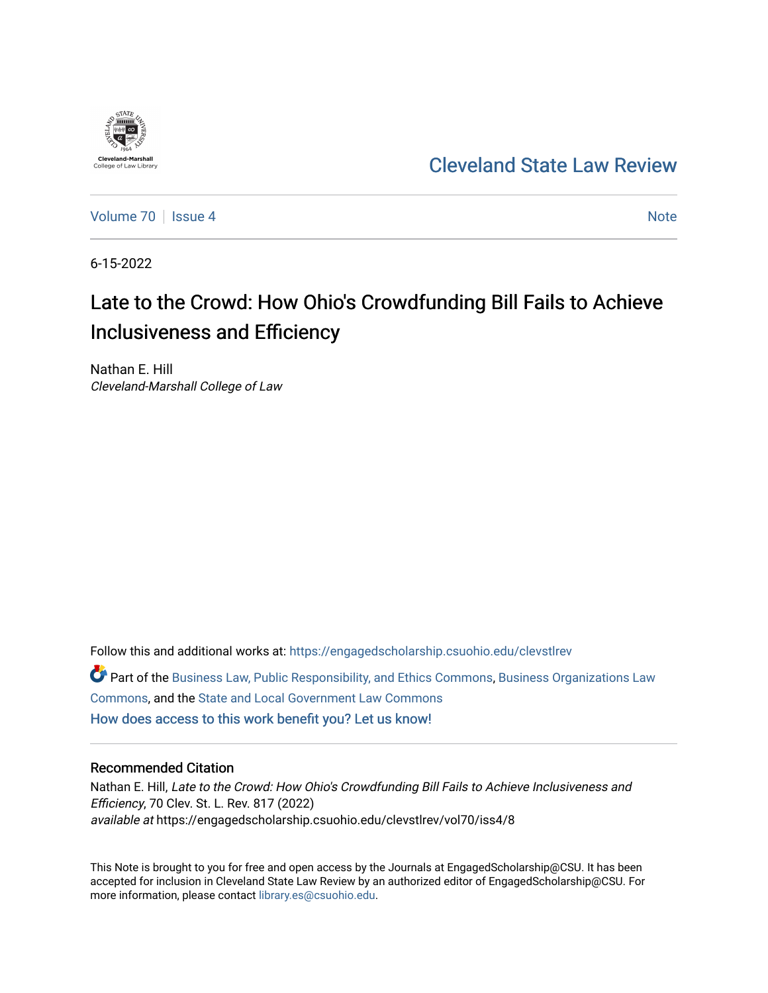

# [Cleveland State Law Review](https://engagedscholarship.csuohio.edu/clevstlrev)

[Volume 70](https://engagedscholarship.csuohio.edu/clevstlrev/vol70) | [Issue 4](https://engagedscholarship.csuohio.edu/clevstlrev/vol70/iss4) Note

6-15-2022

# Late to the Crowd: How Ohio's Crowdfunding Bill Fails to Achieve Inclusiveness and Efficiency

Nathan E. Hill Cleveland-Marshall College of Law

Follow this and additional works at: [https://engagedscholarship.csuohio.edu/clevstlrev](https://engagedscholarship.csuohio.edu/clevstlrev?utm_source=engagedscholarship.csuohio.edu%2Fclevstlrev%2Fvol70%2Fiss4%2F8&utm_medium=PDF&utm_campaign=PDFCoverPages) Part of the [Business Law, Public Responsibility, and Ethics Commons](https://network.bepress.com/hgg/discipline/628?utm_source=engagedscholarship.csuohio.edu%2Fclevstlrev%2Fvol70%2Fiss4%2F8&utm_medium=PDF&utm_campaign=PDFCoverPages), [Business Organizations Law](https://network.bepress.com/hgg/discipline/900?utm_source=engagedscholarship.csuohio.edu%2Fclevstlrev%2Fvol70%2Fiss4%2F8&utm_medium=PDF&utm_campaign=PDFCoverPages)  [Commons](https://network.bepress.com/hgg/discipline/900?utm_source=engagedscholarship.csuohio.edu%2Fclevstlrev%2Fvol70%2Fiss4%2F8&utm_medium=PDF&utm_campaign=PDFCoverPages), and the [State and Local Government Law Commons](https://network.bepress.com/hgg/discipline/879?utm_source=engagedscholarship.csuohio.edu%2Fclevstlrev%2Fvol70%2Fiss4%2F8&utm_medium=PDF&utm_campaign=PDFCoverPages) [How does access to this work benefit you? Let us know!](http://library.csuohio.edu/engaged/)

# Recommended Citation

Nathan E. Hill, Late to the Crowd: How Ohio's Crowdfunding Bill Fails to Achieve Inclusiveness and Efficiency, 70 Clev. St. L. Rev. 817 (2022) available at https://engagedscholarship.csuohio.edu/clevstlrev/vol70/iss4/8

This Note is brought to you for free and open access by the Journals at EngagedScholarship@CSU. It has been accepted for inclusion in Cleveland State Law Review by an authorized editor of EngagedScholarship@CSU. For more information, please contact [library.es@csuohio.edu](mailto:library.es@csuohio.edu).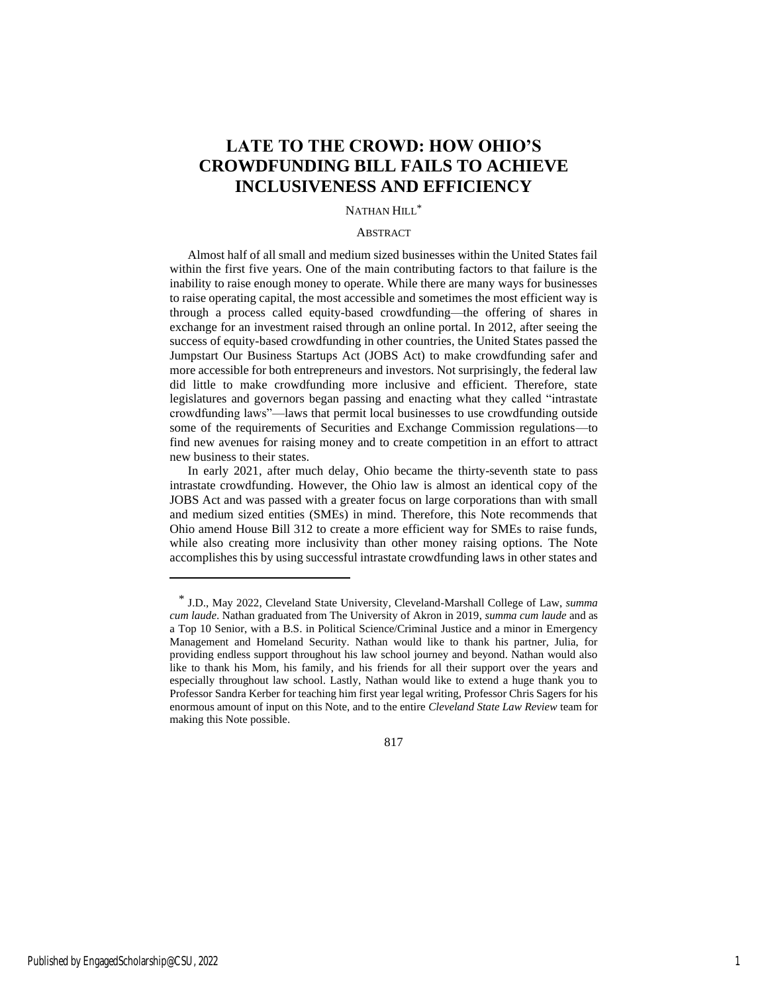# **LATE TO THE CROWD: HOW OHIO'S CROWDFUNDING BILL FAILS TO ACHIEVE INCLUSIVENESS AND EFFICIENCY**

# NATHAN HILL\*

#### **ABSTRACT**

Almost half of all small and medium sized businesses within the United States fail within the first five years. One of the main contributing factors to that failure is the inability to raise enough money to operate. While there are many ways for businesses to raise operating capital, the most accessible and sometimes the most efficient way is through a process called equity-based crowdfunding—the offering of shares in exchange for an investment raised through an online portal. In 2012, after seeing the success of equity-based crowdfunding in other countries, the United States passed the Jumpstart Our Business Startups Act (JOBS Act) to make crowdfunding safer and more accessible for both entrepreneurs and investors. Not surprisingly, the federal law did little to make crowdfunding more inclusive and efficient. Therefore, state legislatures and governors began passing and enacting what they called "intrastate crowdfunding laws"—laws that permit local businesses to use crowdfunding outside some of the requirements of Securities and Exchange Commission regulations—to find new avenues for raising money and to create competition in an effort to attract new business to their states.

In early 2021, after much delay, Ohio became the thirty-seventh state to pass intrastate crowdfunding. However, the Ohio law is almost an identical copy of the JOBS Act and was passed with a greater focus on large corporations than with small and medium sized entities (SMEs) in mind. Therefore, this Note recommends that Ohio amend House Bill 312 to create a more efficient way for SMEs to raise funds, while also creating more inclusivity than other money raising options. The Note accomplishes this by using successful intrastate crowdfunding laws in other states and

817

<sup>\*</sup> J.D., May 2022, Cleveland State University, Cleveland-Marshall College of Law, *summa cum laude*. Nathan graduated from The University of Akron in 2019, *summa cum laude* and as a Top 10 Senior, with a B.S. in Political Science/Criminal Justice and a minor in Emergency Management and Homeland Security. Nathan would like to thank his partner, Julia, for providing endless support throughout his law school journey and beyond. Nathan would also like to thank his Mom, his family, and his friends for all their support over the years and especially throughout law school. Lastly, Nathan would like to extend a huge thank you to Professor Sandra Kerber for teaching him first year legal writing, Professor Chris Sagers for his enormous amount of input on this Note, and to the entire *Cleveland State Law Review* team for making this Note possible.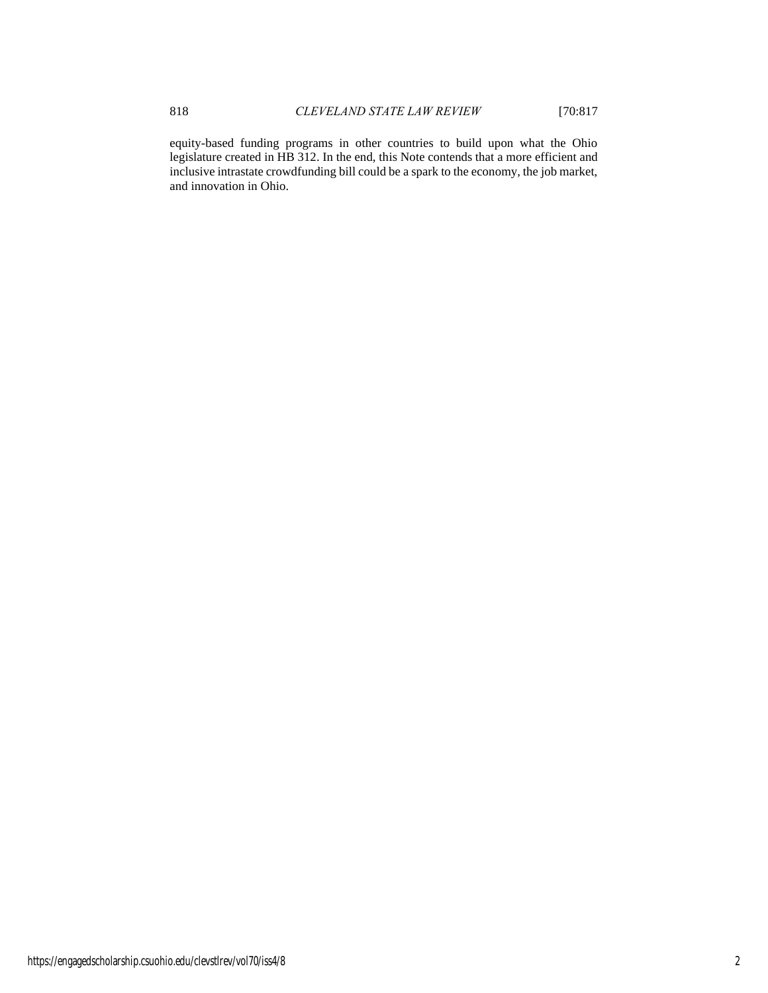equity-based funding programs in other countries to build upon what the Ohio legislature created in HB 312. In the end, this Note contends that a more efficient and inclusive intrastate crowdfunding bill could be a spark to the economy, the job market, and innovation in Ohio.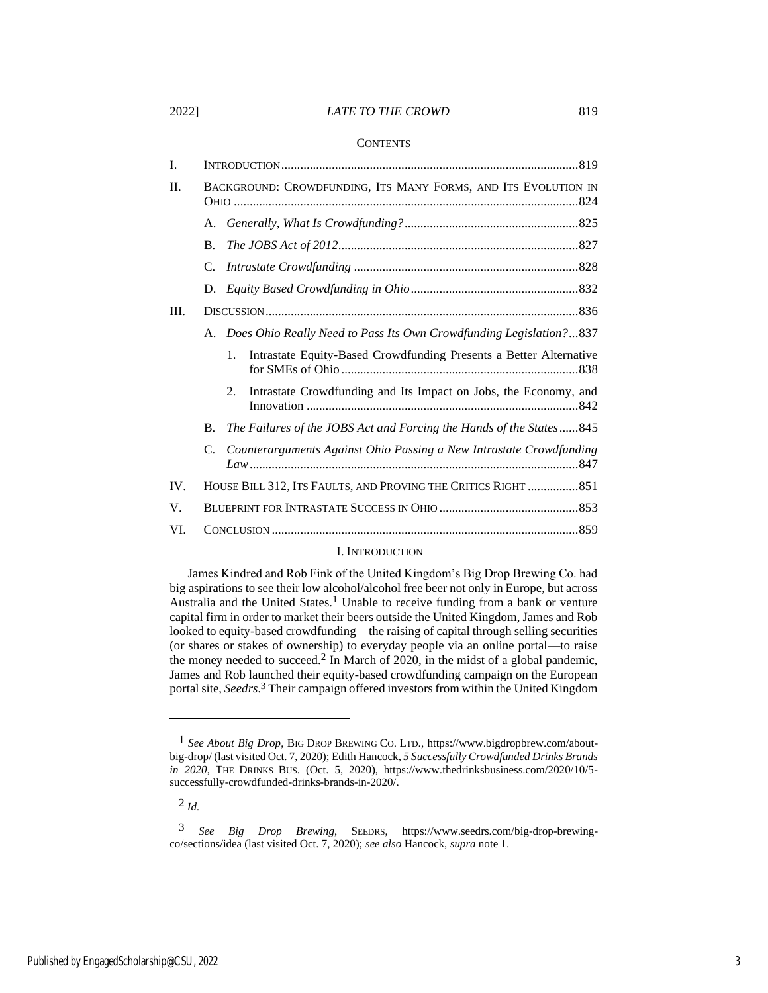#### 2022] *LATE TO THE CROWD* 819

#### **CONTENTS**

| I.  |                                                               |                                                                          |  |
|-----|---------------------------------------------------------------|--------------------------------------------------------------------------|--|
| II. |                                                               | BACKGROUND: CROWDFUNDING, ITS MANY FORMS, AND ITS EVOLUTION IN           |  |
|     | А.                                                            |                                                                          |  |
|     | <b>B.</b>                                                     |                                                                          |  |
|     | C.                                                            |                                                                          |  |
|     | D.                                                            |                                                                          |  |
| Ш.  |                                                               |                                                                          |  |
|     |                                                               | A. Does Ohio Really Need to Pass Its Own Crowdfunding Legislation?837    |  |
|     |                                                               | 1.<br>Intrastate Equity-Based Crowdfunding Presents a Better Alternative |  |
|     |                                                               | Intrastate Crowdfunding and Its Impact on Jobs, the Economy, and<br>2.   |  |
|     | В.                                                            | The Failures of the JOBS Act and Forcing the Hands of the States845      |  |
|     | C.                                                            | Counterarguments Against Ohio Passing a New Intrastate Crowdfunding      |  |
| IV. | HOUSE BILL 312, ITS FAULTS, AND PROVING THE CRITICS RIGHT 851 |                                                                          |  |
| V.  |                                                               |                                                                          |  |
| VI. |                                                               |                                                                          |  |

# I. INTRODUCTION

James Kindred and Rob Fink of the United Kingdom's Big Drop Brewing Co. had big aspirations to see their low alcohol/alcohol free beer not only in Europe, but across Australia and the United States.<sup>1</sup> Unable to receive funding from a bank or venture capital firm in order to market their beers outside the United Kingdom, James and Rob looked to equity-based crowdfunding—the raising of capital through selling securities (or shares or stakes of ownership) to everyday people via an online portal—to raise the money needed to succeed.<sup>2</sup> In March of 2020, in the midst of a global pandemic, James and Rob launched their equity-based crowdfunding campaign on the European portal site, *Seedrs*. 3 Their campaign offered investors from within the United Kingdom

2 *Id.*

<sup>1</sup> *See About Big Drop*, BIG DROP BREWING CO. LTD., https://www.bigdropbrew.com/aboutbig-drop/ (last visited Oct. 7, 2020); Edith Hancock, *5 Successfully Crowdfunded Drinks Brands in 2020*, THE DRINKS BUS. (Oct. 5, 2020), https://www.thedrinksbusiness.com/2020/10/5 successfully-crowdfunded-drinks-brands-in-2020/.

<sup>3</sup> *See Big Drop Brewing*, SEEDRS, https://www.seedrs.com/big-drop-brewingco/sections/idea (last visited Oct. 7, 2020); *see also* Hancock, *supra* note 1.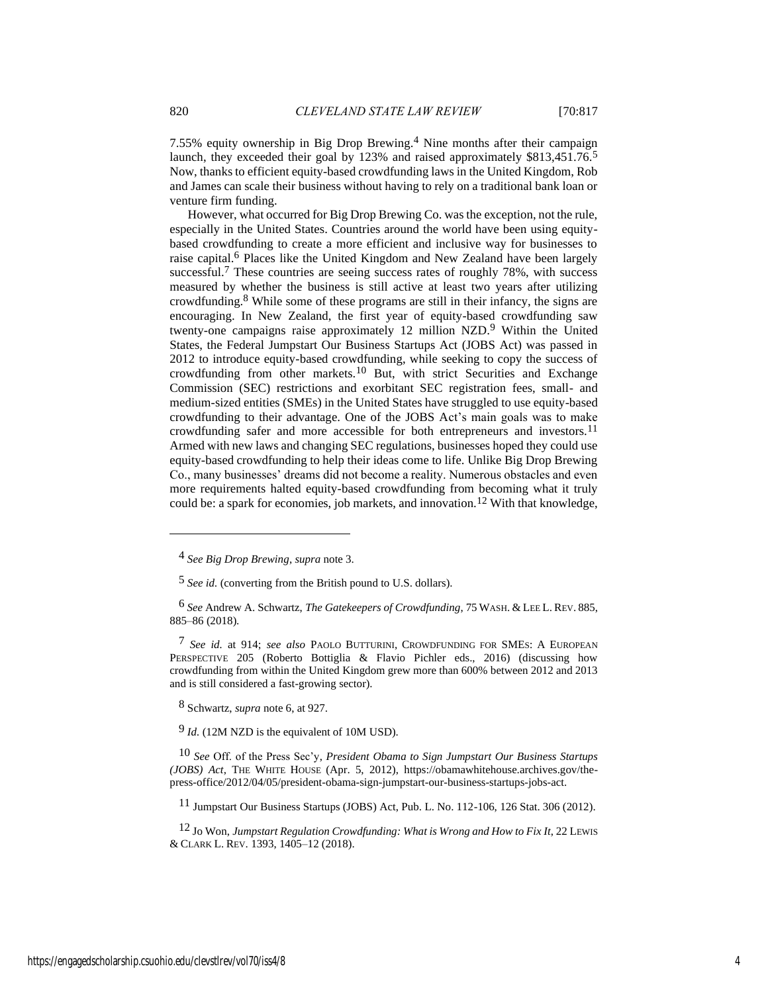7.55% equity ownership in Big Drop Brewing.4 Nine months after their campaign launch, they exceeded their goal by 123% and raised approximately \$813,451.76.<sup>5</sup> Now, thanks to efficient equity-based crowdfunding laws in the United Kingdom, Rob and James can scale their business without having to rely on a traditional bank loan or venture firm funding.

However, what occurred for Big Drop Brewing Co. was the exception, not the rule, especially in the United States. Countries around the world have been using equitybased crowdfunding to create a more efficient and inclusive way for businesses to raise capital.6 Places like the United Kingdom and New Zealand have been largely successful.<sup>7</sup> These countries are seeing success rates of roughly 78%, with success measured by whether the business is still active at least two years after utilizing crowdfunding.8 While some of these programs are still in their infancy, the signs are encouraging. In New Zealand, the first year of equity-based crowdfunding saw twenty-one campaigns raise approximately 12 million NZD.9 Within the United States, the Federal Jumpstart Our Business Startups Act (JOBS Act) was passed in 2012 to introduce equity-based crowdfunding, while seeking to copy the success of crowdfunding from other markets.10 But, with strict Securities and Exchange Commission (SEC) restrictions and exorbitant SEC registration fees, small- and medium-sized entities (SMEs) in the United States have struggled to use equity-based crowdfunding to their advantage. One of the JOBS Act's main goals was to make crowdfunding safer and more accessible for both entrepreneurs and investors.11 Armed with new laws and changing SEC regulations, businesses hoped they could use equity-based crowdfunding to help their ideas come to life. Unlike Big Drop Brewing Co., many businesses' dreams did not become a reality. Numerous obstacles and even more requirements halted equity-based crowdfunding from becoming what it truly could be: a spark for economies, job markets, and innovation.12 With that knowledge,

8 Schwartz, *supra* note 6, at 927.

9 *Id.* (12M NZD is the equivalent of 10M USD).

10 *See* Off. of the Press Sec'y, *President Obama to Sign Jumpstart Our Business Startups (JOBS) Act*, THE WHITE HOUSE (Apr. 5, 2012), https://obamawhitehouse.archives.gov/thepress-office/2012/04/05/president-obama-sign-jumpstart-our-business-startups-jobs-act.

11 Jumpstart Our Business Startups (JOBS) Act, Pub. L. No. 112-106, 126 Stat. 306 (2012).

12 Jo Won, *Jumpstart Regulation Crowdfunding: What is Wrong and How to Fix It*, 22 LEWIS & CLARK L. REV. 1393, 1405–12 (2018).

<sup>4</sup> *See Big Drop Brewing*, *supra* note 3.

<sup>5</sup> *See id.* (converting from the British pound to U.S. dollars).

<sup>6</sup> *See* Andrew A. Schwartz, *The Gatekeepers of Crowdfunding*, 75 WASH. & LEE L. REV. 885, 885–86 (2018).

<sup>7</sup> *See id.* at 914; *see also* PAOLO BUTTURINI, CROWDFUNDING FOR SMES: A EUROPEAN PERSPECTIVE 205 (Roberto Bottiglia & Flavio Pichler eds., 2016) (discussing how crowdfunding from within the United Kingdom grew more than 600% between 2012 and 2013 and is still considered a fast-growing sector).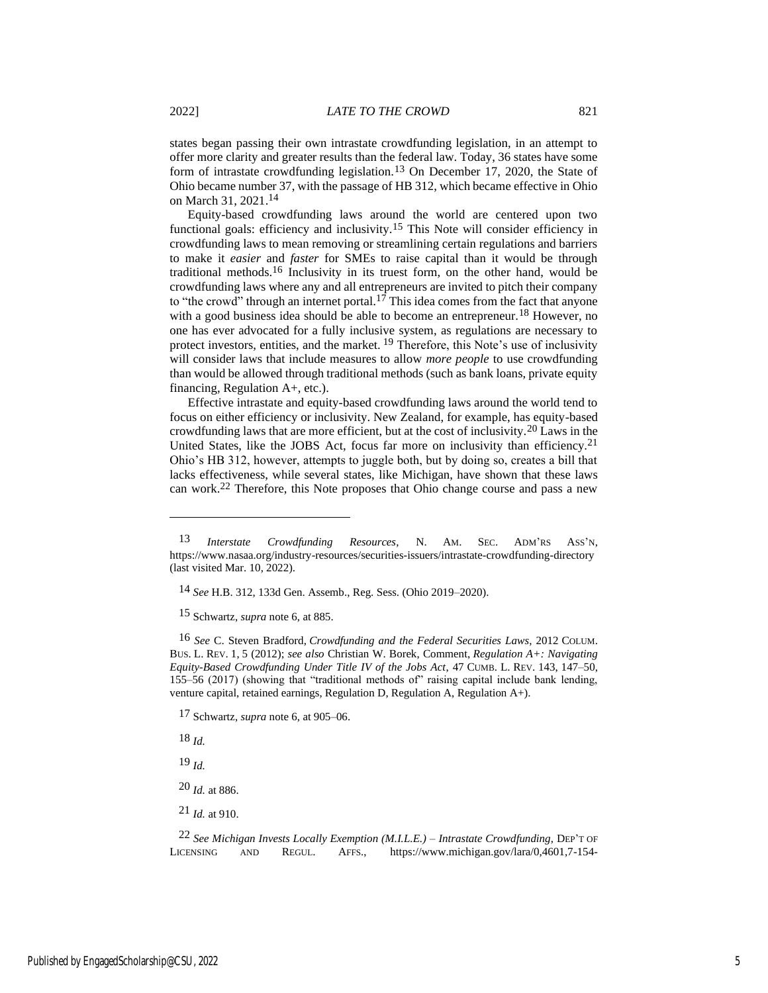states began passing their own intrastate crowdfunding legislation, in an attempt to offer more clarity and greater results than the federal law. Today, 36 states have some form of intrastate crowdfunding legislation.13 On December 17, 2020, the State of Ohio became number 37, with the passage of HB 312, which became effective in Ohio on March 31, 2021. 14

Equity-based crowdfunding laws around the world are centered upon two functional goals: efficiency and inclusivity.15 This Note will consider efficiency in crowdfunding laws to mean removing or streamlining certain regulations and barriers to make it *easier* and *faster* for SMEs to raise capital than it would be through traditional methods.16 Inclusivity in its truest form, on the other hand, would be crowdfunding laws where any and all entrepreneurs are invited to pitch their company to "the crowd" through an internet portal.<sup>17</sup> This idea comes from the fact that anyone with a good business idea should be able to become an entrepreneur.<sup>18</sup> However, no one has ever advocated for a fully inclusive system, as regulations are necessary to protect investors, entities, and the market. 19 Therefore, this Note's use of inclusivity will consider laws that include measures to allow *more people* to use crowdfunding than would be allowed through traditional methods (such as bank loans, private equity financing, Regulation A+, etc.).

Effective intrastate and equity-based crowdfunding laws around the world tend to focus on either efficiency or inclusivity. New Zealand, for example, has equity-based crowdfunding laws that are more efficient, but at the cost of inclusivity.20 Laws in the United States, like the JOBS Act, focus far more on inclusivity than efficiency.<sup>21</sup> Ohio's HB 312, however, attempts to juggle both, but by doing so, creates a bill that lacks effectiveness, while several states, like Michigan, have shown that these laws can work.22 Therefore, this Note proposes that Ohio change course and pass a new

15 Schwartz, *supra* note 6, at 885.

16 *See* C. Steven Bradford, *Crowdfunding and the Federal Securities Laws*, 2012 COLUM. BUS. L. REV. 1, 5 (2012); *see also* Christian W. Borek, Comment, *Regulation A+: Navigating Equity-Based Crowdfunding Under Title IV of the Jobs Act*, 47 CUMB. L. REV. 143, 147–50, 155–56 (2017) (showing that "traditional methods of" raising capital include bank lending, venture capital, retained earnings, Regulation D, Regulation A, Regulation A+).

17 Schwartz, *supra* note 6, at 905–06.

18 *Id.*

19 *Id.*

20 *Id.* at 886.

21 *Id.* at 910.

22 *See Michigan Invests Locally Exemption (M.I.L.E.) – Intrastate Crowdfunding*, DEP'T OF LICENSING AND REGUL. AFFS., https://www.michigan.gov/lara/0,4601,7-154-

<sup>13</sup> *Interstate Crowdfunding Resources*, N. AM. SEC. ADM'RS ASS'N, https://www.nasaa.org/industry-resources/securities-issuers/intrastate-crowdfunding-directory (last visited Mar. 10, 2022).

<sup>14</sup> *See* H.B. 312, 133d Gen. Assemb., Reg. Sess. (Ohio 2019–2020).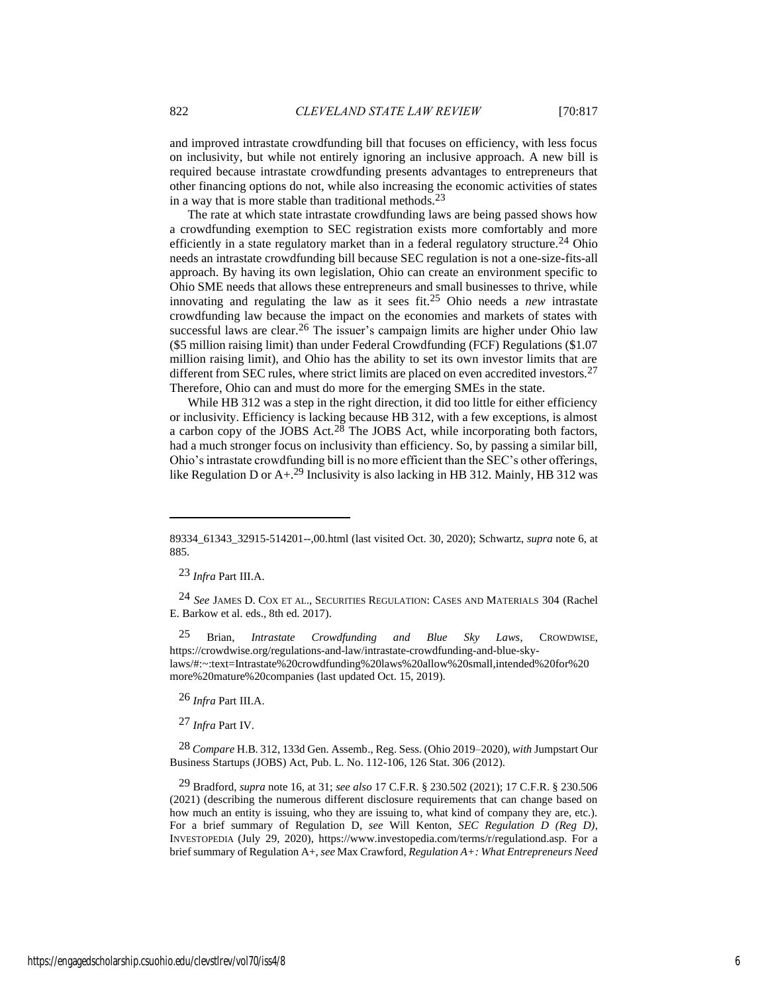and improved intrastate crowdfunding bill that focuses on efficiency, with less focus on inclusivity, but while not entirely ignoring an inclusive approach. A new bill is required because intrastate crowdfunding presents advantages to entrepreneurs that other financing options do not, while also increasing the economic activities of states in a way that is more stable than traditional methods.<sup>23</sup>

The rate at which state intrastate crowdfunding laws are being passed shows how a crowdfunding exemption to SEC registration exists more comfortably and more efficiently in a state regulatory market than in a federal regulatory structure.<sup>24</sup> Ohio needs an intrastate crowdfunding bill because SEC regulation is not a one-size-fits-all approach. By having its own legislation, Ohio can create an environment specific to Ohio SME needs that allows these entrepreneurs and small businesses to thrive, while innovating and regulating the law as it sees fit.25 Ohio needs a *new* intrastate crowdfunding law because the impact on the economies and markets of states with successful laws are clear.<sup>26</sup> The issuer's campaign limits are higher under Ohio law (\$5 million raising limit) than under Federal Crowdfunding (FCF) Regulations (\$1.07 million raising limit), and Ohio has the ability to set its own investor limits that are different from SEC rules, where strict limits are placed on even accredited investors.<sup>27</sup> Therefore, Ohio can and must do more for the emerging SMEs in the state.

While HB 312 was a step in the right direction, it did too little for either efficiency or inclusivity. Efficiency is lacking because HB 312, with a few exceptions, is almost a carbon copy of the JOBS Act.<sup>28</sup> The JOBS Act, while incorporating both factors, had a much stronger focus on inclusivity than efficiency. So, by passing a similar bill, Ohio's intrastate crowdfunding bill is no more efficient than the SEC's other offerings, like Regulation D or  $A+.29$  Inclusivity is also lacking in HB 312. Mainly, HB 312 was

23 *Infra* Part III.A.

24 *See* JAMES D. COX ET AL., SECURITIES REGULATION: CASES AND MATERIALS 304 (Rachel E. Barkow et al. eds., 8th ed. 2017).

25 Brian, *Intrastate Crowdfunding and Blue Sky Laws*, CROWDWISE, https://crowdwise.org/regulations-and-law/intrastate-crowdfunding-and-blue-skylaws/#:~:text=Intrastate%20crowdfunding%20laws%20allow%20small,intended%20for%20 more%20mature%20companies (last updated Oct. 15, 2019).

26 *Infra* Part III.A.

27 *Infra* Part IV.

28 *Compare* H.B. 312, 133d Gen. Assemb., Reg. Sess. (Ohio 2019–2020), *with* Jumpstart Our Business Startups (JOBS) Act, Pub. L. No. 112-106, 126 Stat. 306 (2012).

29 Bradford, *supra* note 16, at 31; *see also* 17 C.F.R. § 230.502 (2021); 17 C.F.R. § 230.506 (2021) (describing the numerous different disclosure requirements that can change based on how much an entity is issuing, who they are issuing to, what kind of company they are, etc.). For a brief summary of Regulation D, *see* Will Kenton, *SEC Regulation D (Reg D)*, INVESTOPEDIA (July 29, 2020), https://www.investopedia.com/terms/r/regulationd.asp. For a brief summary of Regulation A+, *see* Max Crawford, *Regulation A+: What Entrepreneurs Need* 

<sup>89334</sup>\_61343\_32915-514201--,00.html (last visited Oct. 30, 2020); Schwartz, *supra* note 6, at 885.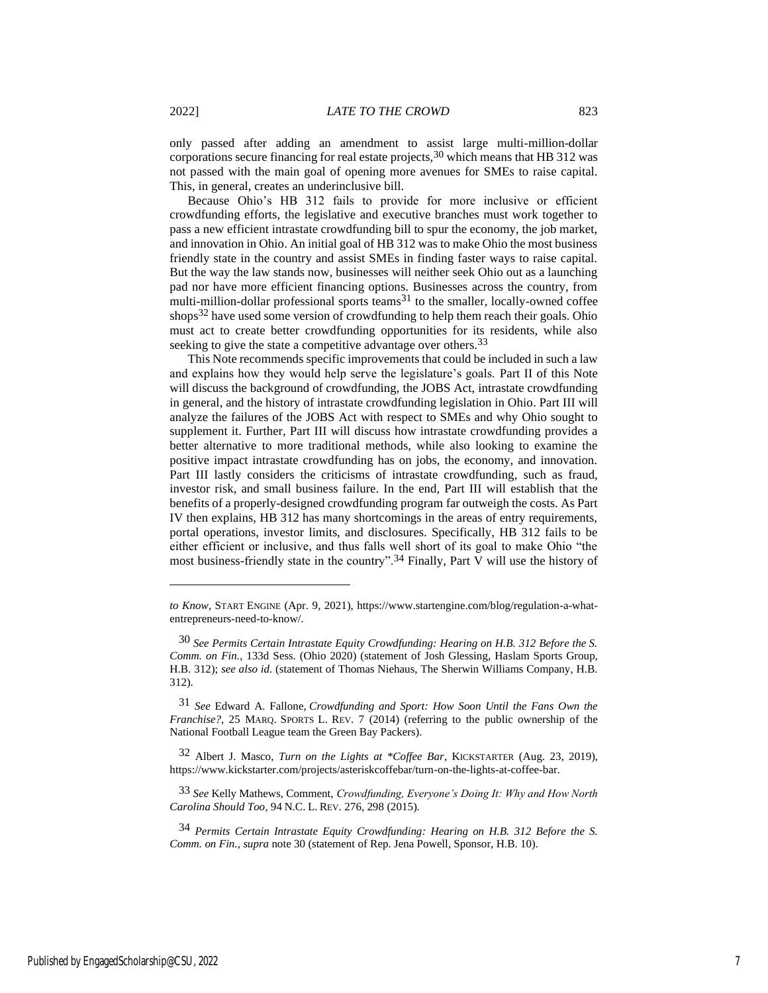only passed after adding an amendment to assist large multi-million-dollar corporations secure financing for real estate projects,  $30$  which means that HB 312 was not passed with the main goal of opening more avenues for SMEs to raise capital. This, in general, creates an underinclusive bill.

Because Ohio's HB 312 fails to provide for more inclusive or efficient crowdfunding efforts, the legislative and executive branches must work together to pass a new efficient intrastate crowdfunding bill to spur the economy, the job market, and innovation in Ohio. An initial goal of HB 312 was to make Ohio the most business friendly state in the country and assist SMEs in finding faster ways to raise capital. But the way the law stands now, businesses will neither seek Ohio out as a launching pad nor have more efficient financing options. Businesses across the country, from multi-million-dollar professional sports teams<sup>31</sup> to the smaller, locally-owned coffee shops<sup>32</sup> have used some version of crowdfunding to help them reach their goals. Ohio must act to create better crowdfunding opportunities for its residents, while also seeking to give the state a competitive advantage over others.<sup>33</sup>

This Note recommends specific improvements that could be included in such a law and explains how they would help serve the legislature's goals. Part II of this Note will discuss the background of crowdfunding, the JOBS Act, intrastate crowdfunding in general, and the history of intrastate crowdfunding legislation in Ohio. Part III will analyze the failures of the JOBS Act with respect to SMEs and why Ohio sought to supplement it. Further, Part III will discuss how intrastate crowdfunding provides a better alternative to more traditional methods, while also looking to examine the positive impact intrastate crowdfunding has on jobs, the economy, and innovation. Part III lastly considers the criticisms of intrastate crowdfunding, such as fraud, investor risk, and small business failure. In the end, Part III will establish that the benefits of a properly-designed crowdfunding program far outweigh the costs. As Part IV then explains, HB 312 has many shortcomings in the areas of entry requirements, portal operations, investor limits, and disclosures. Specifically, HB 312 fails to be either efficient or inclusive, and thus falls well short of its goal to make Ohio "the most business-friendly state in the country".<sup>34</sup> Finally, Part  $\bar{V}$  will use the history of

*to Know*, START ENGINE (Apr. 9, 2021), https://www.startengine.com/blog/regulation-a-whatentrepreneurs-need-to-know/.

<sup>30</sup> *See Permits Certain Intrastate Equity Crowdfunding: Hearing on H.B. 312 Before the S. Comm. on Fin.*, 133d Sess. (Ohio 2020) (statement of Josh Glessing, Haslam Sports Group, H.B. 312); *see also id.* (statement of Thomas Niehaus, The Sherwin Williams Company, H.B. 312).

<sup>31</sup> *See* Edward A. Fallone, *Crowdfunding and Sport: How Soon Until the Fans Own the Franchise?*, 25 MARQ. SPORTS L. REV. 7 (2014) (referring to the public ownership of the National Football League team the Green Bay Packers).

<sup>32</sup> Albert J. Masco, *Turn on the Lights at \*Coffee Bar*, KICKSTARTER (Aug. 23, 2019), https://www.kickstarter.com/projects/asteriskcoffebar/turn-on-the-lights-at-coffee-bar.

<sup>33</sup> *See* Kelly Mathews, Comment, *Crowdfunding, Everyone's Doing It: Why and How North Carolina Should Too*, 94 N.C. L. REV. 276, 298 (2015).

<sup>34</sup> *Permits Certain Intrastate Equity Crowdfunding: Hearing on H.B. 312 Before the S. Comm. on Fin.*, *supra* note 30 (statement of Rep. Jena Powell, Sponsor, H.B. 10).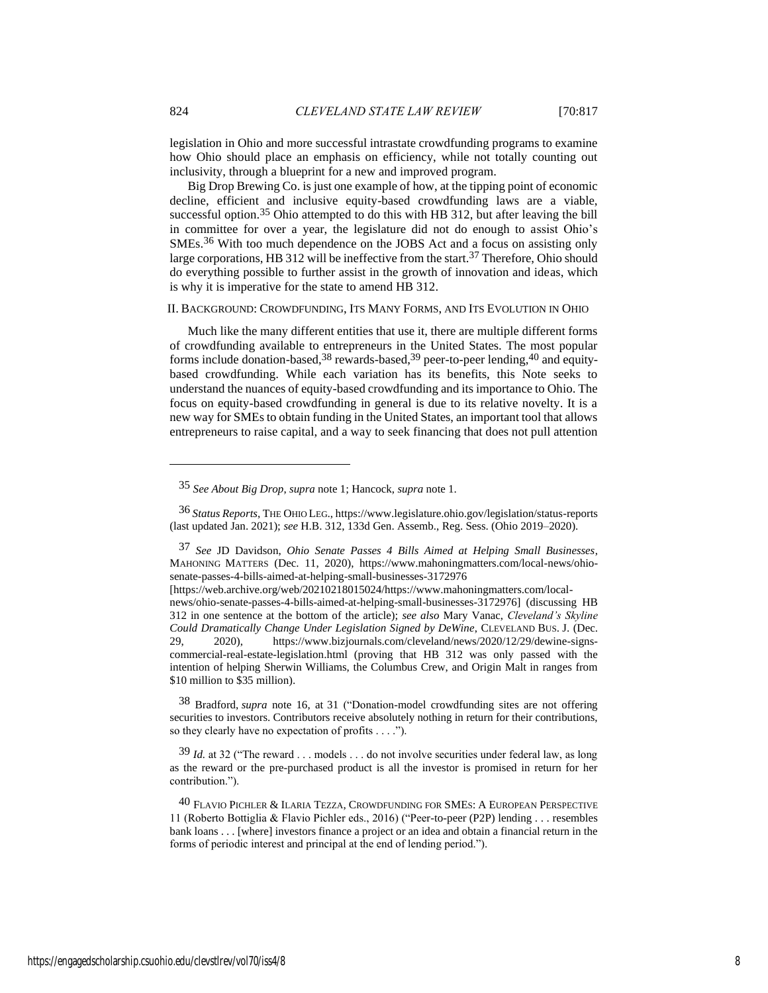legislation in Ohio and more successful intrastate crowdfunding programs to examine how Ohio should place an emphasis on efficiency, while not totally counting out inclusivity, through a blueprint for a new and improved program.

Big Drop Brewing Co. is just one example of how, at the tipping point of economic decline, efficient and inclusive equity-based crowdfunding laws are a viable, successful option.<sup>35</sup> Ohio attempted to do this with HB 312, but after leaving the bill in committee for over a year, the legislature did not do enough to assist Ohio's SMEs.36 With too much dependence on the JOBS Act and a focus on assisting only large corporations, HB 312 will be ineffective from the start.<sup>37</sup> Therefore, Ohio should do everything possible to further assist in the growth of innovation and ideas, which is why it is imperative for the state to amend HB 312.

#### II. BACKGROUND: CROWDFUNDING, ITS MANY FORMS, AND ITS EVOLUTION IN OHIO

Much like the many different entities that use it, there are multiple different forms of crowdfunding available to entrepreneurs in the United States. The most popular forms include donation-based,  $38$  rewards-based,  $39$  peer-to-peer lending,  $40$  and equitybased crowdfunding. While each variation has its benefits, this Note seeks to understand the nuances of equity-based crowdfunding and its importance to Ohio. The focus on equity-based crowdfunding in general is due to its relative novelty. It is a new way for SMEs to obtain funding in the United States, an important tool that allows entrepreneurs to raise capital, and a way to seek financing that does not pull attention

38 Bradford, *supra* note 16, at 31 ("Donation-model crowdfunding sites are not offering securities to investors. Contributors receive absolutely nothing in return for their contributions, so they clearly have no expectation of profits . . . .").

39 *Id.* at 32 ("The reward . . . models . . . do not involve securities under federal law, as long as the reward or the pre-purchased product is all the investor is promised in return for her contribution.").

<sup>35</sup> *See About Big Drop*, *supra* note 1; Hancock, *supra* note 1.

<sup>36</sup> *Status Reports*, THE OHIO LEG., https://www.legislature.ohio.gov/legislation/status-reports (last updated Jan. 2021); *see* H.B. 312, 133d Gen. Assemb., Reg. Sess. (Ohio 2019–2020).

<sup>37</sup> *See* JD Davidson, *Ohio Senate Passes 4 Bills Aimed at Helping Small Businesses*, MAHONING MATTERS (Dec. 11, 2020), https://www.mahoningmatters.com/local-news/ohiosenate-passes-4-bills-aimed-at-helping-small-businesses-3172976

<sup>[</sup>https://web.archive.org/web/20210218015024/https://www.mahoningmatters.com/localnews/ohio-senate-passes-4-bills-aimed-at-helping-small-businesses-3172976] (discussing HB 312 in one sentence at the bottom of the article); *see also* Mary Vanac, *Cleveland's Skyline Could Dramatically Change Under Legislation Signed by DeWine*, CLEVELAND BUS. J. (Dec. 29, 2020), https://www.bizjournals.com/cleveland/news/2020/12/29/dewine-signscommercial-real-estate-legislation.html (proving that HB 312 was only passed with the intention of helping Sherwin Williams, the Columbus Crew, and Origin Malt in ranges from \$10 million to \$35 million).

 $^{40}$  Flavio Pichler & Ilaria Tezza, Crowdfunding for SMEs: A European Perspective 11 (Roberto Bottiglia & Flavio Pichler eds., 2016) ("Peer-to-peer (P2P) lending . . . resembles bank loans . . . [where] investors finance a project or an idea and obtain a financial return in the forms of periodic interest and principal at the end of lending period.").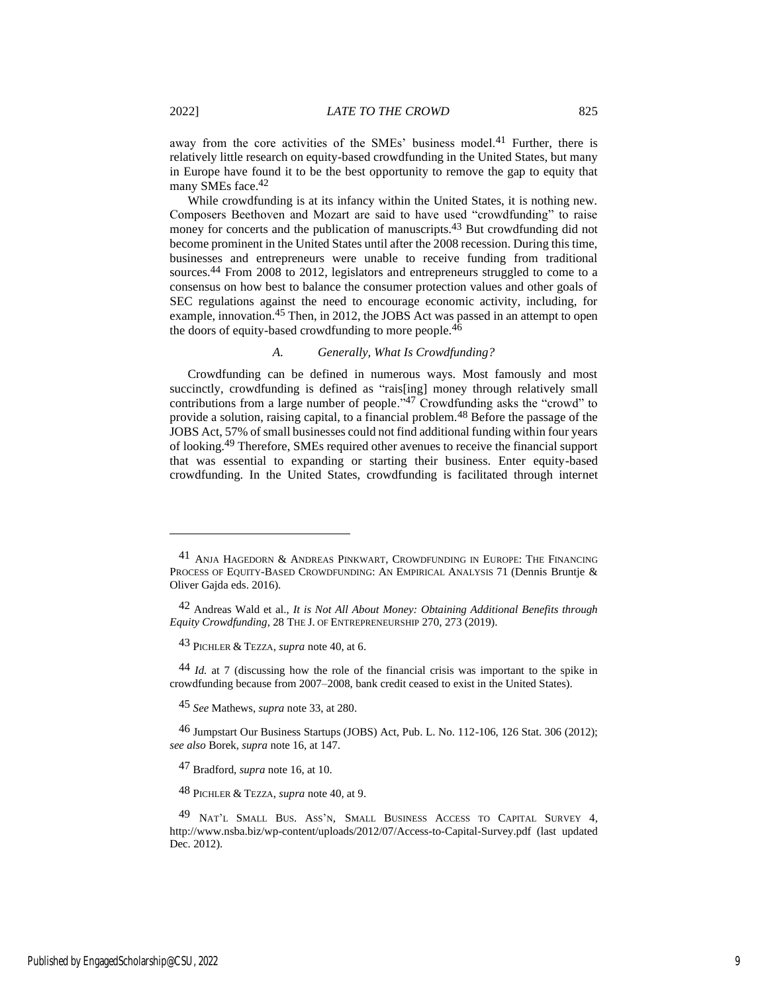away from the core activities of the SMEs' business model.<sup>41</sup> Further, there is relatively little research on equity-based crowdfunding in the United States, but many in Europe have found it to be the best opportunity to remove the gap to equity that many SMEs face.<sup>42</sup>

While crowdfunding is at its infancy within the United States, it is nothing new. Composers Beethoven and Mozart are said to have used "crowdfunding" to raise money for concerts and the publication of manuscripts.<sup>43</sup> But crowdfunding did not become prominent in the United States until after the 2008 recession. During this time, businesses and entrepreneurs were unable to receive funding from traditional sources.<sup>44</sup> From 2008 to 2012, legislators and entrepreneurs struggled to come to a consensus on how best to balance the consumer protection values and other goals of SEC regulations against the need to encourage economic activity, including, for example, innovation.<sup>45</sup> Then, in 2012, the JOBS Act was passed in an attempt to open the doors of equity-based crowdfunding to more people. $4\overline{6}$ 

# *A. Generally, What Is Crowdfunding?*

Crowdfunding can be defined in numerous ways. Most famously and most succinctly, crowdfunding is defined as "rais[ing] money through relatively small contributions from a large number of people."47 Crowdfunding asks the "crowd" to provide a solution, raising capital, to a financial problem.48 Before the passage of the JOBS Act, 57% of small businesses could not find additional funding within four years of looking.49 Therefore, SMEs required other avenues to receive the financial support that was essential to expanding or starting their business. Enter equity-based crowdfunding. In the United States, crowdfunding is facilitated through internet

43 PICHLER & TEZZA, *supra* note 40, at 6.

44 *Id.* at 7 (discussing how the role of the financial crisis was important to the spike in crowdfunding because from 2007–2008, bank credit ceased to exist in the United States).

45 *See* Mathews, *supra* note 33, at 280.

46 Jumpstart Our Business Startups (JOBS) Act, Pub. L. No. 112-106, 126 Stat. 306 (2012); *see also* Borek, *supra* note 16, at 147.

47 Bradford, *supra* note 16, at 10.

48 PICHLER & TEZZA, *supra* note 40, at 9.

<sup>41</sup> ANJA HAGEDORN & ANDREAS PINKWART, CROWDFUNDING IN EUROPE: THE FINANCING PROCESS OF EQUITY-BASED CROWDFUNDING: AN EMPIRICAL ANALYSIS 71 (Dennis Bruntje & Oliver Gajda eds. 2016).

<sup>42</sup> Andreas Wald et al., *It is Not All About Money: Obtaining Additional Benefits through Equity Crowdfunding*, 28 THE J. OF ENTREPRENEURSHIP 270, 273 (2019).

<sup>49</sup> NAT'L SMALL BUS. ASS'N, SMALL BUSINESS ACCESS TO CAPITAL SURVEY 4, http://www.nsba.biz/wp-content/uploads/2012/07/Access-to-Capital-Survey.pdf (last updated Dec. 2012).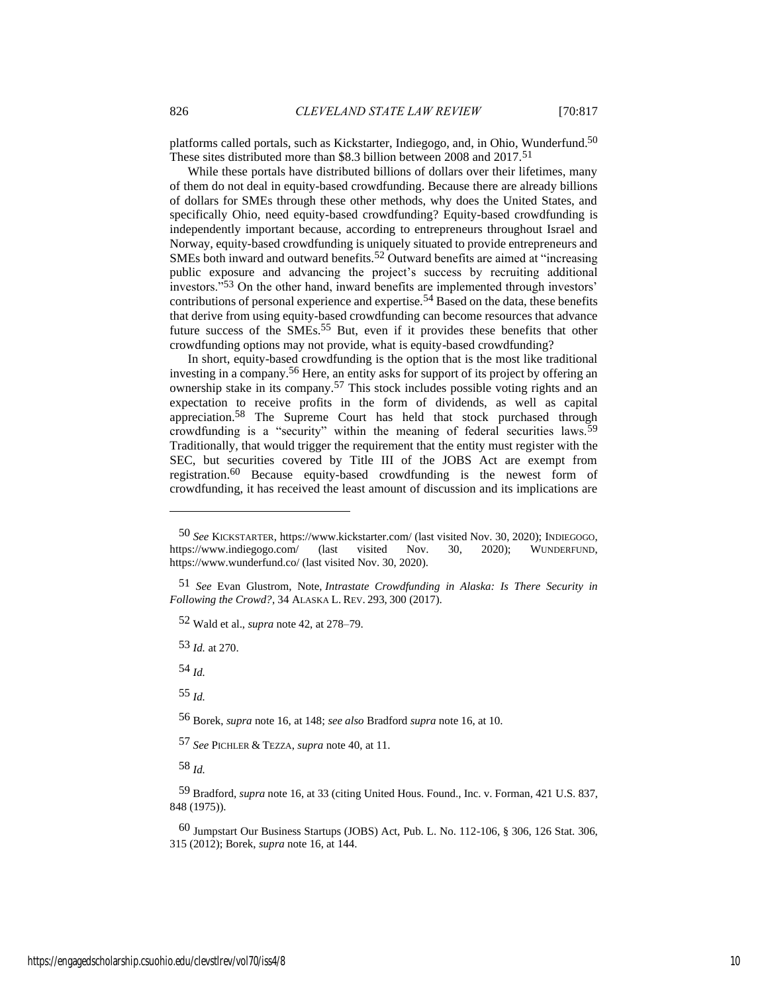platforms called portals, such as Kickstarter, Indiegogo, and, in Ohio, Wunderfund.<sup>50</sup> These sites distributed more than \$8.3 billion between 2008 and 2017.<sup>51</sup>

While these portals have distributed billions of dollars over their lifetimes, many of them do not deal in equity-based crowdfunding. Because there are already billions of dollars for SMEs through these other methods, why does the United States, and specifically Ohio, need equity-based crowdfunding? Equity-based crowdfunding is independently important because, according to entrepreneurs throughout Israel and Norway, equity-based crowdfunding is uniquely situated to provide entrepreneurs and SMEs both inward and outward benefits.<sup>52</sup> Outward benefits are aimed at "increasing public exposure and advancing the project's success by recruiting additional investors."53 On the other hand, inward benefits are implemented through investors' contributions of personal experience and expertise.<sup>54</sup> Based on the data, these benefits that derive from using equity-based crowdfunding can become resources that advance future success of the SMEs.<sup>55</sup> But, even if it provides these benefits that other crowdfunding options may not provide, what is equity-based crowdfunding?

In short, equity-based crowdfunding is the option that is the most like traditional investing in a company.56 Here, an entity asks for support of its project by offering an ownership stake in its company.57 This stock includes possible voting rights and an expectation to receive profits in the form of dividends, as well as capital appreciation.58 The Supreme Court has held that stock purchased through crowdfunding is a "security" within the meaning of federal securities laws.59 Traditionally, that would trigger the requirement that the entity must register with the SEC, but securities covered by Title III of the JOBS Act are exempt from registration.60 Because equity-based crowdfunding is the newest form of crowdfunding, it has received the least amount of discussion and its implications are

52 Wald et al., *supra* note 42, at 278–79.

53 *Id.* at 270.

54 *Id.*

55 *Id.*

56 Borek, *supra* note 16, at 148; *see also* Bradford *supra* note 16, at 10.

57 *See* PICHLER & TEZZA, *supra* note 40, at 11.

58 *Id.*

60 Jumpstart Our Business Startups (JOBS) Act, Pub. L. No. 112-106, § 306, 126 Stat. 306, 315 (2012); Borek, *supra* note 16, at 144.

<sup>50</sup> *See* KICKSTARTER, https://www.kickstarter.com/ (last visited Nov. 30, 2020); INDIEGOGO, https://www.indiegogo.com/ (last visited Nov. 30, 2020); WUNDERFUND, https://www.wunderfund.co/ (last visited Nov. 30, 2020).

<sup>51</sup> *See* Evan Glustrom, Note, *Intrastate Crowdfunding in Alaska: Is There Security in Following the Crowd?*, 34 ALASKA L. REV. 293, 300 (2017).

<sup>59</sup> Bradford, *supra* note 16, at 33 (citing United Hous. Found., Inc. v. Forman, 421 U.S. 837, 848 (1975)).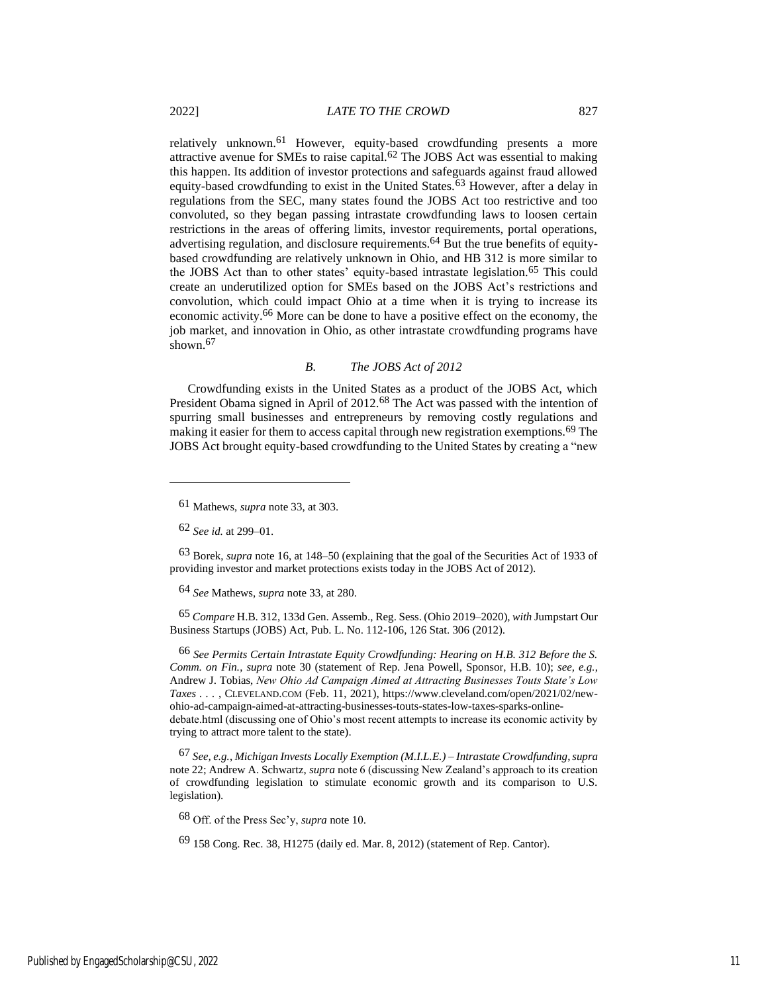relatively unknown.61 However, equity-based crowdfunding presents a more attractive avenue for SMEs to raise capital.62 The JOBS Act was essential to making this happen. Its addition of investor protections and safeguards against fraud allowed equity-based crowdfunding to exist in the United States.<sup>63</sup> However, after a delay in regulations from the SEC, many states found the JOBS Act too restrictive and too convoluted, so they began passing intrastate crowdfunding laws to loosen certain restrictions in the areas of offering limits, investor requirements, portal operations, advertising regulation, and disclosure requirements.<sup>64</sup> But the true benefits of equitybased crowdfunding are relatively unknown in Ohio, and HB 312 is more similar to the JOBS Act than to other states' equity-based intrastate legislation.65 This could create an underutilized option for SMEs based on the JOBS Act's restrictions and convolution, which could impact Ohio at a time when it is trying to increase its economic activity.66 More can be done to have a positive effect on the economy, the job market, and innovation in Ohio, as other intrastate crowdfunding programs have shown.<sup>67</sup>

### *B. The JOBS Act of 2012*

Crowdfunding exists in the United States as a product of the JOBS Act, which President Obama signed in April of 2012.68 The Act was passed with the intention of spurring small businesses and entrepreneurs by removing costly regulations and making it easier for them to access capital through new registration exemptions.<sup>69</sup> The JOBS Act brought equity-based crowdfunding to the United States by creating a "new

63 Borek, *supra* note 16, at 148–50 (explaining that the goal of the Securities Act of 1933 of providing investor and market protections exists today in the JOBS Act of 2012).

64 *See* Mathews, *supra* note 33, at 280.

65 *Compare* H.B. 312, 133d Gen. Assemb., Reg. Sess. (Ohio 2019–2020), *with* Jumpstart Our Business Startups (JOBS) Act, Pub. L. No. 112-106, 126 Stat. 306 (2012).

66 *See Permits Certain Intrastate Equity Crowdfunding: Hearing on H.B. 312 Before the S. Comm. on Fin.*, *supra* note 30 (statement of Rep. Jena Powell, Sponsor, H.B. 10); *see, e.g.*, Andrew J. Tobias, *New Ohio Ad Campaign Aimed at Attracting Businesses Touts State's Low Taxes . . .* , CLEVELAND.COM (Feb. 11, 2021), https://www.cleveland.com/open/2021/02/newohio-ad-campaign-aimed-at-attracting-businesses-touts-states-low-taxes-sparks-onlinedebate.html (discussing one of Ohio's most recent attempts to increase its economic activity by trying to attract more talent to the state).

67 *See, e.g.*, *Michigan Invests Locally Exemption (M.I.L.E.) – Intrastate Crowdfunding*,*supra* note 22; Andrew A. Schwartz, *supra* note 6 (discussing New Zealand's approach to its creation of crowdfunding legislation to stimulate economic growth and its comparison to U.S. legislation).

68 Off. of the Press Sec'y, *supra* note 10.

69 158 Cong. Rec. 38, H1275 (daily ed. Mar. 8, 2012) (statement of Rep. Cantor).

<sup>61</sup> Mathews, *supra* note 33, at 303.

<sup>62</sup> *See id.* at 299–01.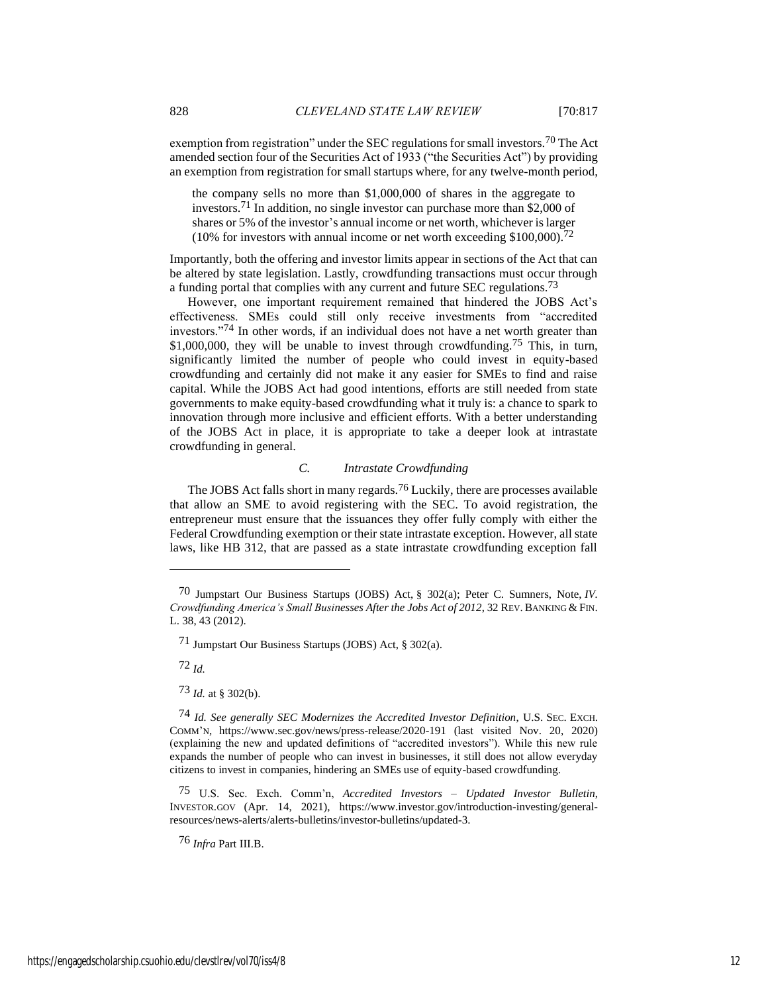exemption from registration" under the SEC regulations for small investors.<sup>70</sup> The Act amended section four of the Securities Act of 1933 ("the Securities Act") by providing an exemption from registration for small startups where, for any twelve-month period,

the company sells no more than \$1,000,000 of shares in the aggregate to investors.71 In addition, no single investor can purchase more than \$2,000 of shares or 5% of the investor's annual income or net worth, whichever is larger (10% for investors with annual income or net worth exceeding  $$100,000$ ).<sup>72</sup>

Importantly, both the offering and investor limits appear in sections of the Act that can be altered by state legislation. Lastly, crowdfunding transactions must occur through a funding portal that complies with any current and future SEC regulations.<sup>73</sup>

However, one important requirement remained that hindered the JOBS Act's effectiveness. SMEs could still only receive investments from "accredited investors."74 In other words, if an individual does not have a net worth greater than \$1,000,000, they will be unable to invest through crowdfunding.<sup>75</sup> This, in turn, significantly limited the number of people who could invest in equity-based crowdfunding and certainly did not make it any easier for SMEs to find and raise capital. While the JOBS Act had good intentions, efforts are still needed from state governments to make equity-based crowdfunding what it truly is: a chance to spark to innovation through more inclusive and efficient efforts. With a better understanding of the JOBS Act in place, it is appropriate to take a deeper look at intrastate crowdfunding in general.

# *C. Intrastate Crowdfunding*

The JOBS Act falls short in many regards.<sup>76</sup> Luckily, there are processes available that allow an SME to avoid registering with the SEC. To avoid registration, the entrepreneur must ensure that the issuances they offer fully comply with either the Federal Crowdfunding exemption or their state intrastate exception. However, all state laws, like HB 312, that are passed as a state intrastate crowdfunding exception fall

72 *Id.*

73 *Id.* at § 302(b).

76 *Infra* Part III.B.

<sup>70</sup> Jumpstart Our Business Startups (JOBS) Act, [§ 302\(a\);](https://1.next.westlaw.com/Link/Document/FullText?findType=l&pubNum=1077005&cite=UUID(IEDA0DB507F-F611E182A78-02C2D8DC351)&originatingDoc=I2eac5e07a39c11e28578f7ccc38dcbee&refType=SL&originationContext=document&transitionType=DocumentItem&contextData=(sc.Folder*cid.e391b6a4fa724e5484188ae76452d6a8*oc.DocLink)) Peter C. Sumners, Note, *IV. Crowdfunding America's Small Businesses After the Jobs Act of 2012*, 32 REV. BANKING & FIN. L. 38, 43 (2012).

<sup>71</sup> Jumpstart Our Business Startups (JOBS) Act, [§ 302\(a\).](https://1.next.westlaw.com/Link/Document/FullText?findType=l&pubNum=1077005&cite=UUID(IEDA0DB507F-F611E182A78-02C2D8DC351)&originatingDoc=I2eac5e07a39c11e28578f7ccc38dcbee&refType=SL&originationContext=document&transitionType=DocumentItem&contextData=(sc.Folder*cid.e391b6a4fa724e5484188ae76452d6a8*oc.DocLink))

<sup>74</sup> *Id. See generally SEC Modernizes the Accredited Investor Definition*, U.S. SEC. EXCH. COMM'N, https://www.sec.gov/news/press-release/2020-191 (last visited Nov. 20, 2020) (explaining the new and updated definitions of "accredited investors"). While this new rule expands the number of people who can invest in businesses, it still does not allow everyday citizens to invest in companies, hindering an SMEs use of equity-based crowdfunding.

<sup>75</sup> U.S. Sec. Exch. Comm'n, *Accredited Investors – Updated Investor Bulletin*, INVESTOR.GOV (Apr. 14, 2021), https://www.investor.gov/introduction-investing/generalresources/news-alerts/alerts-bulletins/investor-bulletins/updated-3.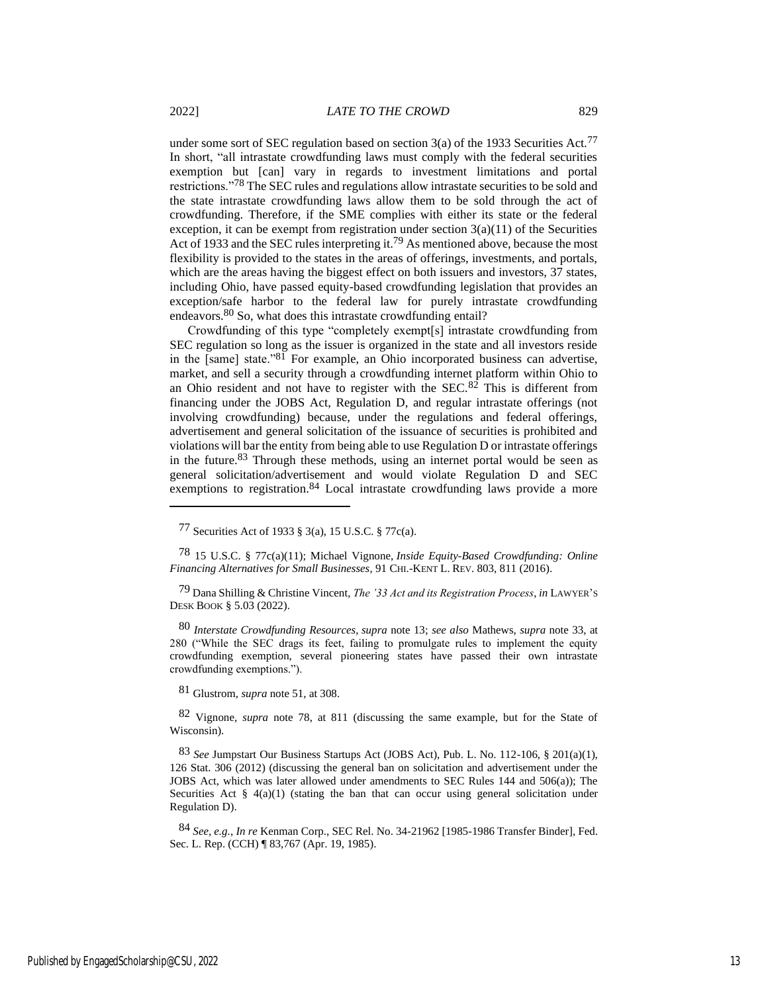under some sort of SEC regulation based on section  $3(a)$  of the 1933 Securities Act.<sup>77</sup> In short, "all intrastate crowdfunding laws must comply with the federal securities exemption but [can] vary in regards to investment limitations and portal restrictions."78 The SEC rules and regulations allow intrastate securities to be sold and the state intrastate crowdfunding laws allow them to be sold through the act of crowdfunding. Therefore, if the SME complies with either its state or the federal exception, it can be exempt from registration under section  $3(a)(11)$  of the Securities Act of 1933 and the SEC rules interpreting it.79 As mentioned above, because the most flexibility is provided to the states in the areas of offerings, investments, and portals, which are the areas having the biggest effect on both issuers and investors, 37 states, including Ohio, have passed equity-based crowdfunding legislation that provides an exception/safe harbor to the federal law for purely intrastate crowdfunding endeavors.<sup>80</sup> So, what does this intrastate crowdfunding entail?

Crowdfunding of this type "completely exempt[s] intrastate crowdfunding from SEC regulation so long as the issuer is organized in the state and all investors reside in the [same] state."81 For example, an Ohio incorporated business can advertise, market, and sell a security through a crowdfunding internet platform within Ohio to an Ohio resident and not have to register with the SEC.82 This is different from financing under the JOBS Act, Regulation D, and regular intrastate offerings (not involving crowdfunding) because, under the regulations and federal offerings, advertisement and general solicitation of the issuance of securities is prohibited and violations will bar the entity from being able to use Regulation D or intrastate offerings in the future. $83$  Through these methods, using an internet portal would be seen as general solicitation/advertisement and would violate Regulation D and SEC exemptions to registration.<sup>84</sup> Local intrastate crowdfunding laws provide a more

80 *Interstate Crowdfunding Resources*, *supra* note 13; *see also* Mathews, *supra* note 33, at 280 ("While the SEC drags its feet, failing to promulgate rules to implement the equity crowdfunding exemption, several pioneering states have passed their own intrastate crowdfunding exemptions.").

81 Glustrom, *supra* note 51, at 308.

82 Vignone, *supra* note 78, at 811 (discussing the same example, but for the State of Wisconsin).

83 *See* Jumpstart Our Business Startups Act (JOBS Act), Pub. L. No. 112-106, § 201(a)(1), 126 Stat. 306 (2012) (discussing the general ban on solicitation and advertisement under the JOBS Act, which was later allowed under amendments to SEC Rules 144 and 506(a)); The Securities Act  $\S$  4(a)(1) (stating the ban that can occur using general solicitation under Regulation D).

84 *See, e.g.*, *In re* Kenman Corp., SEC Rel. No. 34-21962 [1985-1986 Transfer Binder], Fed. Sec. L. Rep. (CCH) ¶ 83,767 (Apr. 19, 1985).

<sup>77</sup> Securities Act of 1933 § 3(a), 15 U.S.C. § 77c(a).

<sup>78</sup> 15 U.S.C. § 77c(a)(11); Michael Vignone, *Inside Equity-Based Crowdfunding: Online Financing Alternatives for Small Businesses*, 91 CHI.-KENT L. REV. 803, 811 (2016).

<sup>79</sup> Dana Shilling & Christine Vincent, *The '33 Act and its Registration Process*, *in* LAWYER'<sup>S</sup> DESK BOOK § 5.03 (2022).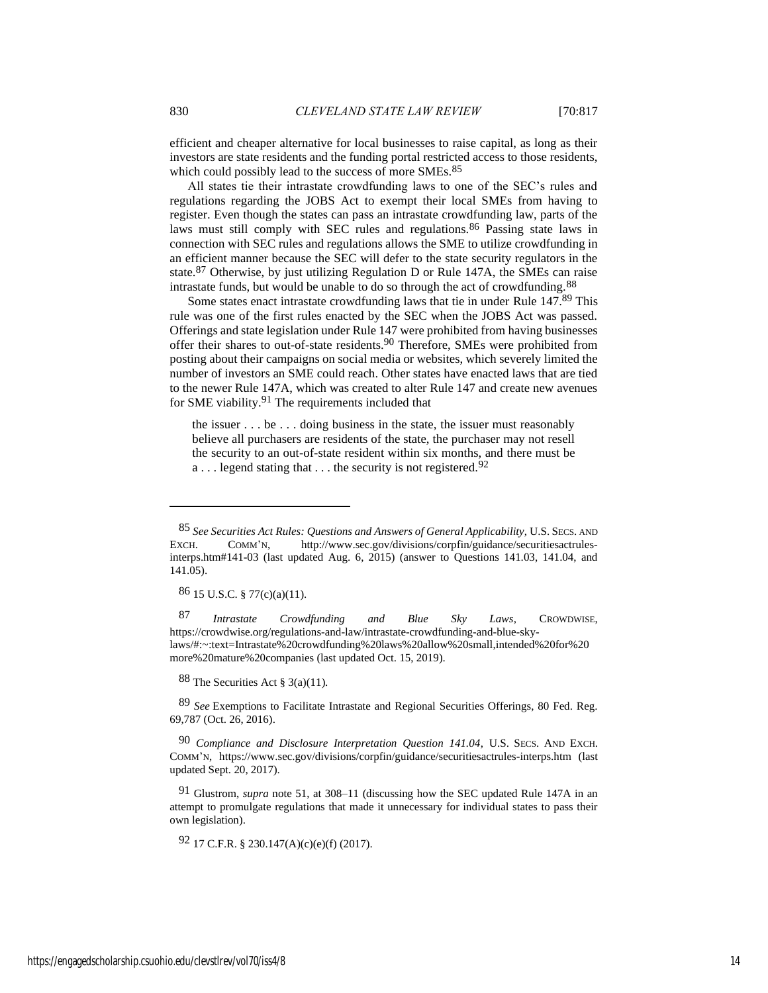efficient and cheaper alternative for local businesses to raise capital, as long as their investors are state residents and the funding portal restricted access to those residents, which could possibly lead to the success of more SMEs.<sup>85</sup>

All states tie their intrastate crowdfunding laws to one of the SEC's rules and regulations regarding the JOBS Act to exempt their local SMEs from having to register. Even though the states can pass an intrastate crowdfunding law, parts of the laws must still comply with SEC rules and regulations.<sup>86</sup> Passing state laws in connection with SEC rules and regulations allows the SME to utilize crowdfunding in an efficient manner because the SEC will defer to the state security regulators in the state.87 Otherwise, by just utilizing Regulation D or Rule 147A, the SMEs can raise intrastate funds, but would be unable to do so through the act of crowdfunding.88

Some states enact intrastate crowdfunding laws that tie in under Rule 147.<sup>89</sup> This rule was one of the first rules enacted by the SEC when the JOBS Act was passed. Offerings and state legislation under Rule 147 were prohibited from having businesses offer their shares to out-of-state residents.90 Therefore, SMEs were prohibited from posting about their campaigns on social media or websites, which severely limited the number of investors an SME could reach. Other states have enacted laws that are tied to the newer Rule 147A, which was created to alter Rule 147 and create new avenues for SME viability.91 The requirements included that

the issuer . . . be . . . doing business in the state, the issuer must reasonably believe all purchasers are residents of the state, the purchaser may not resell the security to an out-of-state resident within six months, and there must be a  $\dots$  legend stating that  $\dots$  the security is not registered.<sup>92</sup>

86 15 U.S.C. § 77(c)(a)(11).

87 *Intrastate Crowdfunding and Blue Sky Laws*, CROWDWISE, https://crowdwise.org/regulations-and-law/intrastate-crowdfunding-and-blue-skylaws/#:~:text=Intrastate%20crowdfunding%20laws%20allow%20small,intended%20for%20 more%20mature%20companies (last updated Oct. 15, 2019).

88 The Securities Act § 3(a)(11).

89 *See* [Exemptions to Facilitate Intrastate and Regional Securities Offerings, 80 Fed. Reg.](https://1.next.westlaw.com/Link/Document/FullText?findType=l&pubNum=0001037&cite=UUID(I58BF2140878111E5994EFA0A7643DDA3)&originatingDoc=If28c94b8f58e11e79bf099c0ee06c731&refType=CP&fi=co_pp_sp_1037_69787&originationContext=document&transitionType=DocumentItem&contextData=(sc.History*oc.Search)#co_pp_sp_1037_69787)  [69,787 \(Oct. 26, 2016\).](https://1.next.westlaw.com/Link/Document/FullText?findType=l&pubNum=0001037&cite=UUID(I58BF2140878111E5994EFA0A7643DDA3)&originatingDoc=If28c94b8f58e11e79bf099c0ee06c731&refType=CP&fi=co_pp_sp_1037_69787&originationContext=document&transitionType=DocumentItem&contextData=(sc.History*oc.Search)#co_pp_sp_1037_69787)

90 *Compliance and Disclosure Interpretation Question 141.04*, U.S. SECS. AND EXCH. COMM'N, https://www.sec.gov/divisions/corpfin/guidance/securitiesactrules-interps.htm (last updated Sept. 20, 2017).

91 Glustrom, *supra* note 51, at 308–11 (discussing how the SEC updated Rule 147A in an attempt to promulgate regulations that made it unnecessary for individual states to pass their own legislation).

92 17 C.F.R. § 230.147(A)(c)(e)(f) (2017).

<sup>85</sup> *See Securities Act Rules: Questions and Answers of General Applicability*, U.S. SECS. AND EXCH. COMM'N, http://www.sec.gov/divisions/corpfin/guidance/securitiesactrulesinterps.htm#141-03 (last updated Aug. 6, 2015) (answer to Questions 141.03, 141.04, and 141.05).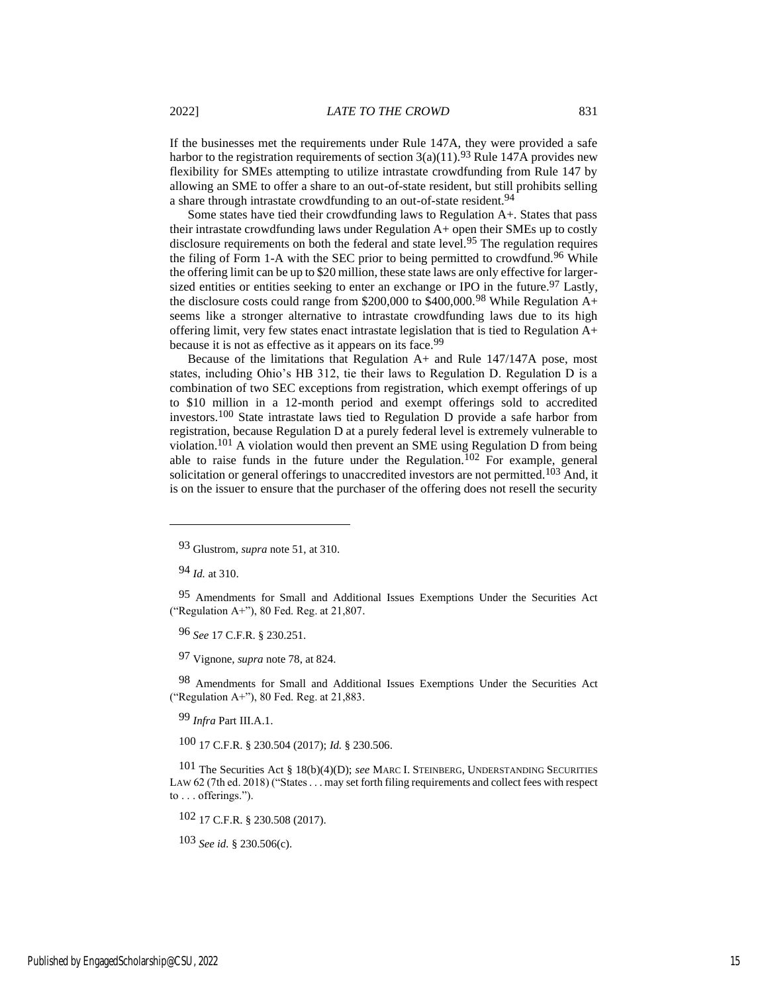If the businesses met the requirements under Rule 147A, they were provided a safe harbor to the registration requirements of section  $3(a)(11)$ .<sup>93</sup> Rule 147A provides new flexibility for SMEs attempting to utilize intrastate crowdfunding from Rule 147 by allowing an SME to offer a share to an out-of-state resident, but still prohibits selling a share through intrastate crowdfunding to an out-of-state resident.94

Some states have tied their crowdfunding laws to Regulation A+. States that pass their intrastate crowdfunding laws under Regulation A+ open their SMEs up to costly disclosure requirements on both the federal and state level.<sup>95</sup> The regulation requires the filing of Form 1-A with the SEC prior to being permitted to crowdfund.<sup>96</sup> While the offering limit can be up to \$20 million, these state laws are only effective for largersized entities or entities seeking to enter an exchange or IPO in the future.<sup>97</sup> Lastly, the disclosure costs could range from \$200,000 to \$400,000.<sup>98</sup> While Regulation  $A+$ seems like a stronger alternative to intrastate crowdfunding laws due to its high offering limit, very few states enact intrastate legislation that is tied to Regulation A+ because it is not as effective as it appears on its face.<sup>99</sup>

Because of the limitations that Regulation A+ and Rule 147/147A pose, most states, including Ohio's HB 312, tie their laws to Regulation D. Regulation D is a combination of two SEC exceptions from registration, which exempt offerings of up to \$10 million in a 12-month period and exempt offerings sold to accredited investors.100 State intrastate laws tied to Regulation D provide a safe harbor from registration, because Regulation D at a purely federal level is extremely vulnerable to violation.101 A violation would then prevent an SME using Regulation D from being able to raise funds in the future under the Regulation.<sup>102</sup> For example, general solicitation or general offerings to unaccredited investors are not permitted.<sup>103</sup> And, it is on the issuer to ensure that the purchaser of the offering does not resell the security

94 *Id.* at 310.

95 [Amendments for Small and Additional Issues Exemptions Under the Securities Act](https://1.next.westlaw.com/Link/Document/FullText?findType=l&pubNum=0001037&cite=UUID(I300C7410E72B11E4A94CE52378DD9F01)&originatingDoc=I705aabc0424711e698dc8b09b4f043e0&refType=CP&fi=co_pp_sp_1037_21807&originationContext=document&transitionType=DocumentItem&contextData=(sc.History*oc.Search)#co_pp_sp_1037_21807)  [\("Regulation A+"\), 80 Fed. Reg. at 21,807.](https://1.next.westlaw.com/Link/Document/FullText?findType=l&pubNum=0001037&cite=UUID(I300C7410E72B11E4A94CE52378DD9F01)&originatingDoc=I705aabc0424711e698dc8b09b4f043e0&refType=CP&fi=co_pp_sp_1037_21807&originationContext=document&transitionType=DocumentItem&contextData=(sc.History*oc.Search)#co_pp_sp_1037_21807)

96 *See* 17 C.F.R. § 230.251.

97 Vignone, *supra* note 78, at 824.

98 Amendments for Small and Additional Issues Exemptions Under the Securities Act ("Regulation A+"), 80 Fed. Reg. at 21,883.

99 *Infra* Part III.A.1.

100 17 C.F.R. § 230.504 (2017); *Id.* § 230.506.

101 The Securities Act § 18(b)(4)(D); *see* MARC I. STEINBERG, UNDERSTANDING SECURITIES LAW 62 (7th ed. 2018) ("States . . . may set forth filing requirements and collect fees with respect to . . . offerings.").

102 17 C.F.R. § 230.508 (2017).

103 *See id.* § 230.506(c).

<sup>93</sup> Glustrom, *supra* note 51, at 310.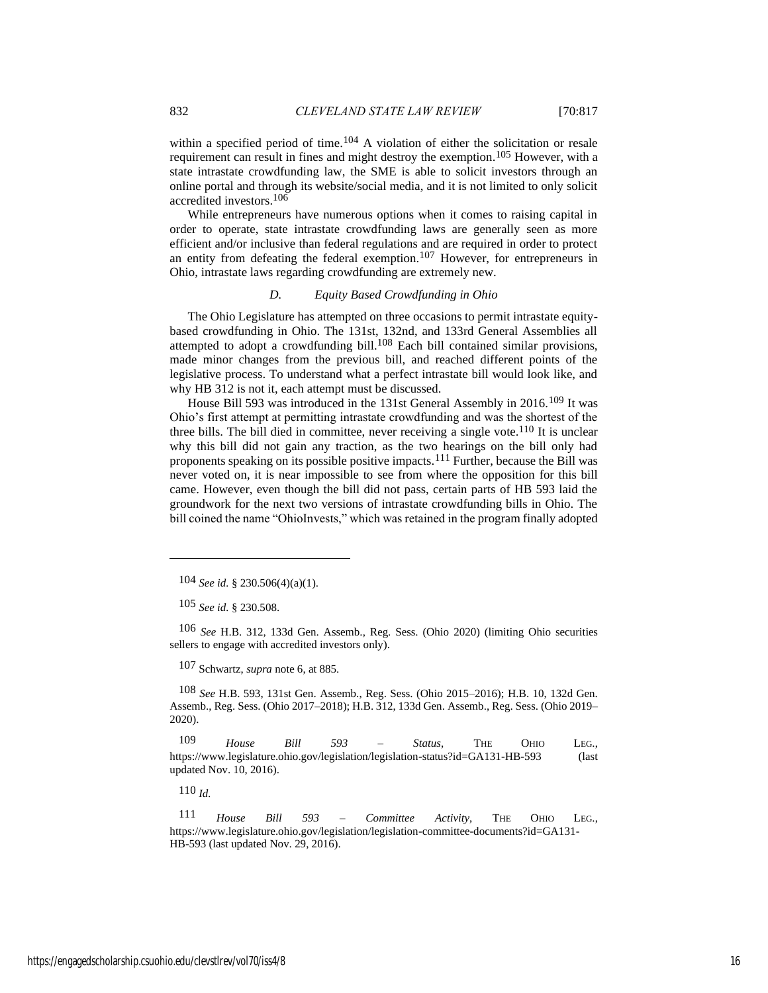within a specified period of time.<sup>104</sup> A violation of either the solicitation or resale requirement can result in fines and might destroy the exemption.<sup>105</sup> However, with a state intrastate crowdfunding law, the SME is able to solicit investors through an online portal and through its website/social media, and it is not limited to only solicit accredited investors. 106

While entrepreneurs have numerous options when it comes to raising capital in order to operate, state intrastate crowdfunding laws are generally seen as more efficient and/or inclusive than federal regulations and are required in order to protect an entity from defeating the federal exemption.107 However, for entrepreneurs in Ohio, intrastate laws regarding crowdfunding are extremely new.

#### *D. Equity Based Crowdfunding in Ohio*

The Ohio Legislature has attempted on three occasions to permit intrastate equitybased crowdfunding in Ohio. The 131st, 132nd, and 133rd General Assemblies all attempted to adopt a crowdfunding bill.108 Each bill contained similar provisions, made minor changes from the previous bill, and reached different points of the legislative process. To understand what a perfect intrastate bill would look like, and why HB 312 is not it, each attempt must be discussed.

House Bill 593 was introduced in the 131st General Assembly in 2016.<sup>109</sup> It was Ohio's first attempt at permitting intrastate crowdfunding and was the shortest of the three bills. The bill died in committee, never receiving a single vote. $110$  It is unclear why this bill did not gain any traction, as the two hearings on the bill only had proponents speaking on its possible positive impacts.111 Further, because the Bill was never voted on, it is near impossible to see from where the opposition for this bill came. However, even though the bill did not pass, certain parts of HB 593 laid the groundwork for the next two versions of intrastate crowdfunding bills in Ohio. The bill coined the name "OhioInvests," which was retained in the program finally adopted

105 *See id.* § 230.508.

106 *See* H.B. 312, 133d Gen. Assemb., Reg. Sess. (Ohio 2020) (limiting Ohio securities sellers to engage with accredited investors only).

107 Schwartz, *supra* note 6, at 885.

108 *See* H.B. 593, 131st Gen. Assemb., Reg. Sess. (Ohio 2015–2016); H.B. 10, 132d Gen. Assemb., Reg. Sess. (Ohio 2017–2018); H.B. 312, 133d Gen. Assemb., Reg. Sess. (Ohio 2019– 2020).

109 *House Bill 593 – Status*, THE OHIO LEG., https://www.legislature.ohio.gov/legislation/legislation-status?id=GA131-HB-593 (last updated Nov. 10, 2016).

110 *Id.*

111 *House Bill 593 – Committee Activity*, THE OHIO LEG., https://www.legislature.ohio.gov/legislation/legislation-committee-documents?id=GA131- HB-593 (last updated Nov. 29, 2016).

<sup>104</sup> *See id.* § 230.506(4)(a)(1).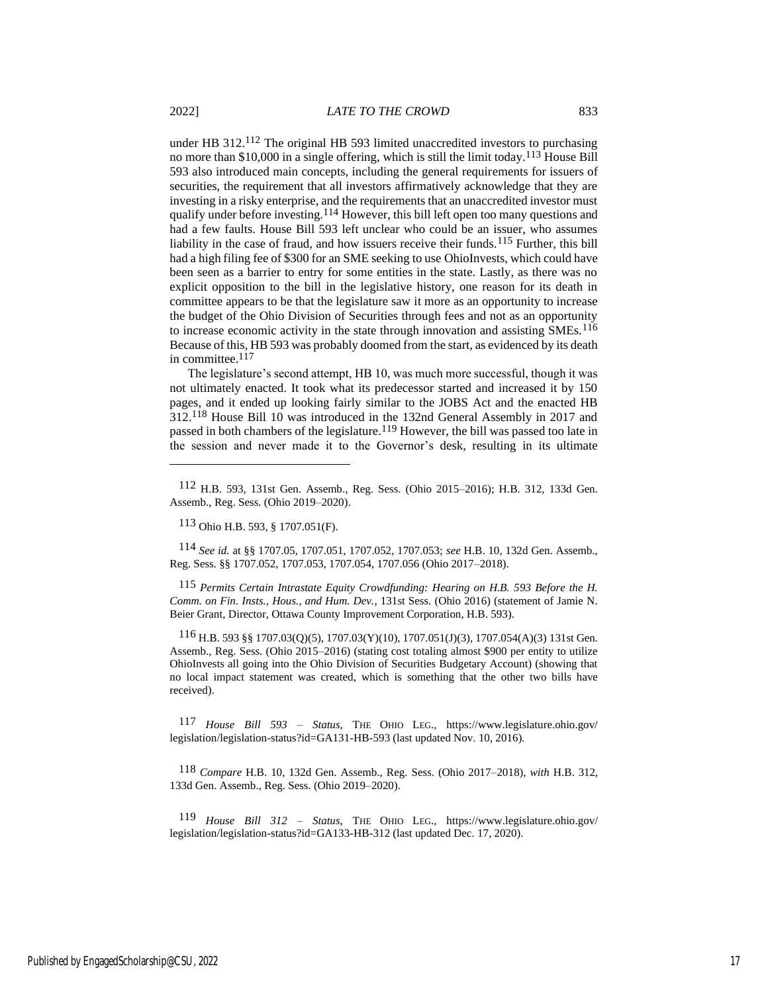under HB 312.<sup>112</sup> The original HB 593 limited unaccredited investors to purchasing no more than \$10,000 in a single offering, which is still the limit today.<sup>113</sup> House Bill 593 also introduced main concepts, including the general requirements for issuers of securities, the requirement that all investors affirmatively acknowledge that they are investing in a risky enterprise, and the requirements that an unaccredited investor must qualify under before investing.114 However, this bill left open too many questions and had a few faults. House Bill 593 left unclear who could be an issuer, who assumes liability in the case of fraud, and how issuers receive their funds.115 Further, this bill had a high filing fee of \$300 for an SME seeking to use OhioInvests, which could have been seen as a barrier to entry for some entities in the state. Lastly, as there was no explicit opposition to the bill in the legislative history, one reason for its death in committee appears to be that the legislature saw it more as an opportunity to increase the budget of the Ohio Division of Securities through fees and not as an opportunity to increase economic activity in the state through innovation and assisting SMEs.<sup>116</sup> Because of this, HB 593 was probably doomed from the start, as evidenced by its death in committee.<sup>117</sup>

The legislature's second attempt, HB 10, was much more successful, though it was not ultimately enacted. It took what its predecessor started and increased it by 150 pages, and it ended up looking fairly similar to the JOBS Act and the enacted HB 312.118 House Bill 10 was introduced in the 132nd General Assembly in 2017 and passed in both chambers of the legislature.119 However, the bill was passed too late in the session and never made it to the Governor's desk, resulting in its ultimate

114 *See id.* at §§ 1707.05, 1707.051, 1707.052, 1707.053; *see* H.B. 10, 132d Gen. Assemb., Reg. Sess. §§ 1707.052, 1707.053, 1707.054, 1707.056 (Ohio 2017–2018).

115 *Permits Certain Intrastate Equity Crowdfunding: Hearing on H.B. 593 Before the H. Comm. on Fin. Insts., Hous., and Hum. Dev.*, 131st Sess. (Ohio 2016) (statement of Jamie N. Beier Grant, Director, Ottawa County Improvement Corporation, H.B. 593).

116 H.B. 593 §§ 1707.03(Q)(5), 1707.03(Y)(10), 1707.051(J)(3), 1707.054(A)(3) 131st Gen. Assemb., Reg. Sess. (Ohio 2015–2016) (stating cost totaling almost \$900 per entity to utilize OhioInvests all going into the Ohio Division of Securities Budgetary Account) (showing that no local impact statement was created, which is something that the other two bills have received).

117 *House Bill 593 – Status*, THE OHIO LEG., https://www.legislature.ohio.gov/ legislation/legislation-status?id=GA131-HB-593 (last updated Nov. 10, 2016).

118 *Compare* H.B. 10, 132d Gen. Assemb., Reg. Sess. (Ohio 2017–2018), *with* H.B. 312, 133d Gen. Assemb., Reg. Sess. (Ohio 2019–2020).

119 *House Bill 312 – Status*, THE OHIO LEG., https://www.legislature.ohio.gov/ legislation/legislation-status?id=GA133-HB-312 (last updated Dec. 17, 2020).

<sup>112</sup> H.B. 593, 131st Gen. Assemb., Reg. Sess. (Ohio 2015–2016); H.B. 312, 133d Gen. Assemb., Reg. Sess. (Ohio 2019–2020).

<sup>113</sup> Ohio H.B. 593, § 1707.051(F).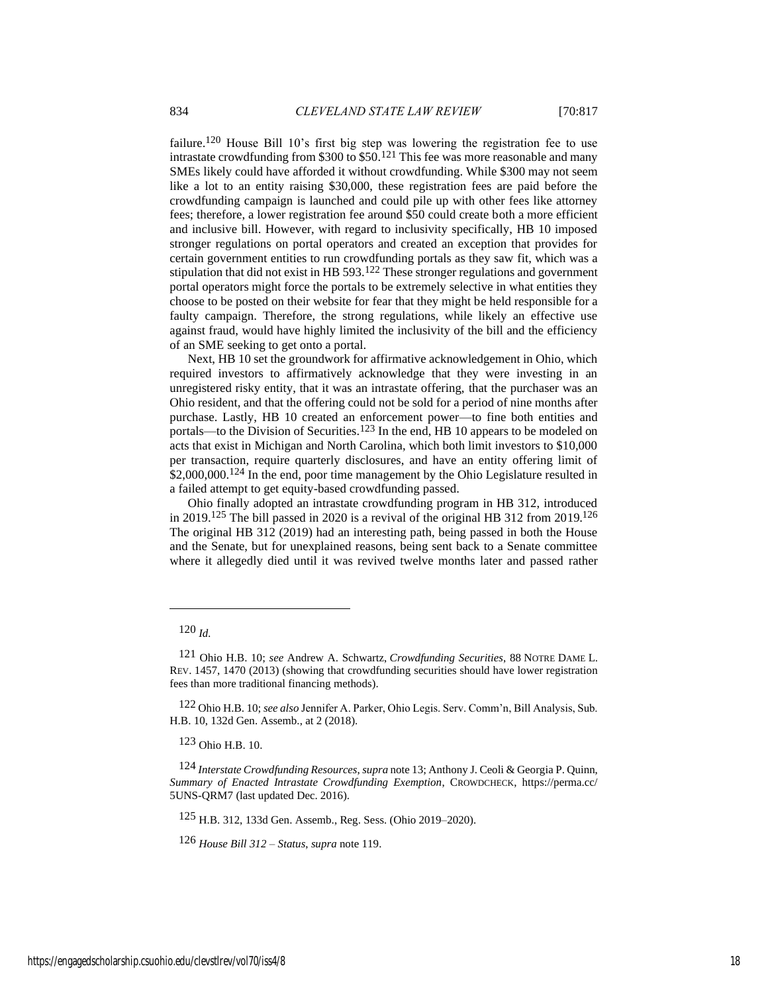failure.120 House Bill 10's first big step was lowering the registration fee to use intrastate crowdfunding from \$300 to  $$50<sup>121</sup>$  This fee was more reasonable and many SMEs likely could have afforded it without crowdfunding. While \$300 may not seem like a lot to an entity raising \$30,000, these registration fees are paid before the crowdfunding campaign is launched and could pile up with other fees like attorney fees; therefore, a lower registration fee around \$50 could create both a more efficient and inclusive bill. However, with regard to inclusivity specifically, HB 10 imposed stronger regulations on portal operators and created an exception that provides for certain government entities to run crowdfunding portals as they saw fit, which was a stipulation that did not exist in HB 593.122 These stronger regulations and government portal operators might force the portals to be extremely selective in what entities they choose to be posted on their website for fear that they might be held responsible for a faulty campaign. Therefore, the strong regulations, while likely an effective use against fraud, would have highly limited the inclusivity of the bill and the efficiency of an SME seeking to get onto a portal.

Next, HB 10 set the groundwork for affirmative acknowledgement in Ohio, which required investors to affirmatively acknowledge that they were investing in an unregistered risky entity, that it was an intrastate offering, that the purchaser was an Ohio resident, and that the offering could not be sold for a period of nine months after purchase. Lastly, HB 10 created an enforcement power—to fine both entities and portals—to the Division of Securities.<sup>123</sup> In the end, HB 10 appears to be modeled on acts that exist in Michigan and North Carolina, which both limit investors to \$10,000 per transaction, require quarterly disclosures, and have an entity offering limit of \$2,000,000.<sup>124</sup> In the end, poor time management by the Ohio Legislature resulted in a failed attempt to get equity-based crowdfunding passed.

Ohio finally adopted an intrastate crowdfunding program in HB 312, introduced in 2019.125 The bill passed in 2020 is a revival of the original HB 312 from 2019.126 The original HB 312 (2019) had an interesting path, being passed in both the House and the Senate, but for unexplained reasons, being sent back to a Senate committee where it allegedly died until it was revived twelve months later and passed rather

123 Ohio H.B. 10.

125 H.B. 312, 133d Gen. Assemb., Reg. Sess. (Ohio 2019–2020).

126 *House Bill 312 – Status*, *supra* note 119.

<sup>120</sup> *Id.*

<sup>121</sup> Ohio H.B. 10; *see* Andrew A. Schwartz, *[Crowdfunding Securities](https://1.next.westlaw.com/Link/Document/FullText?findType=Y&serNum=0388147758&pubNum=0001211&originatingDoc=I4954373a6a2511e8a5b2e3d9e23d7429&refType=LR&fi=co_pp_sp_1211_1458&originationContext=document&transitionType=DocumentItem&contextData=(sc.Folder*cid.1b630c12520b4316a486f487e23dac3b*oc.Search)#co_pp_sp_1211_1458)*, 88 NOTRE DAME L. REV. [1457, 1470 \(2013\)](https://1.next.westlaw.com/Link/Document/FullText?findType=Y&serNum=0388147758&pubNum=0001211&originatingDoc=I4954373a6a2511e8a5b2e3d9e23d7429&refType=LR&fi=co_pp_sp_1211_1458&originationContext=document&transitionType=DocumentItem&contextData=(sc.Folder*cid.1b630c12520b4316a486f487e23dac3b*oc.Search)#co_pp_sp_1211_1458) (showing that crowdfunding securities should have lower registration fees than more traditional financing methods).

<sup>122</sup> Ohio H.B. 10; *see also* Jennifer A. Parker, Ohio Legis. Serv. Comm'n, Bill Analysis, Sub. H.B. 10, 132d Gen. Assemb., at 2 (2018).

<sup>124</sup> *Interstate Crowdfunding Resources*, *supra* note 13; Anthony J. Ceoli & Georgia P. Quinn, *Summary of Enacted Intrastate Crowdfunding Exemption*, CROWDCHECK, https://perma.cc/ 5UNS-QRM7 (last updated Dec. 2016).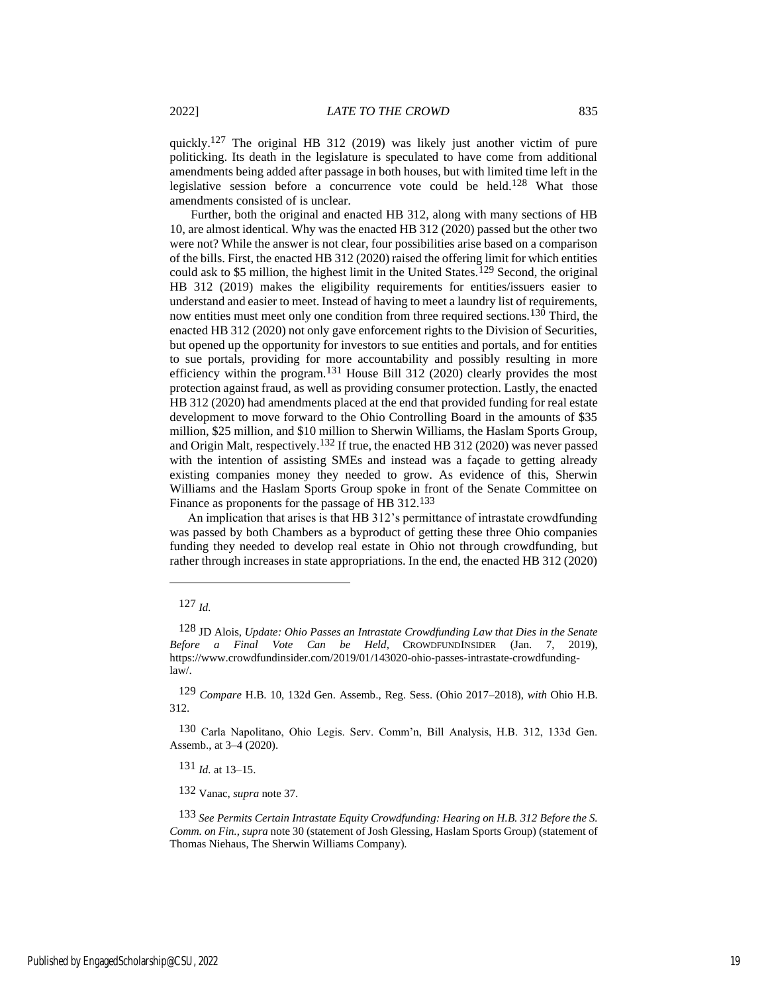quickly.<sup>127</sup> The original HB 312 (2019) was likely just another victim of pure politicking. Its death in the legislature is speculated to have come from additional amendments being added after passage in both houses, but with limited time left in the legislative session before a concurrence vote could be held.128 What those amendments consisted of is unclear.

Further, both the original and enacted HB 312, along with many sections of HB 10, are almost identical. Why was the enacted HB 312 (2020) passed but the other two were not? While the answer is not clear, four possibilities arise based on a comparison of the bills. First, the enacted HB 312 (2020) raised the offering limit for which entities could ask to \$5 million, the highest limit in the United States.<sup>129</sup> Second, the original HB 312 (2019) makes the eligibility requirements for entities/issuers easier to understand and easier to meet. Instead of having to meet a laundry list of requirements, now entities must meet only one condition from three required sections.<sup>130</sup> Third, the enacted HB 312 (2020) not only gave enforcement rights to the Division of Securities, but opened up the opportunity for investors to sue entities and portals, and for entities to sue portals, providing for more accountability and possibly resulting in more efficiency within the program.131 House Bill 312 (2020) clearly provides the most protection against fraud, as well as providing consumer protection. Lastly, the enacted HB 312 (2020) had amendments placed at the end that provided funding for real estate development to move forward to the Ohio Controlling Board in the amounts of \$35 million, \$25 million, and \$10 million to Sherwin Williams, the Haslam Sports Group, and Origin Malt, respectively.132 If true, the enacted HB 312 (2020) was never passed with the intention of assisting SMEs and instead was a façade to getting already existing companies money they needed to grow. As evidence of this, Sherwin Williams and the Haslam Sports Group spoke in front of the Senate Committee on Finance as proponents for the passage of HB 312.<sup>133</sup>

An implication that arises is that HB 312's permittance of intrastate crowdfunding was passed by both Chambers as a byproduct of getting these three Ohio companies funding they needed to develop real estate in Ohio not through crowdfunding, but rather through increases in state appropriations. In the end, the enacted HB 312 (2020)

131 *Id.* at 13–15.

132 Vanac, *supra* note 37.

133 *See Permits Certain Intrastate Equity Crowdfunding: Hearing on H.B. 312 Before the S. Comm. on Fin.*, *supra* note 30 (statement of Josh Glessing, Haslam Sports Group) (statement of Thomas Niehaus, The Sherwin Williams Company).

<sup>127</sup> *Id.*

<sup>128</sup> JD Alois, *Update: Ohio Passes an Intrastate Crowdfunding Law that Dies in the Senate Before a Final Vote Can be Held*, CROWDFUNDINSIDER (Jan. 7, 2019), https://www.crowdfundinsider.com/2019/01/143020-ohio-passes-intrastate-crowdfundinglaw/.

<sup>129</sup> *Compare* H.B. 10, 132d Gen. Assemb., Reg. Sess. (Ohio 2017–2018), *with* Ohio H.B. 312.

<sup>130</sup> Carla Napolitano, Ohio Legis. Serv. Comm'n, Bill Analysis, H.B. 312, 133d Gen. Assemb., at 3–4 (2020).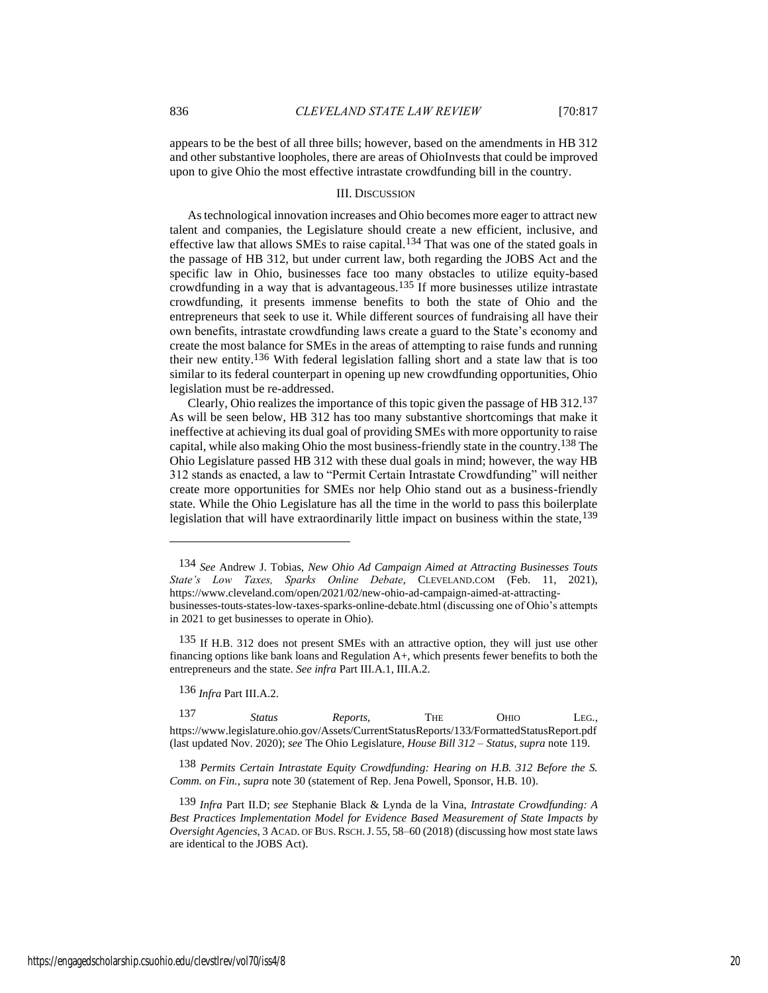appears to be the best of all three bills; however, based on the amendments in HB 312 and other substantive loopholes, there are areas of OhioInvests that could be improved upon to give Ohio the most effective intrastate crowdfunding bill in the country.

#### III. DISCUSSION

As technological innovation increases and Ohio becomes more eager to attract new talent and companies, the Legislature should create a new efficient, inclusive, and effective law that allows SMEs to raise capital.<sup>134</sup> That was one of the stated goals in the passage of HB 312, but under current law, both regarding the JOBS Act and the specific law in Ohio, businesses face too many obstacles to utilize equity-based crowdfunding in a way that is advantageous.135 If more businesses utilize intrastate crowdfunding, it presents immense benefits to both the state of Ohio and the entrepreneurs that seek to use it. While different sources of fundraising all have their own benefits, intrastate crowdfunding laws create a guard to the State's economy and create the most balance for SMEs in the areas of attempting to raise funds and running their new entity.136 With federal legislation falling short and a state law that is too similar to its federal counterpart in opening up new crowdfunding opportunities, Ohio legislation must be re-addressed.

Clearly, Ohio realizes the importance of this topic given the passage of HB 312.137 As will be seen below, HB 312 has too many substantive shortcomings that make it ineffective at achieving its dual goal of providing SMEs with more opportunity to raise capital, while also making Ohio the most business-friendly state in the country.138 The Ohio Legislature passed HB 312 with these dual goals in mind; however, the way HB 312 stands as enacted, a law to "Permit Certain Intrastate Crowdfunding" will neither create more opportunities for SMEs nor help Ohio stand out as a business-friendly state. While the Ohio Legislature has all the time in the world to pass this boilerplate legislation that will have extraordinarily little impact on business within the state,  $^{139}$ 

136 *Infra* Part III.A.2.

137 *Status Reports*, THE OHIO LEG., https://www.legislature.ohio.gov/Assets/CurrentStatusReports/133/FormattedStatusReport.pdf (last updated Nov. 2020); *see* The Ohio Legislature, *House Bill 312 – Status*, *supra* note 119.

138 *Permits Certain Intrastate Equity Crowdfunding: Hearing on H.B. 312 Before the S. Comm. on Fin.*, *supra* note 30 (statement of Rep. Jena Powell, Sponsor, H.B. 10).

<sup>134</sup> *See* Andrew J. Tobias, *New Ohio Ad Campaign Aimed at Attracting Businesses Touts State's Low Taxes, Sparks Online Debate*, CLEVELAND.COM (Feb. 11, 2021), https://www.cleveland.com/open/2021/02/new-ohio-ad-campaign-aimed-at-attractingbusinesses-touts-states-low-taxes-sparks-online-debate.html (discussing one of Ohio's attempts in 2021 to get businesses to operate in Ohio).

<sup>135</sup> If H.B. 312 does not present SMEs with an attractive option, they will just use other financing options like bank loans and Regulation A+, which presents fewer benefits to both the entrepreneurs and the state. *See infra* Part III.A.1, III.A.2.

<sup>139</sup> *Infra* Part II.D; *see* Stephanie Black & Lynda de la Vina, *Intrastate Crowdfunding: A Best Practices Implementation Model for Evidence Based Measurement of State Impacts by Oversight Agencies*, 3 ACAD. OF BUS.RSCH.J. 55, 58–60 (2018) (discussing how most state laws are identical to the JOBS Act).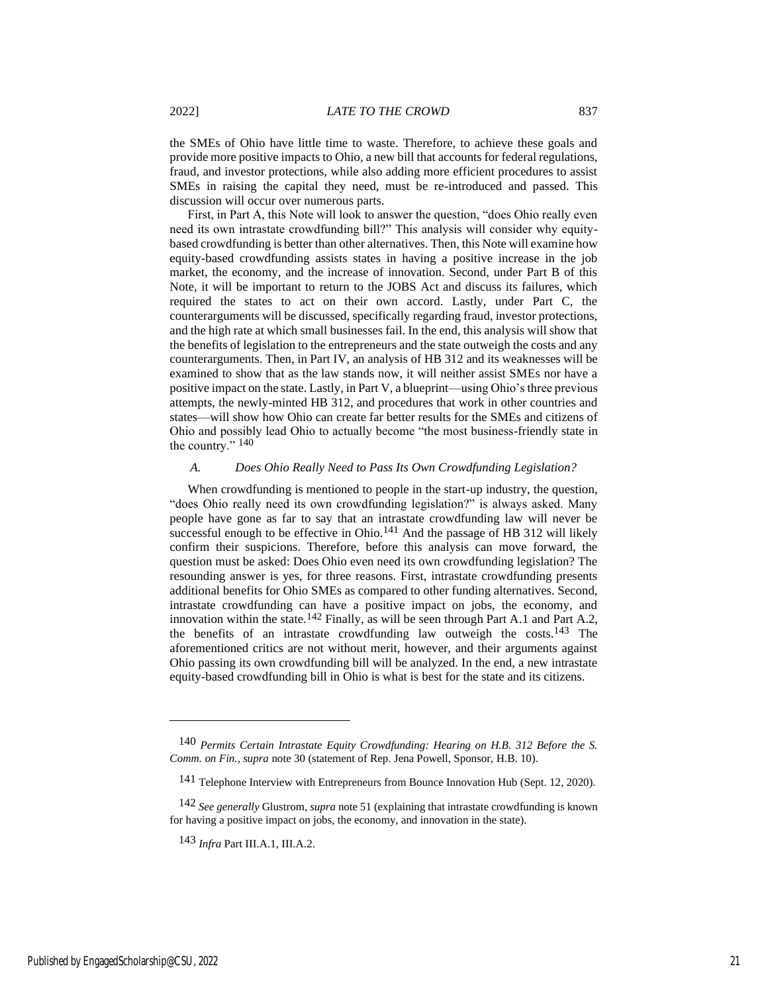the SMEs of Ohio have little time to waste. Therefore, to achieve these goals and provide more positive impacts to Ohio, a new bill that accounts for federal regulations, fraud, and investor protections, while also adding more efficient procedures to assist SMEs in raising the capital they need, must be re-introduced and passed. This discussion will occur over numerous parts.

First, in Part A, this Note will look to answer the question, "does Ohio really even need its own intrastate crowdfunding bill?" This analysis will consider why equitybased crowdfunding is better than other alternatives. Then, this Note will examine how equity-based crowdfunding assists states in having a positive increase in the job market, the economy, and the increase of innovation. Second, under Part B of this Note, it will be important to return to the JOBS Act and discuss its failures, which required the states to act on their own accord. Lastly, under Part C, the counterarguments will be discussed, specifically regarding fraud, investor protections, and the high rate at which small businesses fail. In the end, this analysis will show that the benefits of legislation to the entrepreneurs and the state outweigh the costs and any counterarguments. Then, in Part IV, an analysis of HB 312 and its weaknesses will be examined to show that as the law stands now, it will neither assist SMEs nor have a positive impact on the state. Lastly, in Part V, a blueprint—using Ohio's three previous attempts, the newly-minted HB 312, and procedures that work in other countries and states—will show how Ohio can create far better results for the SMEs and citizens of Ohio and possibly lead Ohio to actually become "the most business-friendly state in the country." 140

# *A. Does Ohio Really Need to Pass Its Own Crowdfunding Legislation?*

When crowdfunding is mentioned to people in the start-up industry, the question, "does Ohio really need its own crowdfunding legislation?" is always asked. Many people have gone as far to say that an intrastate crowdfunding law will never be successful enough to be effective in Ohio.<sup>141</sup> And the passage of HB 312 will likely confirm their suspicions. Therefore, before this analysis can move forward, the question must be asked: Does Ohio even need its own crowdfunding legislation? The resounding answer is yes, for three reasons. First, intrastate crowdfunding presents additional benefits for Ohio SMEs as compared to other funding alternatives. Second, intrastate crowdfunding can have a positive impact on jobs, the economy, and innovation within the state.<sup>142</sup> Finally, as will be seen through Part A.1 and Part A.2, the benefits of an intrastate crowdfunding law outweigh the costs.<sup>143</sup> The aforementioned critics are not without merit, however, and their arguments against Ohio passing its own crowdfunding bill will be analyzed. In the end, a new intrastate equity-based crowdfunding bill in Ohio is what is best for the state and its citizens.

<sup>140</sup> *Permits Certain Intrastate Equity Crowdfunding: Hearing on H.B. 312 Before the S. Comm. on Fin., supra* note 30 (statement of Rep. Jena Powell, Sponsor, H.B. 10).

<sup>141</sup> Telephone Interview with Entrepreneurs from Bounce Innovation Hub (Sept. 12, 2020).

<sup>142</sup> *See generally* Glustrom, *supra* note 51 (explaining that intrastate crowdfunding is known for having a positive impact on jobs, the economy, and innovation in the state).

<sup>143</sup> *Infra* Part III.A.1, III.A.2.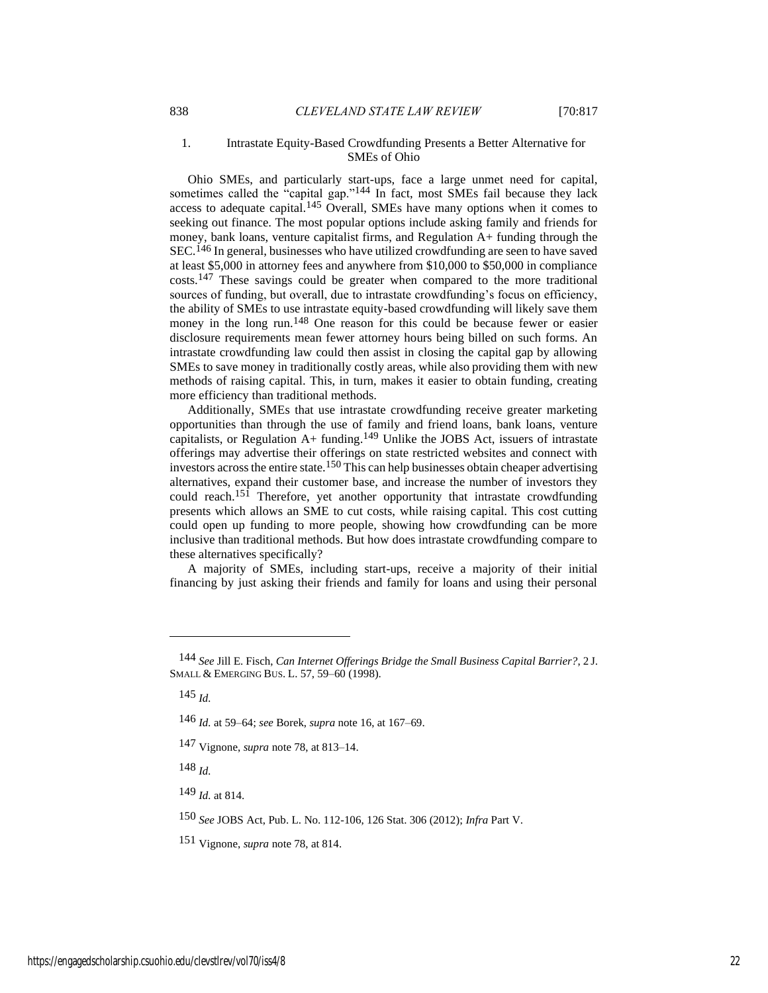#### 1. Intrastate Equity-Based Crowdfunding Presents a Better Alternative for SMEs of Ohio

Ohio SMEs, and particularly start-ups, face a large unmet need for capital, sometimes called the "capital gap."<sup>144</sup> In fact, most SMEs fail because they lack access to adequate capital.145 Overall, SMEs have many options when it comes to seeking out finance. The most popular options include asking family and friends for money, bank loans, venture capitalist firms, and Regulation A+ funding through the SEC.<sup>146</sup> In general, businesses who have utilized crowdfunding are seen to have saved at least \$5,000 in attorney fees and anywhere from \$10,000 to \$50,000 in compliance costs.147 These savings could be greater when compared to the more traditional sources of funding, but overall, due to intrastate crowdfunding's focus on efficiency, the ability of SMEs to use intrastate equity-based crowdfunding will likely save them money in the long run.148 One reason for this could be because fewer or easier disclosure requirements mean fewer attorney hours being billed on such forms. An intrastate crowdfunding law could then assist in closing the capital gap by allowing SMEs to save money in traditionally costly areas, while also providing them with new methods of raising capital. This, in turn, makes it easier to obtain funding, creating more efficiency than traditional methods.

Additionally, SMEs that use intrastate crowdfunding receive greater marketing opportunities than through the use of family and friend loans, bank loans, venture capitalists, or Regulation  $A+$  funding.<sup>149</sup> Unlike the JOBS Act, issuers of intrastate offerings may advertise their offerings on state restricted websites and connect with investors across the entire state.<sup>150</sup> This can help businesses obtain cheaper advertising alternatives, expand their customer base, and increase the number of investors they could reach.<sup>151</sup> Therefore, yet another opportunity that intrastate crowdfunding presents which allows an SME to cut costs, while raising capital. This cost cutting could open up funding to more people, showing how crowdfunding can be more inclusive than traditional methods. But how does intrastate crowdfunding compare to these alternatives specifically?

A majority of SMEs, including start-ups, receive a majority of their initial financing by just asking their friends and family for loans and using their personal

145 *Id.*

148 *Id.*

149 *Id.* at 814.

150 *See* JOBS Act, [Pub. L. No. 112-106, 126 Stat. 306 \(2012\);](https://1.next.westlaw.com/Link/Document/FullText?findType=l&pubNum=1077005&cite=UUID(IEDA0DB507F-F611E182A78-02C2D8DC351)&originatingDoc=I61849401106111e798dc8b09b4f043e0&refType=SL&originationContext=document&transitionType=DocumentItem&contextData=(sc.Folder*cid.f9ae94fe76db43f1ab58485c0540a451*oc.Search)) *Infra* Part V.

151 Vignone, *supra* note 78, at 814.

<sup>144</sup> *See* Jill E. Fisch, *Can Internet Offerings Bridge the Small Business Capital Barrier?*, 2 J. SMALL & EMERGING BUS. L. 57, 59–60 (1998).

<sup>146</sup> *Id.* at 59–64; *see* Borek, *supra* note 16, at 167–69.

<sup>147</sup> Vignone, *supra* note 78, at 813–14.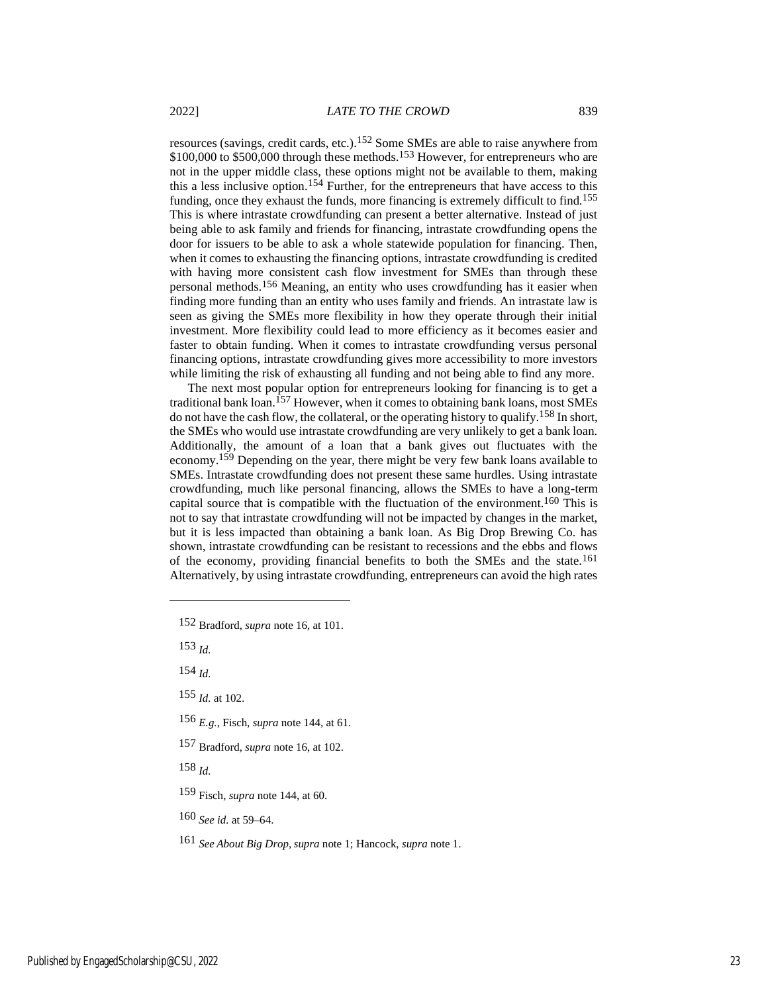resources (savings, credit cards, etc.).152 Some SMEs are able to raise anywhere from \$100,000 to \$500,000 through these methods.<sup>153</sup> However, for entrepreneurs who are not in the upper middle class, these options might not be available to them, making this a less inclusive option.154 Further, for the entrepreneurs that have access to this funding, once they exhaust the funds, more financing is extremely difficult to find.155 This is where intrastate crowdfunding can present a better alternative. Instead of just being able to ask family and friends for financing, intrastate crowdfunding opens the door for issuers to be able to ask a whole statewide population for financing. Then, when it comes to exhausting the financing options, intrastate crowdfunding is credited with having more consistent cash flow investment for SMEs than through these personal methods.156 Meaning, an entity who uses crowdfunding has it easier when finding more funding than an entity who uses family and friends. An intrastate law is seen as giving the SMEs more flexibility in how they operate through their initial investment. More flexibility could lead to more efficiency as it becomes easier and faster to obtain funding. When it comes to intrastate crowdfunding versus personal financing options, intrastate crowdfunding gives more accessibility to more investors while limiting the risk of exhausting all funding and not being able to find any more.

The next most popular option for entrepreneurs looking for financing is to get a traditional bank loan.157 However, when it comes to obtaining bank loans, most SMEs do not have the cash flow, the collateral, or the operating history to qualify.<sup>158</sup> In short, the SMEs who would use intrastate crowdfunding are very unlikely to get a bank loan. Additionally, the amount of a loan that a bank gives out fluctuates with the economy.<sup>159</sup> Depending on the year, there might be very few bank loans available to SMEs. Intrastate crowdfunding does not present these same hurdles. Using intrastate crowdfunding, much like personal financing, allows the SMEs to have a long-term capital source that is compatible with the fluctuation of the environment.160 This is not to say that intrastate crowdfunding will not be impacted by changes in the market, but it is less impacted than obtaining a bank loan. As Big Drop Brewing Co. has shown, intrastate crowdfunding can be resistant to recessions and the ebbs and flows of the economy, providing financial benefits to both the SMEs and the state.161 Alternatively, by using intrastate crowdfunding, entrepreneurs can avoid the high rates

152 Bradford, *supra* note 16, at 101.

153 *Id.*

154 *Id.*

- 156 *E.g.*, Fisch, *supra* note 144, at 61.
- 157 Bradford, *supra* note 16, at 102.

158 *Id.*

- 159 Fisch, *supra* note 144, at 60.
- 160 *See id.* at 59–64.

<sup>155</sup> *Id.* at 102.

<sup>161</sup> *See About Big Drop*, *supra* note 1; Hancock, *supra* note 1.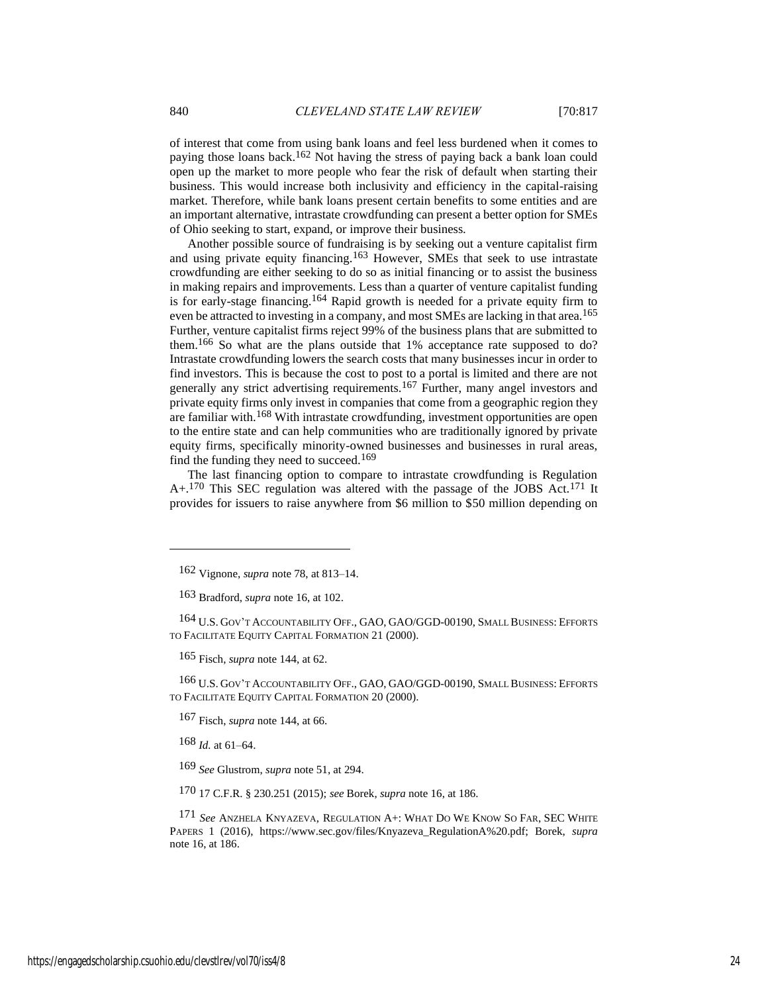of interest that come from using bank loans and feel less burdened when it comes to paying those loans back.162 Not having the stress of paying back a bank loan could open up the market to more people who fear the risk of default when starting their business. This would increase both inclusivity and efficiency in the capital-raising market. Therefore, while bank loans present certain benefits to some entities and are an important alternative, intrastate crowdfunding can present a better option for SMEs of Ohio seeking to start, expand, or improve their business.

Another possible source of fundraising is by seeking out a venture capitalist firm and using private equity financing.163 However, SMEs that seek to use intrastate crowdfunding are either seeking to do so as initial financing or to assist the business in making repairs and improvements. Less than a quarter of venture capitalist funding is for early-stage financing.<sup>164</sup> Rapid growth is needed for a private equity firm to even be attracted to investing in a company, and most SMEs are lacking in that area.<sup>165</sup> Further, venture capitalist firms reject 99% of the business plans that are submitted to them.166 So what are the plans outside that 1% acceptance rate supposed to do? Intrastate crowdfunding lowers the search costs that many businesses incur in order to find investors. This is because the cost to post to a portal is limited and there are not generally any strict advertising requirements.167 Further, many angel investors and private equity firms only invest in companies that come from a geographic region they are familiar with.168 With intrastate crowdfunding, investment opportunities are open to the entire state and can help communities who are traditionally ignored by private equity firms, specifically minority-owned businesses and businesses in rural areas, find the funding they need to succeed.<sup>169</sup>

The last financing option to compare to intrastate crowdfunding is Regulation  $A+.170$  This SEC regulation was altered with the passage of the JOBS Act.<sup>171</sup> It provides for issuers to raise anywhere from \$6 million to \$50 million depending on

164 U.S. GOV'T ACCOUNTABILITY OFF., GAO, GAO/GGD-00190, SMALL BUSINESS: EFFORTS TO FACILITATE EQUITY CAPITAL FORMATION 21 (2000).

165 Fisch, *supra* note 144, at 62.

166 U.S. GOV'T ACCOUNTABILITY OFF., GAO, GAO/GGD-00190, SMALL BUSINESS: EFFORTS TO FACILITATE EQUITY CAPITAL FORMATION 20 (2000).

167 Fisch, *supra* note 144, at 66.

168 *Id.* at 61–64.

169 *See* Glustrom, *supra* note 51, at 294.

170 17 C.F.R. § 230.251 (2015); *see* Borek, *supra* note 16, at 186.

171 *See* ANZHELA KNYAZEVA, REGULATION A+: WHAT DO WE KNOW SO FAR, SEC WHITE PAPERS 1 (2016), https://www.sec.gov/files/Knyazeva\_RegulationA%20.pdf; Borek, *supra* note 16, at 186.

<sup>162</sup> Vignone, *supra* note 78, at 813–14.

<sup>163</sup> Bradford, *supra* note 16, at 102.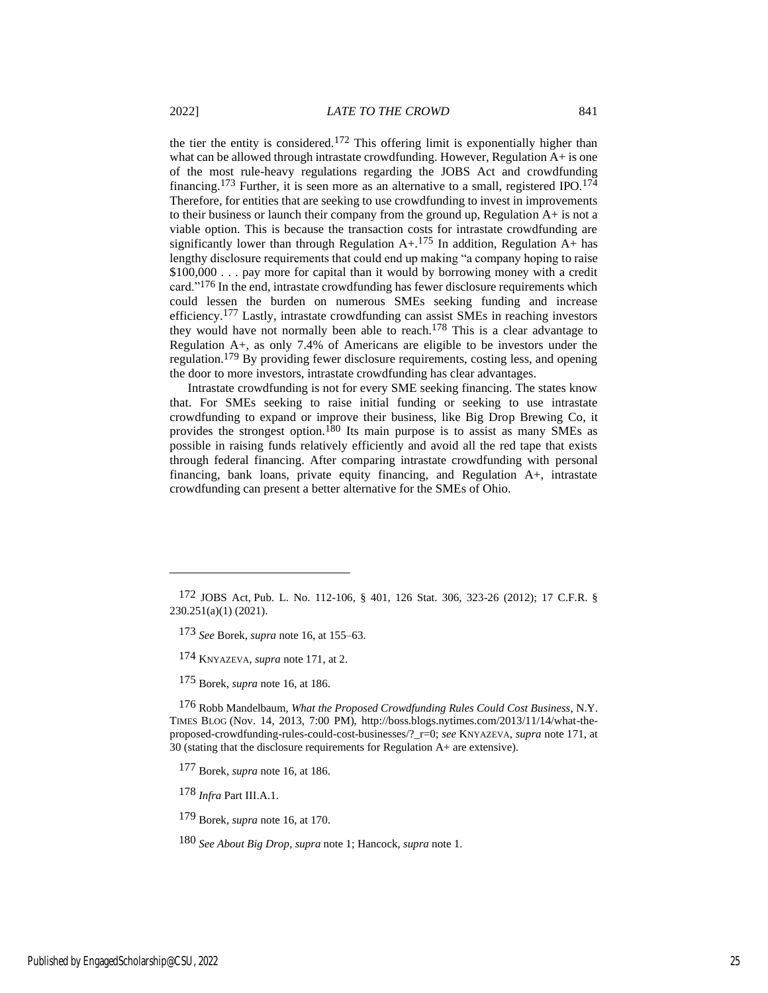the tier the entity is considered.<sup>172</sup> This offering limit is exponentially higher than what can be allowed through intrastate crowdfunding. However, Regulation A+ is one of the most rule-heavy regulations regarding the JOBS Act and crowdfunding financing.<sup>173</sup> Further, it is seen more as an alternative to a small, registered IPO.<sup>174</sup> Therefore, for entities that are seeking to use crowdfunding to invest in improvements to their business or launch their company from the ground up, Regulation A+ is not a viable option. This is because the transaction costs for intrastate crowdfunding are significantly lower than through Regulation  $A+.175$  In addition, Regulation  $A+$  has lengthy disclosure requirements that could end up making "a company hoping to raise \$100,000 . . . pay more for capital than it would by borrowing money with a credit card."176 In the end, intrastate crowdfunding has fewer disclosure requirements which could lessen the burden on numerous SMEs seeking funding and increase efficiency.177 Lastly, intrastate crowdfunding can assist SMEs in reaching investors they would have not normally been able to reach.178 This is a clear advantage to Regulation A+, as only 7.4% of Americans are eligible to be investors under the regulation.179 By providing fewer disclosure requirements, costing less, and opening the door to more investors, intrastate crowdfunding has clear advantages.

Intrastate crowdfunding is not for every SME seeking financing. The states know that. For SMEs seeking to raise initial funding or seeking to use intrastate crowdfunding to expand or improve their business, like Big Drop Brewing Co, it provides the strongest option.180 Its main purpose is to assist as many SMEs as possible in raising funds relatively efficiently and avoid all the red tape that exists through federal financing. After comparing intrastate crowdfunding with personal financing, bank loans, private equity financing, and Regulation A+, intrastate crowdfunding can present a better alternative for the SMEs of Ohio.

176 Robb Mandelbaum, *What the Proposed Crowdfunding Rules Could Cost Business*, N.Y. TIMES BLOG (Nov. 14, 2013, 7:00 PM), http://boss.blogs.nytimes.com/2013/11/14/what-theproposed-crowdfunding-rules-could-cost-businesses/?\_r=0; *see* KNYAZEVA, *supra* note 171, at 30 (stating that the disclosure requirements for Regulation A+ are extensive).

- 177 Borek, *supra* note 16, at 186.
- 178 *Infra* Part III.A.1.
- 179 Borek, *supra* note 16, at 170.

180 *See About Big Drop*, *supra* note 1; Hancock, *supra* note 1.

<sup>172</sup> JOBS Act, Pub. L. No. 112-106, § 401, 126 Stat. 306, 323-26 (2012); 17 C.F.R. § 230.251(a)(1) (2021).

<sup>173</sup> *See* Borek, *supra* note 16, at 155–63.

<sup>174</sup> KNYAZEVA, *supra* note 171, at 2.

<sup>175</sup> Borek, *supra* note 16, at 186.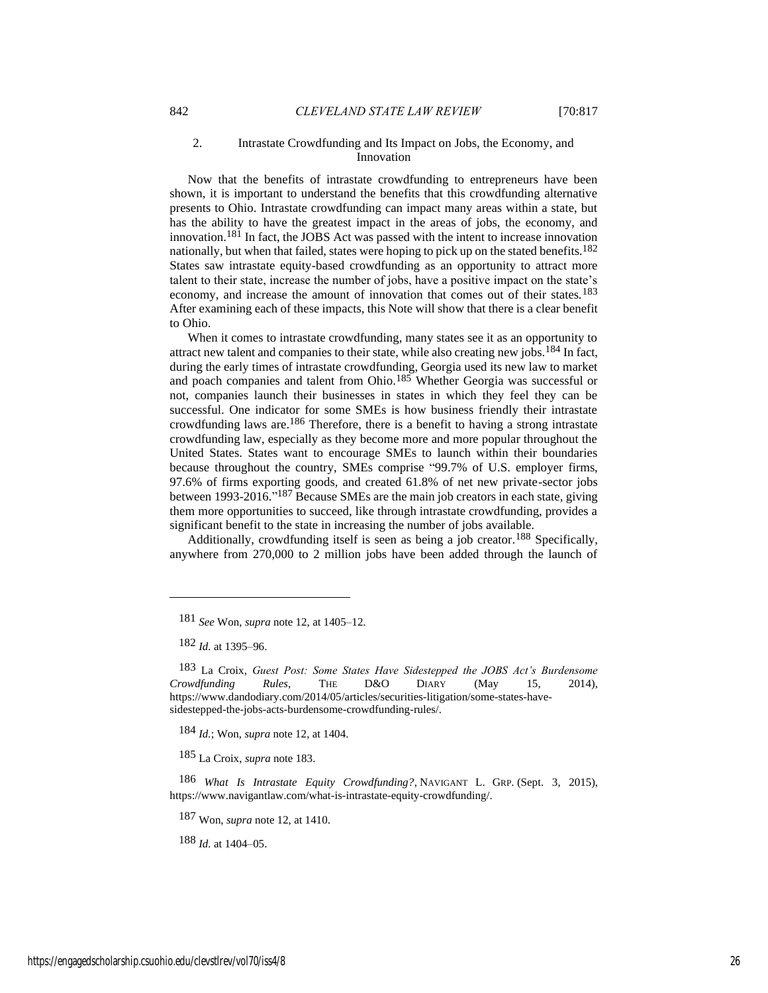#### 2. Intrastate Crowdfunding and Its Impact on Jobs, the Economy, and Innovation

Now that the benefits of intrastate crowdfunding to entrepreneurs have been shown, it is important to understand the benefits that this crowdfunding alternative presents to Ohio. Intrastate crowdfunding can impact many areas within a state, but has the ability to have the greatest impact in the areas of jobs, the economy, and innovation.181 In fact, the JOBS Act was passed with the intent to increase innovation nationally, but when that failed, states were hoping to pick up on the stated benefits.<sup>182</sup> States saw intrastate equity-based crowdfunding as an opportunity to attract more talent to their state, increase the number of jobs, have a positive impact on the state's economy, and increase the amount of innovation that comes out of their states.<sup>183</sup> After examining each of these impacts, this Note will show that there is a clear benefit to Ohio.

When it comes to intrastate crowdfunding, many states see it as an opportunity to attract new talent and companies to their state, while also creating new jobs.184 In fact, during the early times of intrastate crowdfunding, Georgia used its new law to market and poach companies and talent from Ohio.185 Whether Georgia was successful or not, companies launch their businesses in states in which they feel they can be successful. One indicator for some SMEs is how business friendly their intrastate crowdfunding laws are.<sup>186</sup> Therefore, there is a benefit to having a strong intrastate crowdfunding law, especially as they become more and more popular throughout the United States. States want to encourage SMEs to launch within their boundaries because throughout the country, SMEs comprise "99.7% of U.S. employer firms, 97.6% of firms exporting goods, and created 61.8% of net new private-sector jobs between 1993-2016."<sup>187</sup> Because SMEs are the main job creators in each state, giving them more opportunities to succeed, like through intrastate crowdfunding, provides a significant benefit to the state in increasing the number of jobs available.

Additionally, crowdfunding itself is seen as being a job creator.<sup>188</sup> Specifically, anywhere from 270,000 to 2 million jobs have been added through the launch of

184 *Id.*; Won, *supra* note 12, at 1404.

185 La Croix, *supra* note 183.

186 *What Is Intrastate Equity Crowdfunding?*, NAVIGANT L. GRP. (Sept. 3, 2015), https://www.navigantlaw.com/what-is-intrastate-equity-crowdfunding/.

187 Won, *supra* note 12, at 1410.

188 *Id.* at 1404–05.

<sup>181</sup> *See* Won, *supra* note 12, at 1405–12.

<sup>182</sup> *Id.* at 1395–96.

<sup>183</sup> La Croix, *Guest Post: Some States Have Sidestepped the JOBS Act's Burdensome Crowdfunding Rules*, THE D&O DIARY (May 15, 2014), https://www.dandodiary.com/2014/05/articles/securities-litigation/some-states-havesidestepped-the-jobs-acts-burdensome-crowdfunding-rules/.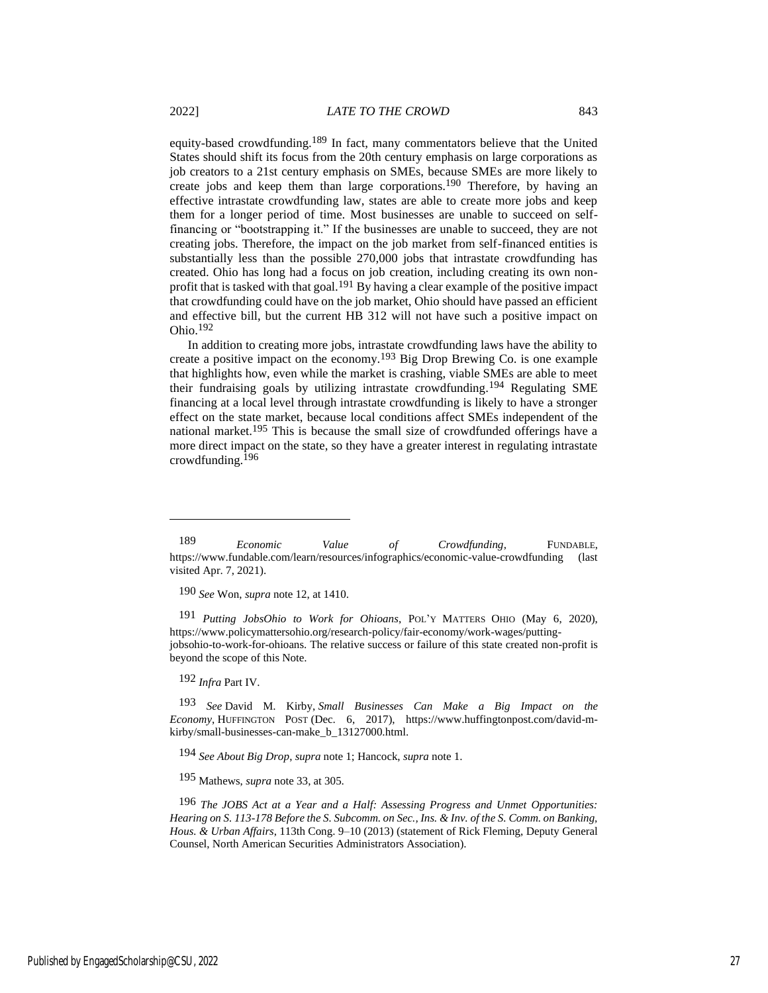equity-based crowdfunding.189 In fact, many commentators believe that the United States should shift its focus from the 20th century emphasis on large corporations as job creators to a 21st century emphasis on SMEs, because SMEs are more likely to create jobs and keep them than large corporations.<sup>190</sup> Therefore, by having an effective intrastate crowdfunding law, states are able to create more jobs and keep them for a longer period of time. Most businesses are unable to succeed on selffinancing or "bootstrapping it." If the businesses are unable to succeed, they are not creating jobs. Therefore, the impact on the job market from self-financed entities is substantially less than the possible 270,000 jobs that intrastate crowdfunding has created. Ohio has long had a focus on job creation, including creating its own nonprofit that is tasked with that goal.191 By having a clear example of the positive impact that crowdfunding could have on the job market, Ohio should have passed an efficient and effective bill, but the current HB 312 will not have such a positive impact on Ohio.192

In addition to creating more jobs, intrastate crowdfunding laws have the ability to create a positive impact on the economy.193 Big Drop Brewing Co. is one example that highlights how, even while the market is crashing, viable SMEs are able to meet their fundraising goals by utilizing intrastate crowdfunding.194 Regulating SME financing at a local level through intrastate crowdfunding is likely to have a stronger effect on the state market, because local conditions affect SMEs independent of the national market.<sup>195</sup> This is because the small size of crowdfunded offerings have a more direct impact on the state, so they have a greater interest in regulating intrastate crowdfunding.196

190 *See* Won, *supra* note 12, at 1410.

191 *Putting JobsOhio to Work for Ohioans*, POL'Y MATTERS OHIO (May 6, 2020), https://www.policymattersohio.org/research-policy/fair-economy/work-wages/puttingjobsohio-to-work-for-ohioans. The relative success or failure of this state created non-profit is beyond the scope of this Note.

192 *Infra* Part IV.

193 *See* David M. Kirby, *Small Businesses Can Make a Big Impact on the Economy*, HUFFINGTON POST (Dec. 6, 2017), https://www.huffingtonpost.com/david-mkirby/small-businesses-can-make\_b\_13127000.html.

194 *See About Big Drop*, *supra* note 1; Hancock, *supra* note 1.

195 Mathews, *supra* note 33, at 305.

196 *The JOBS Act at a Year and a Half: Assessing Progress and Unmet Opportunities: Hearing on S. 113-178 Before the S. Subcomm. on Sec., Ins. & Inv. of the S. Comm. on Banking, Hous. & Urban Affairs*, 113th Cong. 9–10 (2013) (statement of Rick Fleming, Deputy General Counsel, North American Securities Administrators Association).

<sup>189</sup> *Economic Value of Crowdfunding*, FUNDABLE, https://www.fundable.com/learn/resources/infographics/economic-value-crowdfunding (last visited Apr. 7, 2021).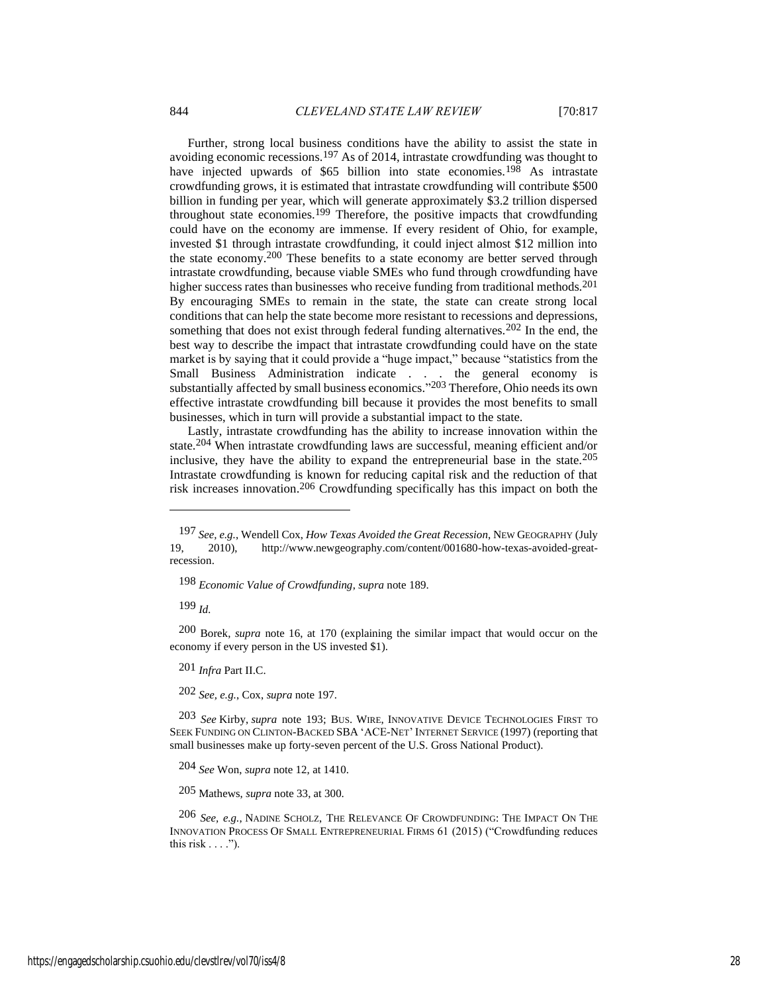Further, strong local business conditions have the ability to assist the state in avoiding economic recessions.197 As of 2014, intrastate crowdfunding was thought to have injected upwards of \$65 billion into state economies.<sup>198</sup> As intrastate crowdfunding grows, it is estimated that intrastate crowdfunding will contribute \$500 billion in funding per year, which will generate approximately \$3.2 trillion dispersed throughout state economies.199 Therefore, the positive impacts that crowdfunding could have on the economy are immense. If every resident of Ohio, for example, invested \$1 through intrastate crowdfunding, it could inject almost \$12 million into the state economy.200 These benefits to a state economy are better served through intrastate crowdfunding, because viable SMEs who fund through crowdfunding have higher success rates than businesses who receive funding from traditional methods.<sup>201</sup> By encouraging SMEs to remain in the state, the state can create strong local conditions that can help the state become more resistant to recessions and depressions, something that does not exist through federal funding alternatives.<sup>202</sup> In the end, the best way to describe the impact that intrastate crowdfunding could have on the state market is by saying that it could provide a "huge impact," because "statistics from the Small Business Administration indicate . . . the general economy is substantially affected by small business economics."<sup>203</sup> Therefore, Ohio needs its own effective intrastate crowdfunding bill because it provides the most benefits to small businesses, which in turn will provide a substantial impact to the state.

Lastly, intrastate crowdfunding has the ability to increase innovation within the state.204 When intrastate crowdfunding laws are successful, meaning efficient and/or inclusive, they have the ability to expand the entrepreneurial base in the state.<sup>205</sup> Intrastate crowdfunding is known for reducing capital risk and the reduction of that risk increases innovation.206 Crowdfunding specifically has this impact on both the

199 *Id.*

200 Borek, *supra* note 16, at 170 (explaining the similar impact that would occur on the economy if every person in the US invested \$1).

201 *Infra* Part II.C.

202 *See, e.g.*, Cox, *supra* note 197.

203 *See* Kirby, *supra* note 193; BUS. WIRE, INNOVATIVE DEVICE TECHNOLOGIES FIRST TO SEEK FUNDING ON CLINTON-BACKED SBA 'ACE-NET' INTERNET SERVICE (1997) (reporting that small businesses make up forty-seven percent of the U.S. Gross National Product).

204 *See* Won, *supra* note 12, at 1410.

205 Mathews, *supra* note 33, at 300.

206 *See, e.g.*, NADINE SCHOLZ, THE RELEVANCE O<sup>F</sup> CROWDFUNDING: THE IMPACT O<sup>N</sup> THE INNOVATION PROCESS OF SMALL ENTREPRENEURIAL FIRMS 61 (2015) ("Crowdfunding reduces this risk  $\dots$ .").

<sup>197</sup> *See, e.g.*, Wendell Cox, *How Texas Avoided the Great Recession*, NEW GEOGRAPHY (July 2010), http://www.newgeography.com/content/001680-how-texas-avoided-greatrecession.

<sup>198</sup> *Economic Value of Crowdfunding*, *supra* note 189.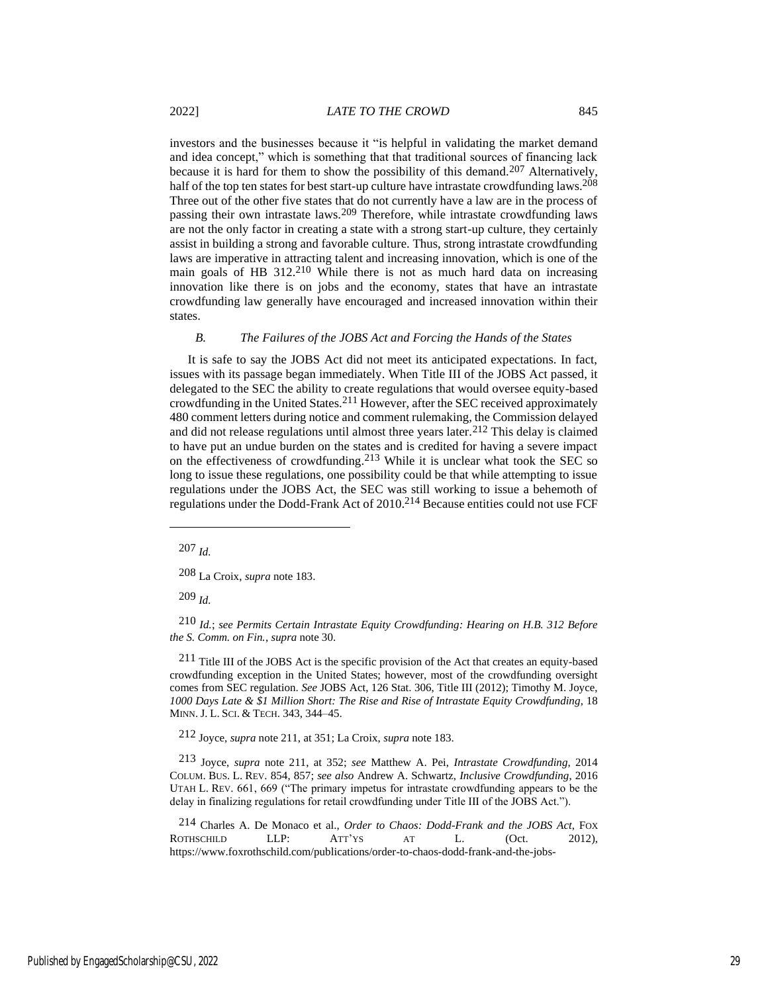investors and the businesses because it "is helpful in validating the market demand and idea concept," which is something that that traditional sources of financing lack because it is hard for them to show the possibility of this demand.<sup>207</sup> Alternatively, half of the top ten states for best start-up culture have intrastate crowdfunding laws.<sup>208</sup> Three out of the other five states that do not currently have a law are in the process of passing their own intrastate laws.209 Therefore, while intrastate crowdfunding laws are not the only factor in creating a state with a strong start-up culture, they certainly assist in building a strong and favorable culture. Thus, strong intrastate crowdfunding laws are imperative in attracting talent and increasing innovation, which is one of the main goals of HB 312.<sup>210</sup> While there is not as much hard data on increasing innovation like there is on jobs and the economy, states that have an intrastate crowdfunding law generally have encouraged and increased innovation within their states.

#### *B. The Failures of the JOBS Act and Forcing the Hands of the States*

It is safe to say the JOBS Act did not meet its anticipated expectations. In fact, issues with its passage began immediately. When Title III of the JOBS Act passed, it delegated to the SEC the ability to create regulations that would oversee equity-based crowdfunding in the United States.211 However, after the SEC received approximately 480 comment letters during notice and comment rulemaking, the Commission delayed and did not release regulations until almost three years later.<sup>212</sup> This delay is claimed to have put an undue burden on the states and is credited for having a severe impact on the effectiveness of crowdfunding.213 While it is unclear what took the SEC so long to issue these regulations, one possibility could be that while attempting to issue regulations under the JOBS Act, the SEC was still working to issue a behemoth of regulations under the Dodd-Frank Act of 2010.214 Because entities could not use FCF

207 *Id.*

208 La Croix, *supra* note 183.

209 *Id.*

210 *Id.*; *see Permits Certain Intrastate Equity Crowdfunding: Hearing on H.B. 312 Before the S. Comm. on Fin.*, *supra* note 30.

211 Title III of the JOBS Act is the specific provision of the Act that creates an equity-based crowdfunding exception in the United States; however, most of the crowdfunding oversight comes from SEC regulation. *See* JOBS Act, 126 Stat. 306, Title III (2012); Timothy M. Joyce, *1000 Days Late & \$1 Million Short: The Rise and Rise of Intrastate Equity Crowdfunding*, 18 MINN. J. L. SCI. & TECH. 343, 344–45.

212 Joyce, *supra* note 211, at 351; La Croix, *supra* note 183.

213 Joyce, *supra* note 211, at 352; *see* Matthew A. Pei, *Intrastate Crowdfunding*, 2014 COLUM. BUS. L. REV. 854, 857; *see also* Andrew A. Schwartz, *Inclusive Crowdfunding*, 2016 UTAH L. REV. 661, 669 ("The primary impetus for intrastate crowdfunding appears to be the delay in finalizing regulations for retail crowdfunding under Title III of the JOBS Act.").

214 Charles A. De Monaco et al., *Order to Chaos: Dodd-Frank and the JOBS Act*, FOX ROTHSCHILD LLP: ATT'YS AT L. (Oct. 2012), https://www.foxrothschild.com/publications/order-to-chaos-dodd-frank-and-the-jobs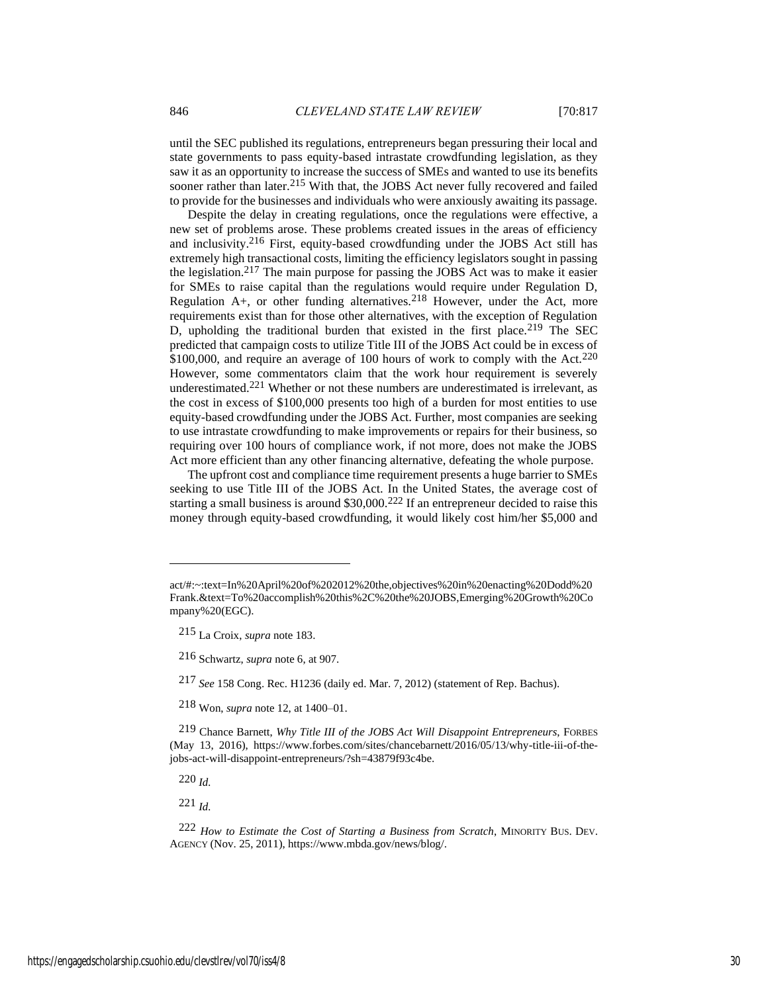until the SEC published its regulations, entrepreneurs began pressuring their local and state governments to pass equity-based intrastate crowdfunding legislation, as they saw it as an opportunity to increase the success of SMEs and wanted to use its benefits sooner rather than later.<sup>215</sup> With that, the JOBS Act never fully recovered and failed to provide for the businesses and individuals who were anxiously awaiting its passage.

Despite the delay in creating regulations, once the regulations were effective, a new set of problems arose. These problems created issues in the areas of efficiency and inclusivity.216 First, equity-based crowdfunding under the JOBS Act still has extremely high transactional costs, limiting the efficiency legislators sought in passing the legislation.217 The main purpose for passing the JOBS Act was to make it easier for SMEs to raise capital than the regulations would require under Regulation D, Regulation  $A<sub>+</sub>$ , or other funding alternatives.<sup>218</sup> However, under the Act, more requirements exist than for those other alternatives, with the exception of Regulation D, upholding the traditional burden that existed in the first place.<sup>219</sup> The SEC predicted that campaign costs to utilize Title III of the JOBS Act could be in excess of  $$100,000$ , and require an average of 100 hours of work to comply with the Act.<sup>220</sup> However, some commentators claim that the work hour requirement is severely underestimated.221 Whether or not these numbers are underestimated is irrelevant, as the cost in excess of \$100,000 presents too high of a burden for most entities to use equity-based crowdfunding under the JOBS Act. Further, most companies are seeking to use intrastate crowdfunding to make improvements or repairs for their business, so requiring over 100 hours of compliance work, if not more, does not make the JOBS Act more efficient than any other financing alternative, defeating the whole purpose.

The upfront cost and compliance time requirement presents a huge barrier to SMEs seeking to use Title III of the JOBS Act. In the United States, the average cost of starting a small business is around \$30,000.222 If an entrepreneur decided to raise this money through equity-based crowdfunding, it would likely cost him/her \$5,000 and

220 *Id.*

221 *Id.*

act/#:~:text=In%20April%20of%202012%20the,objectives%20in%20enacting%20Dodd%20 Frank.&text=To%20accomplish%20this%2C%20the%20JOBS,Emerging%20Growth%20Co mpany%20(EGC).

<sup>215</sup> La Croix, *supra* note 183.

<sup>216</sup> Schwartz, *supra* note 6, at 907.

<sup>217</sup> *See* 158 Cong. Rec. H1236 (daily ed. Mar. 7, 2012) (statement of Rep. Bachus).

<sup>218</sup> Won, *supra* note 12, at 1400–01.

<sup>219</sup> Chance Barnett, *Why Title III of the JOBS Act Will Disappoint Entrepreneurs*, FORBES (May 13, 2016), https://www.forbes.com/sites/chancebarnett/2016/05/13/why-title-iii-of-thejobs-act-will-disappoint-entrepreneurs/?sh=43879f93c4be.

<sup>222</sup> *How to Estimate the Cost of Starting a Business from Scratch*, MINORITY BUS. DEV. AGENCY (Nov. 25, 2011), https://www.mbda.gov/news/blog/.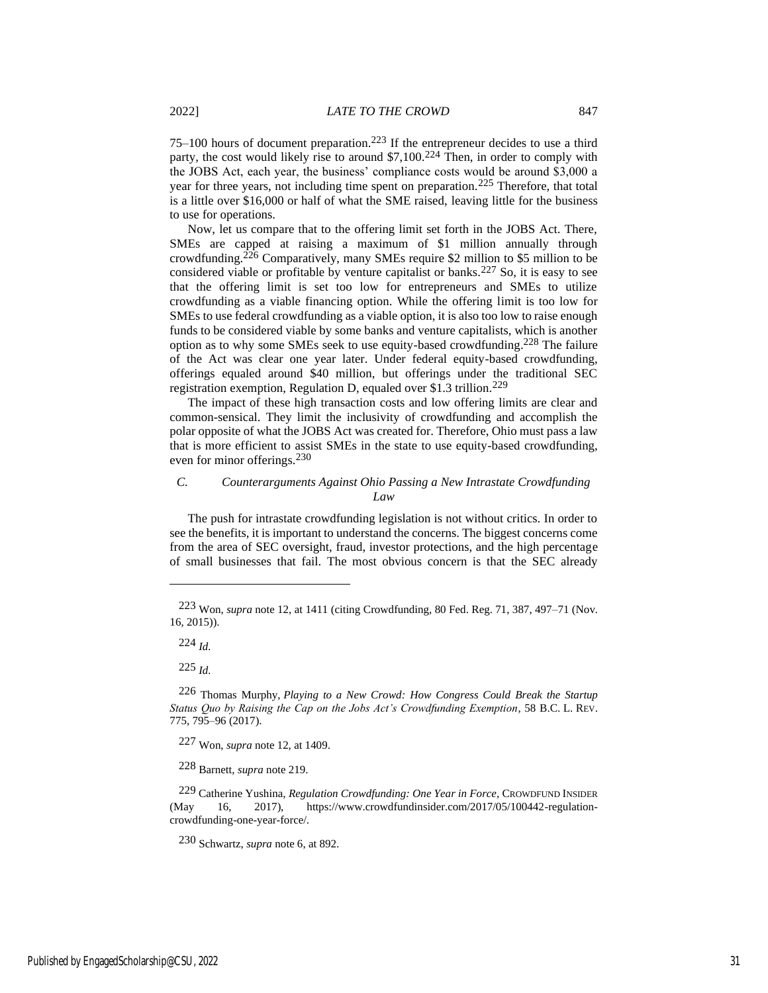$75-100$  hours of document preparation.<sup>223</sup> If the entrepreneur decides to use a third party, the cost would likely rise to around \$7,100.<sup>224</sup> Then, in order to comply with the JOBS Act, each year, the business' compliance costs would be around \$3,000 a year for three years, not including time spent on preparation.225 Therefore, that total is a little over \$16,000 or half of what the SME raised, leaving little for the business to use for operations.

Now, let us compare that to the offering limit set forth in the JOBS Act. There, SMEs are capped at raising a maximum of \$1 million annually through crowdfunding.226 Comparatively, many SMEs require \$2 million to \$5 million to be considered viable or profitable by venture capitalist or banks.<sup>227</sup> So, it is easy to see that the offering limit is set too low for entrepreneurs and SMEs to utilize crowdfunding as a viable financing option. While the offering limit is too low for SMEs to use federal crowdfunding as a viable option, it is also too low to raise enough funds to be considered viable by some banks and venture capitalists, which is another option as to why some SMEs seek to use equity-based crowdfunding.228 The failure of the Act was clear one year later. Under federal equity-based crowdfunding, offerings equaled around \$40 million, but offerings under the traditional SEC registration exemption, Regulation D, equaled over \$1.3 trillion.<sup>229</sup>

The impact of these high transaction costs and low offering limits are clear and common-sensical. They limit the inclusivity of crowdfunding and accomplish the polar opposite of what the JOBS Act was created for. Therefore, Ohio must pass a law that is more efficient to assist SMEs in the state to use equity-based crowdfunding, even for minor offerings.230

# *C. Counterarguments Against Ohio Passing a New Intrastate Crowdfunding Law*

The push for intrastate crowdfunding legislation is not without critics. In order to see the benefits, it is important to understand the concerns. The biggest concerns come from the area of SEC oversight, fraud, investor protections, and the high percentage of small businesses that fail. The most obvious concern is that the SEC already

224 *Id.*

225 *Id.*

227 Won, *supra* note 12, at 1409.

228 Barnett, *supra* note 219.

230 Schwartz, *supra* note 6, at 892.

<sup>223</sup> Won, *supra* note 12, at 1411 (citing Crowdfunding, 80 Fed. Reg. 71, 387, 497–71 (Nov. 16, 2015)).

<sup>226</sup> Thomas Murphy, *Playing to a New Crowd: How Congress Could Break the Startup Status Quo by Raising the Cap on the Jobs Act's Crowdfunding Exemption*, 58 B.C. L. REV. 775, 795–96 (2017).

<sup>229</sup> Catherine Yushina, *Regulation Crowdfunding: One Year in Force*, CROWDFUND INSIDER (May 16, 2017), https://www.crowdfundinsider.com/2017/05/100442-regulationcrowdfunding-one-year-force/.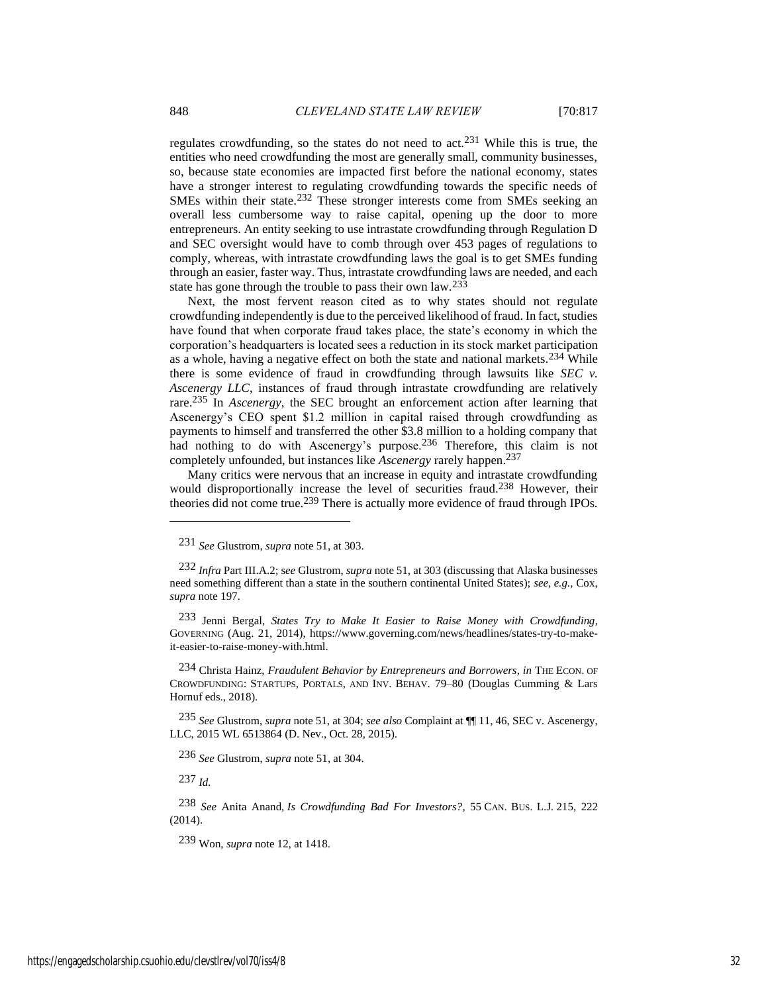regulates crowdfunding, so the states do not need to act.231 While this is true, the entities who need crowdfunding the most are generally small, community businesses, so, because state economies are impacted first before the national economy, states have a stronger interest to regulating crowdfunding towards the specific needs of SMEs within their state.<sup>232</sup> These stronger interests come from SMEs seeking an overall less cumbersome way to raise capital, opening up the door to more entrepreneurs. An entity seeking to use intrastate crowdfunding through Regulation D and SEC oversight would have to comb through over 453 pages of regulations to comply, whereas, with intrastate crowdfunding laws the goal is to get SMEs funding through an easier, faster way. Thus, intrastate crowdfunding laws are needed, and each state has gone through the trouble to pass their own law.<sup>233</sup>

Next, the most fervent reason cited as to why states should not regulate crowdfunding independently is due to the perceived likelihood of fraud. In fact, studies have found that when corporate fraud takes place, the state's economy in which the corporation's headquarters is located sees a reduction in its stock market participation as a whole, having a negative effect on both the state and national markets.<sup>234</sup> While there is some evidence of fraud in crowdfunding through lawsuits like *SEC v. Ascenergy LLC*, instances of fraud through intrastate crowdfunding are relatively rare.235 In *Ascenergy*, the SEC brought an enforcement action after learning that Ascenergy's CEO spent \$1.2 million in capital raised through crowdfunding as payments to himself and transferred the other \$3.8 million to a holding company that had nothing to do with Ascenergy's purpose.<sup>236</sup> Therefore, this claim is not completely unfounded, but instances like *Ascenergy* rarely happen. 237

Many critics were nervous that an increase in equity and intrastate crowdfunding would disproportionally increase the level of securities fraud.<sup>238</sup> However, their theories did not come true.<sup>239</sup> There is actually more evidence of fraud through IPOs.

233 Jenni Bergal, *States Try to Make It Easier to Raise Money with Crowdfunding*, GOVERNING (Aug. 21, 2014), https://www.governing.com/news/headlines/states-try-to-makeit-easier-to-raise-money-with.html.

234 Christa Hainz, *Fraudulent Behavior by Entrepreneurs and Borrowers*, *in* THE ECON. OF CROWDFUNDING: STARTUPS, PORTALS, AND INV. BEHAV. 79–80 (Douglas Cumming & Lars Hornuf eds., 2018).

235 *See* Glustrom, *supra* note 51, at 304; *see also* Complaint at ¶¶ 11, 46, SEC v. Ascenergy, LLC, 2015 WL 6513864 (D. Nev., Oct. 28, 2015).

236 *See* Glustrom, *supra* note 51, at 304.

237 *Id.*

238 *See* Anita Anand, *Is Crowdfunding Bad For Investors?*, 55 CAN. BUS. L.J. 215, 222 (2014).

239 Won, *supra* note 12, at 1418.

<sup>231</sup> *See* Glustrom, *supra* note 51, at 303.

<sup>232</sup> *Infra* Part III.A.2; s*ee* Glustrom, *supra* note 51, at 303 (discussing that Alaska businesses need something different than a state in the southern continental United States); *see, e.g.*, Cox, *supra* note 197.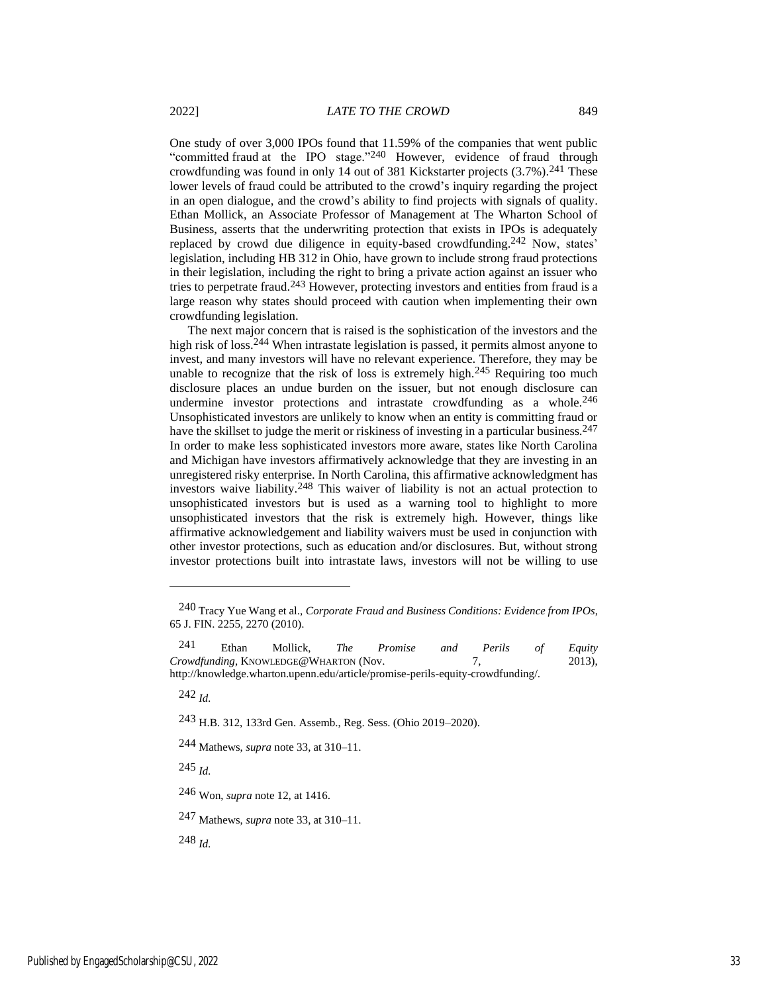One study of over 3,000 IPOs found that 11.59% of the companies that went public "committed fraud at the IPO stage."<sup>240</sup> However, evidence of fraud through crowdfunding was found in only 14 out of 381 Kickstarter projects  $(3.7\%)$ .<sup>241</sup> These lower levels of fraud could be attributed to the crowd's inquiry regarding the project in an open dialogue, and the crowd's ability to find projects with signals of quality. Ethan Mollick, an Associate Professor of Management at The Wharton School of Business, asserts that the underwriting protection that exists in IPOs is adequately replaced by crowd due diligence in equity-based crowdfunding.<sup>242</sup> Now, states' legislation, including HB 312 in Ohio, have grown to include strong fraud protections in their legislation, including the right to bring a private action against an issuer who tries to perpetrate fraud.243 However, protecting investors and entities from fraud is a large reason why states should proceed with caution when implementing their own crowdfunding legislation.

The next major concern that is raised is the sophistication of the investors and the high risk of loss.<sup>244</sup> When intrastate legislation is passed, it permits almost anyone to invest, and many investors will have no relevant experience. Therefore, they may be unable to recognize that the risk of loss is extremely high.<sup>245</sup> Requiring too much disclosure places an undue burden on the issuer, but not enough disclosure can undermine investor protections and intrastate crowdfunding as a whole. $246$ Unsophisticated investors are unlikely to know when an entity is committing fraud or have the skillset to judge the merit or riskiness of investing in a particular business.<sup>247</sup> In order to make less sophisticated investors more aware, states like North Carolina and Michigan have investors affirmatively acknowledge that they are investing in an unregistered risky enterprise. In North Carolina, this affirmative acknowledgment has investors waive liability.248 This waiver of liability is not an actual protection to unsophisticated investors but is used as a warning tool to highlight to more unsophisticated investors that the risk is extremely high. However, things like affirmative acknowledgement and liability waivers must be used in conjunction with other investor protections, such as education and/or disclosures. But, without strong investor protections built into intrastate laws, investors will not be willing to use

242 *Id.*

243 H.B. 312, 133rd Gen. Assemb., Reg. Sess. (Ohio 2019–2020).

244 Mathews, *supra* note 33, at 310–11.

245 *Id.*

246 Won, *supra* note 12, at 1416.

247 Mathews, *supra* note 33, at 310–11.

248 *Id.*

<sup>240</sup> Tracy Yue Wang et al., *Corporate Fraud and Business Conditions: Evidence from IPOs*, 65 J. FIN. 2255, 2270 (2010).

<sup>241</sup> Ethan Mollick, *The Promise and Perils of Equity Crowdfunding*, KNOWLEDGE@WHARTON (Nov. 7, 2013), http://knowledge.wharton.upenn.edu/article/promise-perils-equity-crowdfunding/.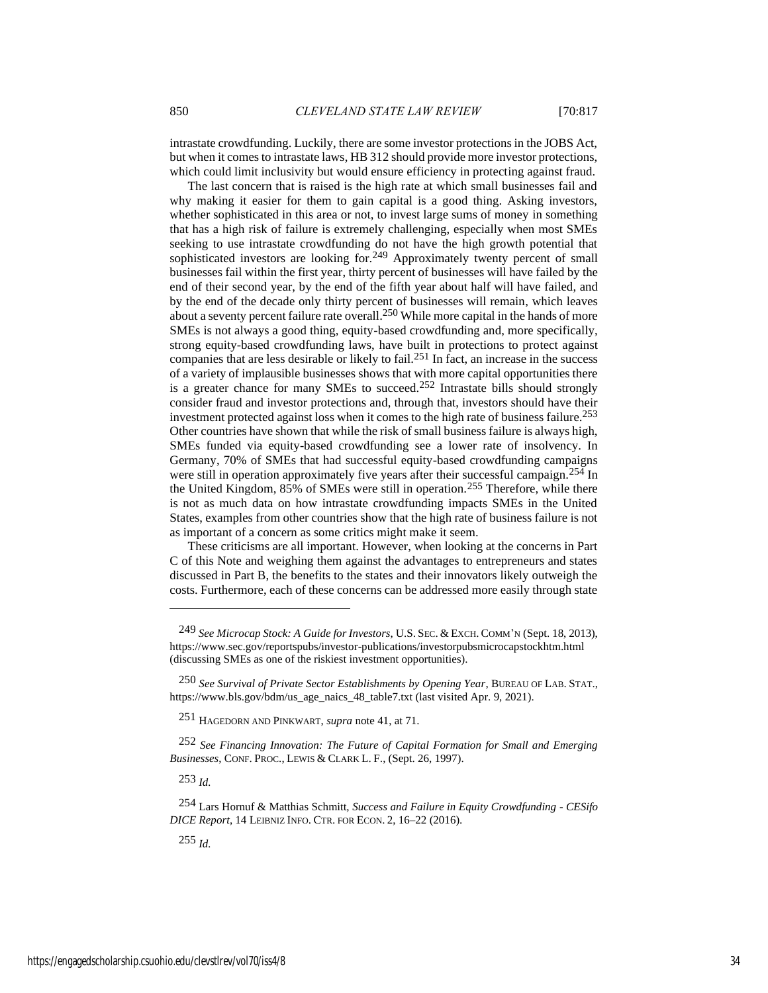intrastate crowdfunding. Luckily, there are some investor protections in the JOBS Act, but when it comes to intrastate laws, HB 312 should provide more investor protections, which could limit inclusivity but would ensure efficiency in protecting against fraud.

The last concern that is raised is the high rate at which small businesses fail and why making it easier for them to gain capital is a good thing. Asking investors, whether sophisticated in this area or not, to invest large sums of money in something that has a high risk of failure is extremely challenging, especially when most SMEs seeking to use intrastate crowdfunding do not have the high growth potential that sophisticated investors are looking for.<sup>249</sup> Approximately twenty percent of small businesses fail within the first year, thirty percent of businesses will have failed by the end of their second year, by the end of the fifth year about half will have failed, and by the end of the decade only thirty percent of businesses will remain, which leaves about a seventy percent failure rate overall. 250 While more capital in the hands of more SMEs is not always a good thing, equity-based crowdfunding and, more specifically, strong equity-based crowdfunding laws, have built in protections to protect against companies that are less desirable or likely to fail.251 In fact, an increase in the success of a variety of implausible businesses shows that with more capital opportunities there is a greater chance for many SMEs to succeed.252 Intrastate bills should strongly consider fraud and investor protections and, through that, investors should have their investment protected against loss when it comes to the high rate of business failure.<sup>253</sup> Other countries have shown that while the risk of small business failure is always high, SMEs funded via equity-based crowdfunding see a lower rate of insolvency. In Germany, 70% of SMEs that had successful equity-based crowdfunding campaigns were still in operation approximately five years after their successful campaign.<sup>254</sup> In the United Kingdom, 85% of SMEs were still in operation.255 Therefore, while there is not as much data on how intrastate crowdfunding impacts SMEs in the United States, examples from other countries show that the high rate of business failure is not as important of a concern as some critics might make it seem.

These criticisms are all important. However, when looking at the concerns in Part C of this Note and weighing them against the advantages to entrepreneurs and states discussed in Part B, the benefits to the states and their innovators likely outweigh the costs. Furthermore, each of these concerns can be addressed more easily through state

253 *Id.*

255 *Id.*

<sup>249</sup> *See Microcap Stock: A Guide for Investors*, U.S. SEC. & EXCH. COMM'<sup>N</sup> (Sept. 18, 2013), https://www.sec.gov/reportspubs/investor-publications/investorpubsmicrocapstockhtm.html (discussing SMEs as one of the riskiest investment opportunities).

<sup>250</sup> *See Survival of Private Sector Establishments by Opening Year*, BUREAU OF LAB. STAT., https://www.bls.gov/bdm/us\_age\_naics\_48\_table7.txt (last visited Apr. 9, 2021).

<sup>251</sup> HAGEDORN AND PINKWART, *supra* note 41, at 71.

<sup>252</sup> *See Financing Innovation: The Future of Capital Formation for Small and Emerging Businesses*, CONF. PROC., LEWIS & CLARK L. F., (Sept. 26, 1997).

<sup>254</sup> Lars Hornuf & Matthias Schmitt, *Success and Failure in Equity Crowdfunding* - *CESifo DICE Report*, 14 LEIBNIZ INFO. CTR. FOR ECON. 2, 16–22 (2016).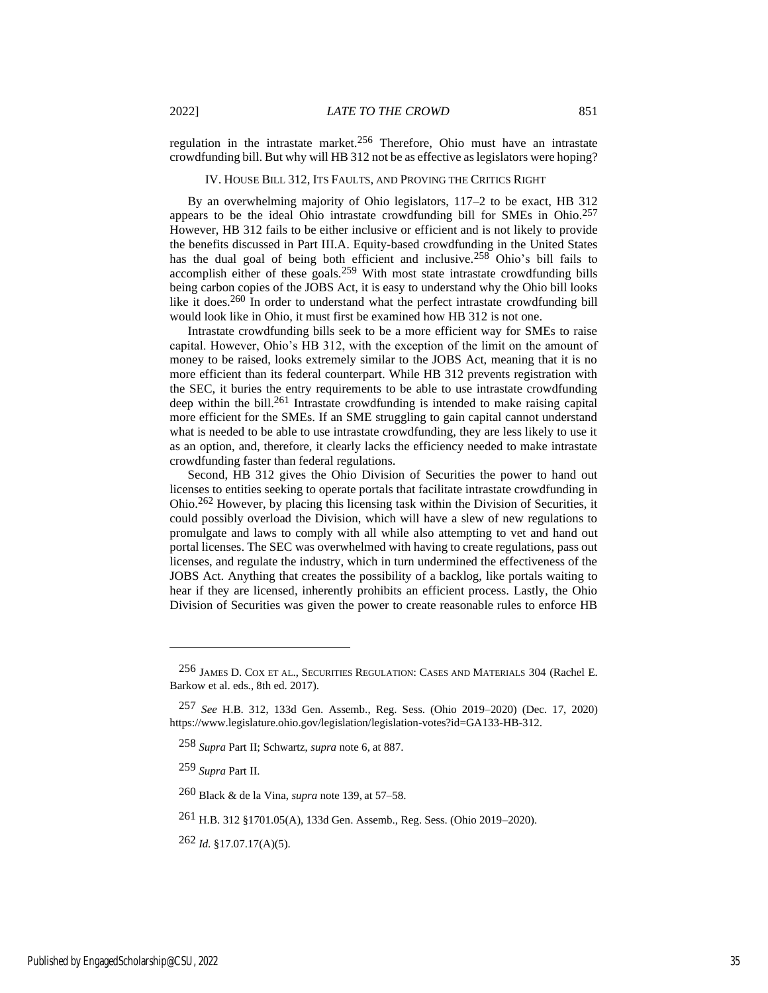regulation in the intrastate market.256 Therefore, Ohio must have an intrastate crowdfunding bill. But why will HB 312 not be as effective as legislators were hoping?

IV. HOUSE BILL 312, ITS FAULTS, AND PROVING THE CRITICS RIGHT

By an overwhelming majority of Ohio legislators, 117–2 to be exact, HB 312 appears to be the ideal Ohio intrastate crowdfunding bill for SMEs in Ohio.257 However, HB 312 fails to be either inclusive or efficient and is not likely to provide the benefits discussed in Part III.A. Equity-based crowdfunding in the United States has the dual goal of being both efficient and inclusive.<sup>258</sup> Ohio's bill fails to accomplish either of these goals.259 With most state intrastate crowdfunding bills being carbon copies of the JOBS Act, it is easy to understand why the Ohio bill looks like it does.<sup>260</sup> In order to understand what the perfect intrastate crowdfunding bill would look like in Ohio, it must first be examined how HB 312 is not one.

Intrastate crowdfunding bills seek to be a more efficient way for SMEs to raise capital. However, Ohio's HB 312, with the exception of the limit on the amount of money to be raised, looks extremely similar to the JOBS Act, meaning that it is no more efficient than its federal counterpart. While HB 312 prevents registration with the SEC, it buries the entry requirements to be able to use intrastate crowdfunding deep within the bill.<sup>261</sup> Intrastate crowdfunding is intended to make raising capital more efficient for the SMEs. If an SME struggling to gain capital cannot understand what is needed to be able to use intrastate crowdfunding, they are less likely to use it as an option, and, therefore, it clearly lacks the efficiency needed to make intrastate crowdfunding faster than federal regulations.

Second, HB 312 gives the Ohio Division of Securities the power to hand out licenses to entities seeking to operate portals that facilitate intrastate crowdfunding in Ohio.262 However, by placing this licensing task within the Division of Securities, it could possibly overload the Division, which will have a slew of new regulations to promulgate and laws to comply with all while also attempting to vet and hand out portal licenses. The SEC was overwhelmed with having to create regulations, pass out licenses, and regulate the industry, which in turn undermined the effectiveness of the JOBS Act. Anything that creates the possibility of a backlog, like portals waiting to hear if they are licensed, inherently prohibits an efficient process. Lastly, the Ohio Division of Securities was given the power to create reasonable rules to enforce HB

<sup>256</sup> JAMES D. COX ET AL., SECURITIES REGULATION: CASES AND MATERIALS 304 (Rachel E. Barkow et al. eds., 8th ed. 2017).

<sup>257</sup> *See* H.B. 312, 133d Gen. Assemb., Reg. Sess. (Ohio 2019–2020) (Dec. 17, 2020) https://www.legislature.ohio.gov/legislation/legislation-votes?id=GA133-HB-312.

<sup>258</sup> *Supra* Part II; Schwartz, *supra* note 6, at 887.

<sup>259</sup> *Supra* Part II.

<sup>260</sup> Black & de la Vina, *supra* note 139, at 57–58.

<sup>261</sup> H.B. 312 §1701.05(A), 133d Gen. Assemb., Reg. Sess. (Ohio 2019–2020).

<sup>262</sup> *Id.* §17.07.17(A)(5).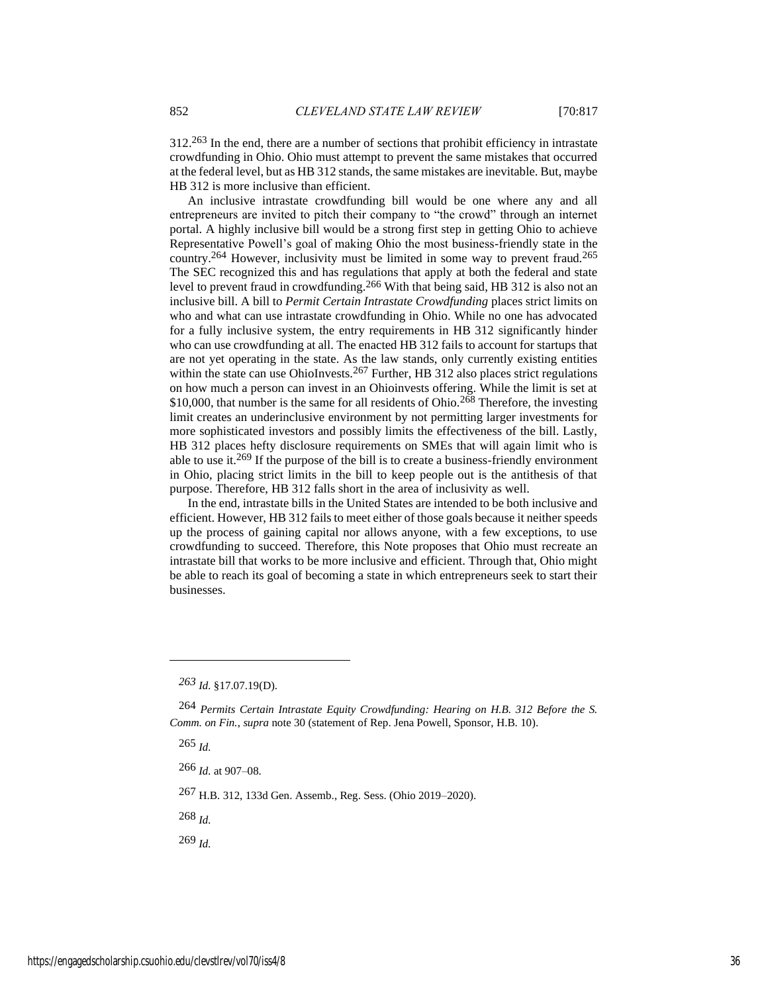312.263 In the end, there are a number of sections that prohibit efficiency in intrastate crowdfunding in Ohio. Ohio must attempt to prevent the same mistakes that occurred at the federal level, but as HB 312 stands, the same mistakes are inevitable. But, maybe HB 312 is more inclusive than efficient.

An inclusive intrastate crowdfunding bill would be one where any and all entrepreneurs are invited to pitch their company to "the crowd" through an internet portal. A highly inclusive bill would be a strong first step in getting Ohio to achieve Representative Powell's goal of making Ohio the most business-friendly state in the country.264 However, inclusivity must be limited in some way to prevent fraud.265 The SEC recognized this and has regulations that apply at both the federal and state level to prevent fraud in crowdfunding.266 With that being said, HB 312 is also not an inclusive bill. A bill to *Permit Certain Intrastate Crowdfunding* places strict limits on who and what can use intrastate crowdfunding in Ohio. While no one has advocated for a fully inclusive system, the entry requirements in HB 312 significantly hinder who can use crowdfunding at all. The enacted HB 312 fails to account for startups that are not yet operating in the state. As the law stands, only currently existing entities within the state can use OhioInvests.<sup>267</sup> Further, HB 312 also places strict regulations on how much a person can invest in an Ohioinvests offering. While the limit is set at \$10,000, that number is the same for all residents of Ohio.<sup>268</sup> Therefore, the investing limit creates an underinclusive environment by not permitting larger investments for more sophisticated investors and possibly limits the effectiveness of the bill. Lastly, HB 312 places hefty disclosure requirements on SMEs that will again limit who is able to use it.269 If the purpose of the bill is to create a business-friendly environment in Ohio, placing strict limits in the bill to keep people out is the antithesis of that purpose. Therefore, HB 312 falls short in the area of inclusivity as well.

In the end, intrastate bills in the United States are intended to be both inclusive and efficient. However, HB 312 fails to meet either of those goals because it neither speeds up the process of gaining capital nor allows anyone, with a few exceptions, to use crowdfunding to succeed. Therefore, this Note proposes that Ohio must recreate an intrastate bill that works to be more inclusive and efficient. Through that, Ohio might be able to reach its goal of becoming a state in which entrepreneurs seek to start their businesses.

265 *Id.*

266 *Id.* at 907–08.

267 H.B. 312, 133d Gen. Assemb., Reg. Sess. (Ohio 2019–2020).

268 *Id.*

269 *Id.*

*<sup>263</sup> Id.* §17.07.19(D).

<sup>264</sup> *Permits Certain Intrastate Equity Crowdfunding: Hearing on H.B. 312 Before the S. Comm. on Fin.*, *supra* note 30 (statement of Rep. Jena Powell, Sponsor, H.B. 10).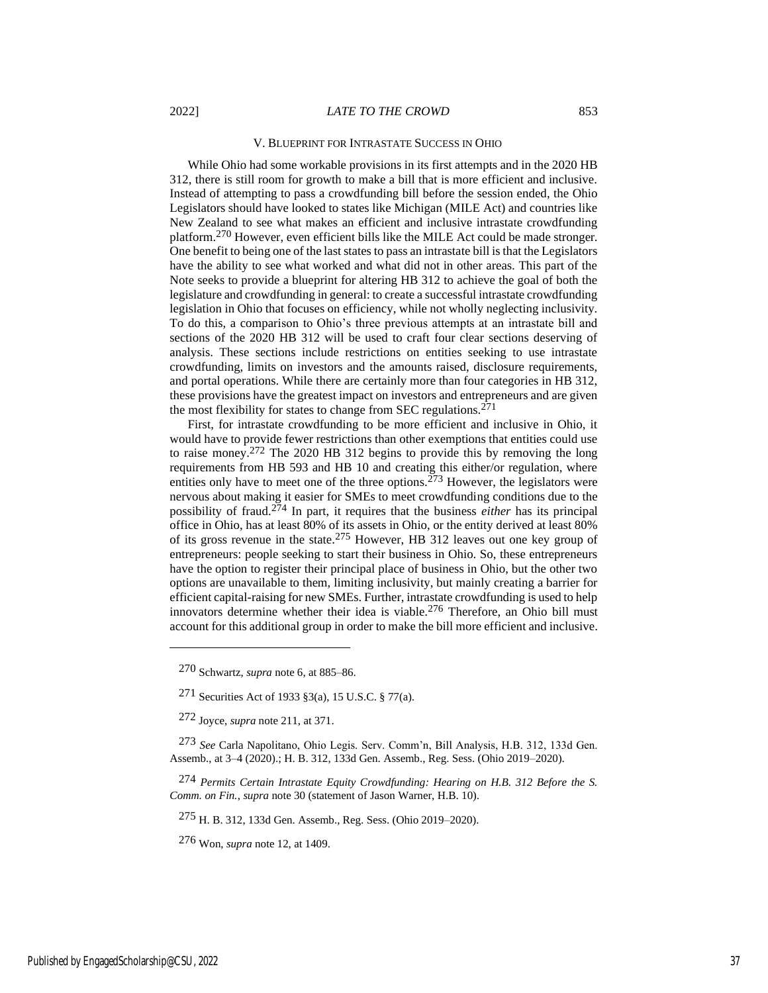#### V. BLUEPRINT FOR INTRASTATE SUCCESS IN OHIO

While Ohio had some workable provisions in its first attempts and in the 2020 HB 312, there is still room for growth to make a bill that is more efficient and inclusive. Instead of attempting to pass a crowdfunding bill before the session ended, the Ohio Legislators should have looked to states like Michigan (MILE Act) and countries like New Zealand to see what makes an efficient and inclusive intrastate crowdfunding platform.270 However, even efficient bills like the MILE Act could be made stronger. One benefit to being one of the last states to pass an intrastate bill is that the Legislators have the ability to see what worked and what did not in other areas. This part of the Note seeks to provide a blueprint for altering HB 312 to achieve the goal of both the legislature and crowdfunding in general: to create a successful intrastate crowdfunding legislation in Ohio that focuses on efficiency, while not wholly neglecting inclusivity. To do this, a comparison to Ohio's three previous attempts at an intrastate bill and sections of the 2020 HB 312 will be used to craft four clear sections deserving of analysis. These sections include restrictions on entities seeking to use intrastate crowdfunding, limits on investors and the amounts raised, disclosure requirements, and portal operations. While there are certainly more than four categories in HB 312, these provisions have the greatest impact on investors and entrepreneurs and are given the most flexibility for states to change from SEC regulations.271

First, for intrastate crowdfunding to be more efficient and inclusive in Ohio, it would have to provide fewer restrictions than other exemptions that entities could use to raise money.272 The 2020 HB 312 begins to provide this by removing the long requirements from HB 593 and HB 10 and creating this either/or regulation, where entities only have to meet one of the three options.<sup>273</sup> However, the legislators were nervous about making it easier for SMEs to meet crowdfunding conditions due to the possibility of fraud.274 In part, it requires that the business *either* has its principal office in Ohio, has at least 80% of its assets in Ohio, or the entity derived at least 80% of its gross revenue in the state.275 However, HB 312 leaves out one key group of entrepreneurs: people seeking to start their business in Ohio. So, these entrepreneurs have the option to register their principal place of business in Ohio, but the other two options are unavailable to them, limiting inclusivity, but mainly creating a barrier for efficient capital-raising for new SMEs. Further, intrastate crowdfunding is used to help innovators determine whether their idea is viable.276 Therefore, an Ohio bill must account for this additional group in order to make the bill more efficient and inclusive.

275 H. B. 312, 133d Gen. Assemb., Reg. Sess. (Ohio 2019–2020).

276 Won, *supra* note 12, at 1409.

<sup>270</sup> Schwartz, *supra* note 6, at 885–86.

<sup>271</sup> Securities Act of 1933 §3(a), 15 U.S.C. § 77(a).

<sup>272</sup> Joyce, *supra* note 211, at 371.

<sup>273</sup> *See* Carla Napolitano, Ohio Legis. Serv. Comm'n, Bill Analysis, H.B. 312, 133d Gen. Assemb., at 3–4 (2020).; H. B. 312, 133d Gen. Assemb., Reg. Sess. (Ohio 2019–2020).

<sup>274</sup> *Permits Certain Intrastate Equity Crowdfunding: Hearing on H.B. 312 Before the S. Comm. on Fin.*, *supra* note 30 (statement of Jason Warner, H.B. 10).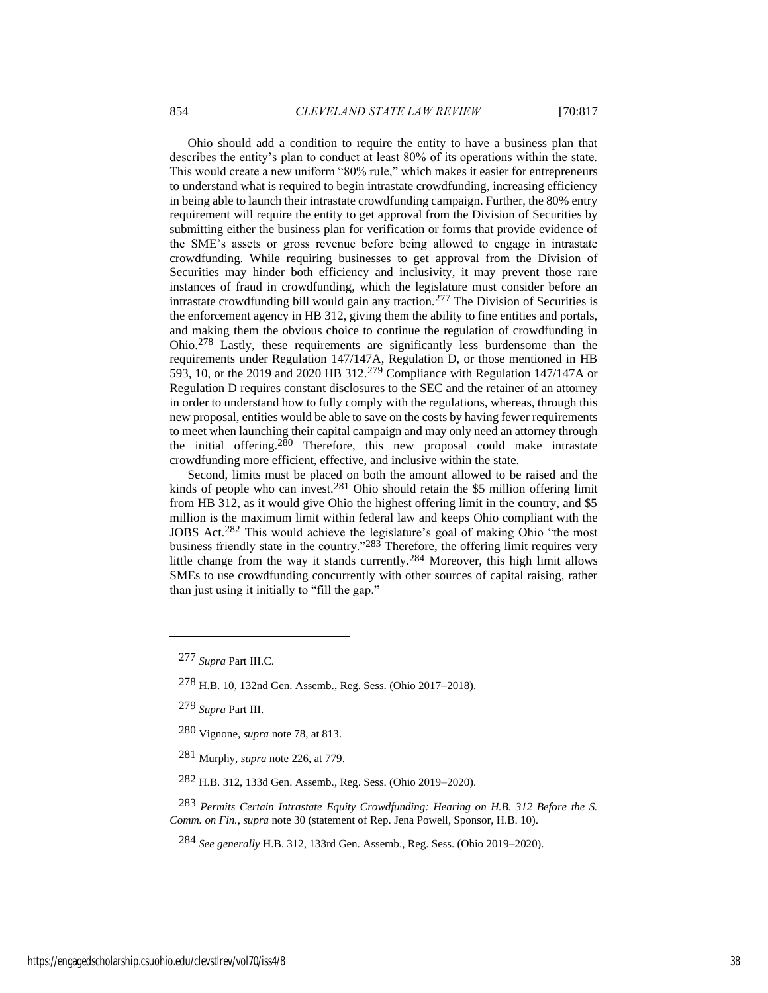Ohio should add a condition to require the entity to have a business plan that describes the entity's plan to conduct at least 80% of its operations within the state. This would create a new uniform "80% rule," which makes it easier for entrepreneurs to understand what is required to begin intrastate crowdfunding, increasing efficiency in being able to launch their intrastate crowdfunding campaign. Further, the 80% entry requirement will require the entity to get approval from the Division of Securities by submitting either the business plan for verification or forms that provide evidence of the SME's assets or gross revenue before being allowed to engage in intrastate crowdfunding. While requiring businesses to get approval from the Division of Securities may hinder both efficiency and inclusivity, it may prevent those rare instances of fraud in crowdfunding, which the legislature must consider before an intrastate crowdfunding bill would gain any traction.<sup>277</sup> The Division of Securities is the enforcement agency in HB 312, giving them the ability to fine entities and portals, and making them the obvious choice to continue the regulation of crowdfunding in Ohio.278 Lastly, these requirements are significantly less burdensome than the requirements under Regulation 147/147A, Regulation D, or those mentioned in HB 593, 10, or the 2019 and 2020 HB 312.279 Compliance with Regulation 147/147A or Regulation D requires constant disclosures to the SEC and the retainer of an attorney in order to understand how to fully comply with the regulations, whereas, through this new proposal, entities would be able to save on the costs by having fewer requirements to meet when launching their capital campaign and may only need an attorney through the initial offering.<sup>280</sup> Therefore, this new proposal could make intrastate crowdfunding more efficient, effective, and inclusive within the state.

Second, limits must be placed on both the amount allowed to be raised and the kinds of people who can invest.281 Ohio should retain the \$5 million offering limit from HB 312, as it would give Ohio the highest offering limit in the country, and \$5 million is the maximum limit within federal law and keeps Ohio compliant with the JOBS Act.282 This would achieve the legislature's goal of making Ohio "the most business friendly state in the country."283 Therefore, the offering limit requires very little change from the way it stands currently.284 Moreover, this high limit allows SMEs to use crowdfunding concurrently with other sources of capital raising, rather than just using it initially to "fill the gap."

284 *See generally* H.B. 312, 133rd Gen. Assemb., Reg. Sess. (Ohio 2019–2020).

<sup>277</sup> *Supra* Part III.C.

<sup>278</sup> H.B. 10, 132nd Gen. Assemb., Reg. Sess. (Ohio 2017–2018).

<sup>279</sup> *Supra* Part III.

<sup>280</sup> Vignone, *supra* note 78, at 813.

<sup>281</sup> Murphy, *supra* note 226, at 779.

<sup>282</sup> H.B. 312, 133d Gen. Assemb., Reg. Sess. (Ohio 2019–2020).

<sup>283</sup> *Permits Certain Intrastate Equity Crowdfunding: Hearing on H.B. 312 Before the S. Comm. on Fin.*, *supra* note 30 (statement of Rep. Jena Powell, Sponsor, H.B. 10).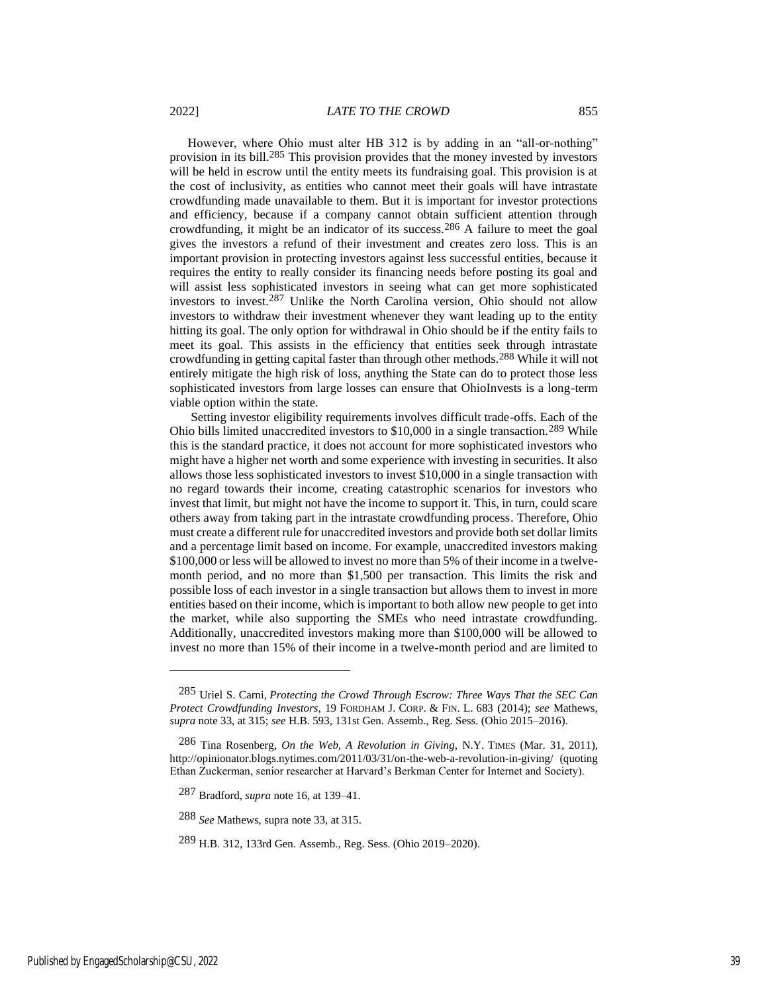However, where Ohio must alter HB 312 is by adding in an "all-or-nothing" provision in its bill.285 This provision provides that the money invested by investors will be held in escrow until the entity meets its fundraising goal. This provision is at the cost of inclusivity, as entities who cannot meet their goals will have intrastate crowdfunding made unavailable to them. But it is important for investor protections and efficiency, because if a company cannot obtain sufficient attention through crowdfunding, it might be an indicator of its success.286 A failure to meet the goal gives the investors a refund of their investment and creates zero loss. This is an important provision in protecting investors against less successful entities, because it requires the entity to really consider its financing needs before posting its goal and will assist less sophisticated investors in seeing what can get more sophisticated investors to invest.287 Unlike the North Carolina version, Ohio should not allow investors to withdraw their investment whenever they want leading up to the entity hitting its goal. The only option for withdrawal in Ohio should be if the entity fails to meet its goal. This assists in the efficiency that entities seek through intrastate crowdfunding in getting capital faster than through other methods.288 While it will not entirely mitigate the high risk of loss, anything the State can do to protect those less sophisticated investors from large losses can ensure that OhioInvests is a long-term viable option within the state.

Setting investor eligibility requirements involves difficult trade-offs. Each of the Ohio bills limited unaccredited investors to \$10,000 in a single transaction.289 While this is the standard practice, it does not account for more sophisticated investors who might have a higher net worth and some experience with investing in securities. It also allows those less sophisticated investors to invest \$10,000 in a single transaction with no regard towards their income, creating catastrophic scenarios for investors who invest that limit, but might not have the income to support it. This, in turn, could scare others away from taking part in the intrastate crowdfunding process. Therefore, Ohio must create a different rule for unaccredited investors and provide both set dollar limits and a percentage limit based on income. For example, unaccredited investors making \$100,000 or less will be allowed to invest no more than 5% of their income in a twelvemonth period, and no more than \$1,500 per transaction. This limits the risk and possible loss of each investor in a single transaction but allows them to invest in more entities based on their income, which is important to both allow new people to get into the market, while also supporting the SMEs who need intrastate crowdfunding. Additionally, unaccredited investors making more than \$100,000 will be allowed to invest no more than 15% of their income in a twelve-month period and are limited to

288 *See* Mathews, supra note 33, at 315.

<sup>285</sup> Uriel S. Carni, *Protecting the Crowd Through Escrow: Three Ways That the SEC Can Protect Crowdfunding Investors*, 19 FORDHAM J. CORP. & FIN. L. 683 (2014); *see* Mathews, *supra* note 33, at 315; *see* H.B. 593, 131st Gen. Assemb., Reg. Sess. (Ohio 2015–2016).

<sup>286</sup> Tina Rosenberg, *On the Web, A Revolution in Giving*, N.Y. TIMES (Mar. 31, 2011), http://opinionator.blogs.nytimes.com/2011/03/31/on-the-web-a-revolution-in-giving/ (quoting Ethan Zuckerman, senior researcher at Harvard's Berkman Center for Internet and Society).

<sup>287</sup> Bradford, *supra* note 16, at 139–41.

<sup>289</sup> H.B. 312, 133rd Gen. Assemb., Reg. Sess. (Ohio 2019–2020).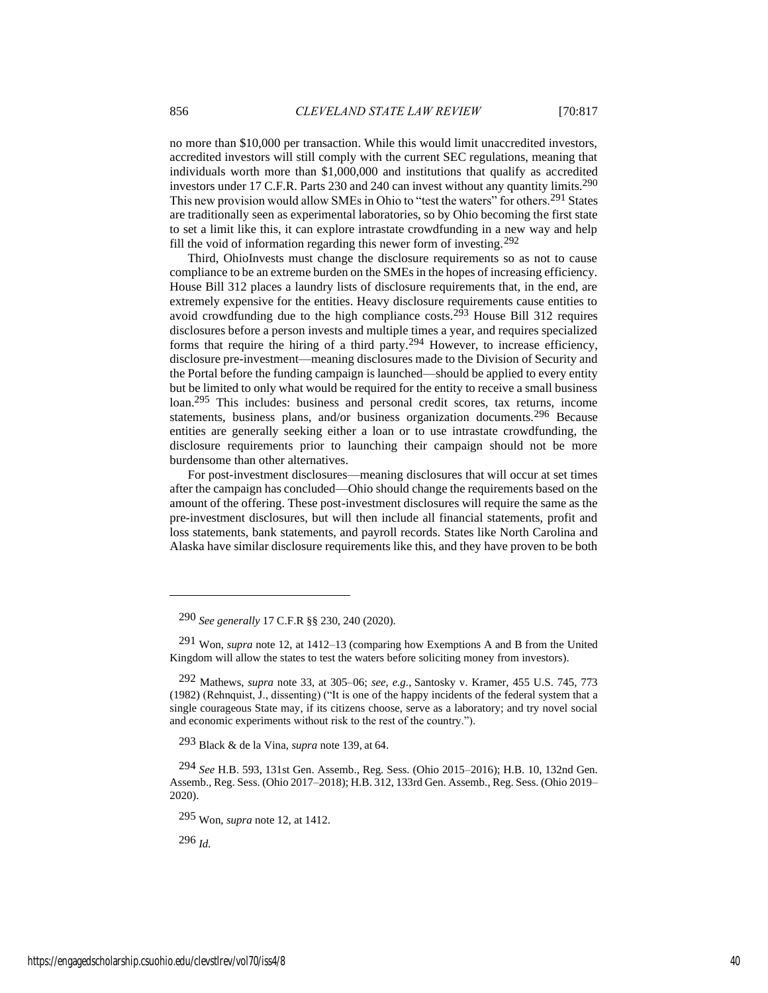no more than \$10,000 per transaction. While this would limit unaccredited investors, accredited investors will still comply with the current SEC regulations, meaning that individuals worth more than \$1,000,000 and institutions that qualify as accredited investors under 17 C.F.R. Parts 230 and 240 can invest without any quantity limits.290 This new provision would allow SMEs in Ohio to "test the waters" for others.291 States are traditionally seen as experimental laboratories, so by Ohio becoming the first state to set a limit like this, it can explore intrastate crowdfunding in a new way and help fill the void of information regarding this newer form of investing.<sup>292</sup>

Third, OhioInvests must change the disclosure requirements so as not to cause compliance to be an extreme burden on the SMEs in the hopes of increasing efficiency. House Bill 312 places a laundry lists of disclosure requirements that, in the end, are extremely expensive for the entities. Heavy disclosure requirements cause entities to avoid crowdfunding due to the high compliance costs.293 House Bill 312 requires disclosures before a person invests and multiple times a year, and requires specialized forms that require the hiring of a third party.294 However, to increase efficiency, disclosure pre-investment—meaning disclosures made to the Division of Security and the Portal before the funding campaign is launched—should be applied to every entity but be limited to only what would be required for the entity to receive a small business loan.295 This includes: business and personal credit scores, tax returns, income statements, business plans, and/or business organization documents.296 Because entities are generally seeking either a loan or to use intrastate crowdfunding, the disclosure requirements prior to launching their campaign should not be more burdensome than other alternatives.

For post-investment disclosures—meaning disclosures that will occur at set times after the campaign has concluded—Ohio should change the requirements based on the amount of the offering. These post-investment disclosures will require the same as the pre-investment disclosures, but will then include all financial statements, profit and loss statements, bank statements, and payroll records. States like North Carolina and Alaska have similar disclosure requirements like this, and they have proven to be both

293 Black & de la Vina, *supra* note 139, at 64.

295 Won, *supra* note 12, at 1412.

296 *Id.*

<sup>290</sup> *See generally* 17 C.F.R §§ 230, 240 (2020).

<sup>291</sup> Won, *supra* note 12, at 1412–13 (comparing how Exemptions A and B from the United Kingdom will allow the states to test the waters before soliciting money from investors).

<sup>292</sup> Mathews, *supra* note 33, at 305–06; *see, e.g.*, [Santosky v. Kramer, 455 U.S. 745, 773](https://1.next.westlaw.com/Link/Document/FullText?findType=Y&serNum=1982113139&pubNum=0000780&originatingDoc=I7b81500eb9b111e598dc8b09b4f043e0&refType=RP&fi=co_pp_sp_780_773&originationContext=document&transitionType=DocumentItem&contextData=(sc.Folder*cid.b5ed35c1fc26481da531d16cbd0c32d6*oc.Search)#co_pp_sp_780_773)  [\(1982\)](https://1.next.westlaw.com/Link/Document/FullText?findType=Y&serNum=1982113139&pubNum=0000780&originatingDoc=I7b81500eb9b111e598dc8b09b4f043e0&refType=RP&fi=co_pp_sp_780_773&originationContext=document&transitionType=DocumentItem&contextData=(sc.Folder*cid.b5ed35c1fc26481da531d16cbd0c32d6*oc.Search)#co_pp_sp_780_773) (Rehnquist, J., dissenting) ("It is one of the happy incidents of the federal system that a single courageous State may, if its citizens choose, serve as a laboratory; and try novel social and economic experiments without risk to the rest of the country.").

<sup>294</sup> *See* H.B. 593, 131st Gen. Assemb., Reg. Sess. (Ohio 2015–2016); H.B. 10, 132nd Gen. Assemb., Reg. Sess. (Ohio 2017–2018); H.B. 312, 133rd Gen. Assemb., Reg. Sess. (Ohio 2019– 2020).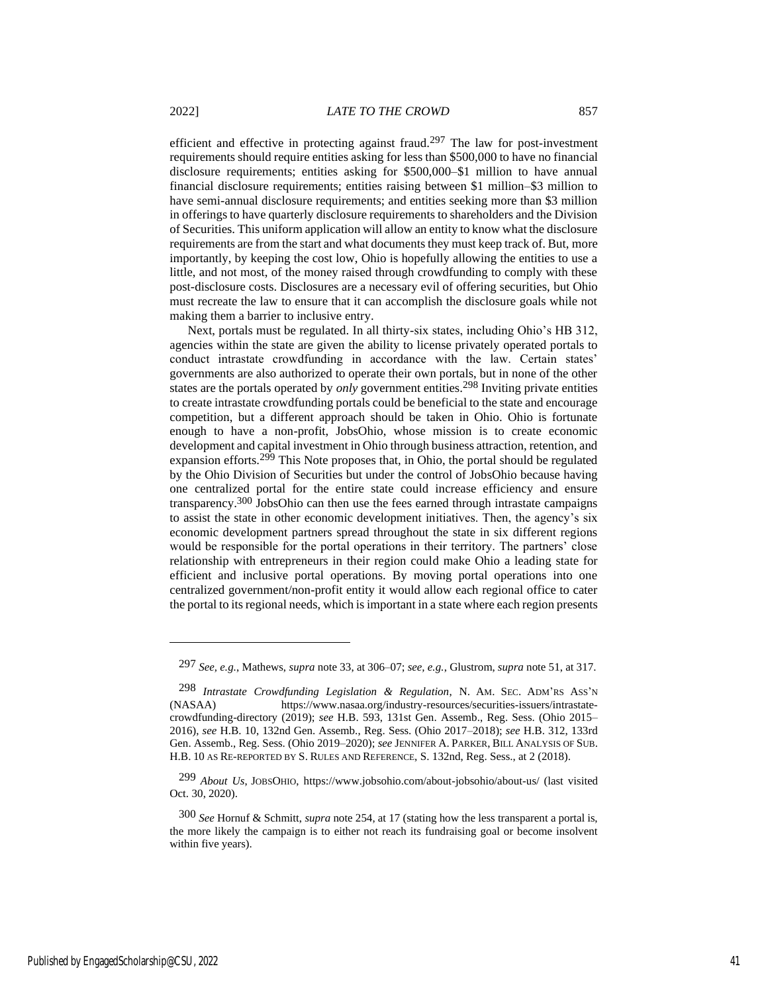making them a barrier to inclusive entry.

efficient and effective in protecting against fraud.<sup>297</sup> The law for post-investment requirements should require entities asking for less than \$500,000 to have no financial disclosure requirements; entities asking for \$500,000–\$1 million to have annual financial disclosure requirements; entities raising between \$1 million–\$3 million to have semi-annual disclosure requirements; and entities seeking more than \$3 million in offerings to have quarterly disclosure requirements to shareholders and the Division of Securities. This uniform application will allow an entity to know what the disclosure requirements are from the start and what documents they must keep track of. But, more importantly, by keeping the cost low, Ohio is hopefully allowing the entities to use a little, and not most, of the money raised through crowdfunding to comply with these post-disclosure costs. Disclosures are a necessary evil of offering securities, but Ohio must recreate the law to ensure that it can accomplish the disclosure goals while not

Next, portals must be regulated. In all thirty-six states, including Ohio's HB 312, agencies within the state are given the ability to license privately operated portals to conduct intrastate crowdfunding in accordance with the law. Certain states' governments are also authorized to operate their own portals, but in none of the other states are the portals operated by *only* government entities.<sup>298</sup> Inviting private entities to create intrastate crowdfunding portals could be beneficial to the state and encourage competition, but a different approach should be taken in Ohio. Ohio is fortunate enough to have a non-profit, JobsOhio, whose mission is to create economic development and capital investment in Ohio through business attraction, retention, and expansion efforts.<sup>299</sup> This Note proposes that, in Ohio, the portal should be regulated by the Ohio Division of Securities but under the control of JobsOhio because having one centralized portal for the entire state could increase efficiency and ensure transparency.300 JobsOhio can then use the fees earned through intrastate campaigns to assist the state in other economic development initiatives. Then, the agency's six economic development partners spread throughout the state in six different regions would be responsible for the portal operations in their territory. The partners' close relationship with entrepreneurs in their region could make Ohio a leading state for efficient and inclusive portal operations. By moving portal operations into one centralized government/non-profit entity it would allow each regional office to cater the portal to its regional needs, which is important in a state where each region presents

<sup>297</sup> *See, e.g.*, Mathews, *supra* note 33, at 306–07; *see, e.g.*, Glustrom, *supra* note 51, at 317.

<sup>298</sup> *Intrastate Crowdfunding Legislation & Regulation*, N. AM. SEC. ADM'RS ASS'<sup>N</sup> (NASAA) https://www.nasaa.org/industry-resources/securities-issuers/intrastatecrowdfunding-directory (2019); *see* H.B. 593, 131st Gen. Assemb., Reg. Sess. (Ohio 2015– 2016), *see* H.B. 10, 132nd Gen. Assemb., Reg. Sess. (Ohio 2017–2018); *see* H.B. 312, 133rd Gen. Assemb., Reg. Sess. (Ohio 2019–2020); *see* JENNIFER A. PARKER, BILL ANALYSIS OF SUB. H.B. 10 AS RE-REPORTED BY S. RULES AND REFERENCE, S. 132nd, Reg. Sess., at 2 (2018).

<sup>299</sup> *About Us*, JOBSOHIO, https://www.jobsohio.com/about-jobsohio/about-us/ (last visited Oct. 30, 2020).

<sup>300</sup> *See* Hornuf & Schmitt, *supra* note 254, at 17 (stating how the less transparent a portal is, the more likely the campaign is to either not reach its fundraising goal or become insolvent within five years).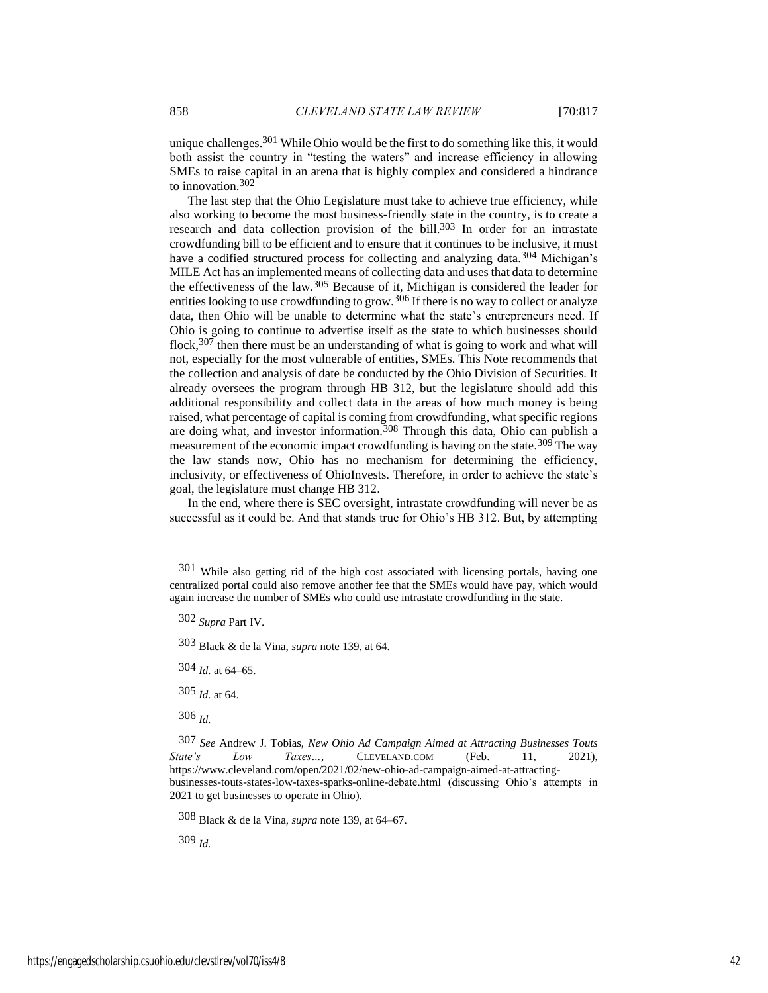unique challenges.<sup>301</sup> While Ohio would be the first to do something like this, it would both assist the country in "testing the waters" and increase efficiency in allowing SMEs to raise capital in an arena that is highly complex and considered a hindrance to innovation.302

The last step that the Ohio Legislature must take to achieve true efficiency, while also working to become the most business-friendly state in the country, is to create a research and data collection provision of the bill.<sup>303</sup> In order for an intrastate crowdfunding bill to be efficient and to ensure that it continues to be inclusive, it must have a codified structured process for collecting and analyzing data.<sup>304</sup> Michigan's MILE Act has an implemented means of collecting data and uses that data to determine the effectiveness of the law.305 Because of it, Michigan is considered the leader for entities looking to use crowdfunding to grow.<sup>306</sup> If there is no way to collect or analyze data, then Ohio will be unable to determine what the state's entrepreneurs need. If Ohio is going to continue to advertise itself as the state to which businesses should flock,<sup>307</sup> then there must be an understanding of what is going to work and what will not, especially for the most vulnerable of entities, SMEs. This Note recommends that the collection and analysis of date be conducted by the Ohio Division of Securities. It already oversees the program through HB 312, but the legislature should add this additional responsibility and collect data in the areas of how much money is being raised, what percentage of capital is coming from crowdfunding, what specific regions are doing what, and investor information.308 Through this data, Ohio can publish a measurement of the economic impact crowdfunding is having on the state.<sup>309</sup> The way the law stands now, Ohio has no mechanism for determining the efficiency, inclusivity, or effectiveness of OhioInvests. Therefore, in order to achieve the state's goal, the legislature must change HB 312.

In the end, where there is SEC oversight, intrastate crowdfunding will never be as successful as it could be. And that stands true for Ohio's HB 312. But, by attempting

303 Black & de la Vina, *supra* note 139, at 64.

304 *Id.* at 64–65.

305 *Id.* at 64.

306 *Id.*

308 Black & de la Vina, *supra* note 139, at 64–67.

309 *Id.*

<sup>301</sup> While also getting rid of the high cost associated with licensing portals, having one centralized portal could also remove another fee that the SMEs would have pay, which would again increase the number of SMEs who could use intrastate crowdfunding in the state.

<sup>302</sup> *Supra* Part IV.

<sup>307</sup> *See* Andrew J. Tobias, *New Ohio Ad Campaign Aimed at Attracting Businesses Touts State's Low Taxes…*, CLEVELAND.COM (Feb. 11, 2021), https://www.cleveland.com/open/2021/02/new-ohio-ad-campaign-aimed-at-attractingbusinesses-touts-states-low-taxes-sparks-online-debate.html (discussing Ohio's attempts in 2021 to get businesses to operate in Ohio).